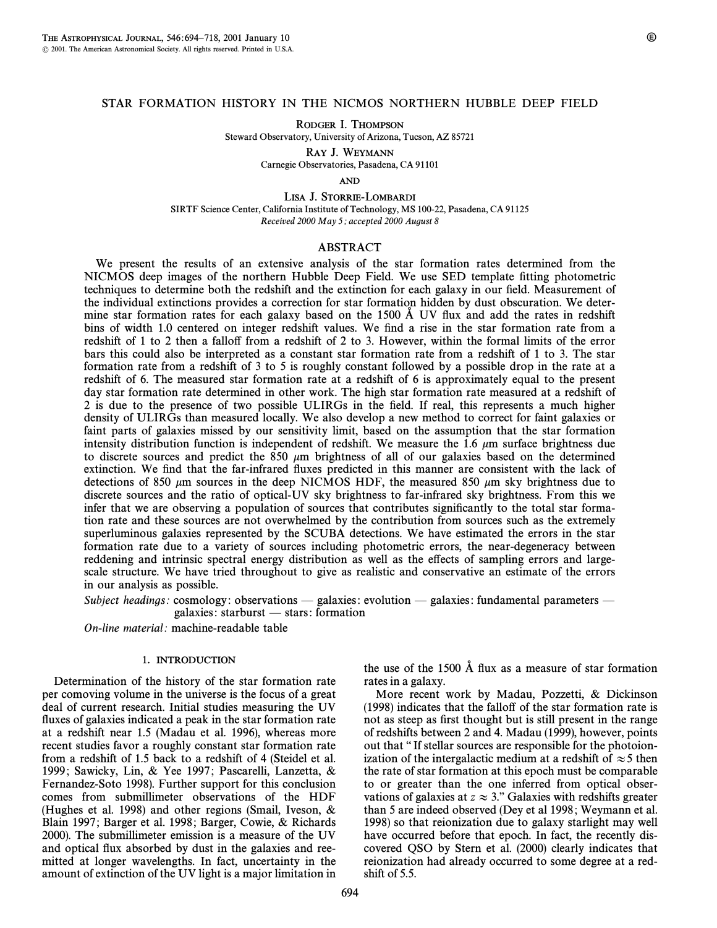## STAR FORMATION HISTORY IN THE NICMOS NORTHERN HUBBLE DEEP FIELD

RODGER I. THOMPSON

Steward Observatory, University of Arizona, Tucson, AZ 85721

RAY J. WEYMANN Carnegie Observatories, Pasadena, CA 91101

AND

LISA J. STORRIE-LOMBARDI SIRTF Science Center, California Institute of Technology, MS 100-22, Pasadena, CA 91125 Received 2000 May 5; accepted 2000 August 8

## ABSTRACT

We present the results of an extensive analysis of the star formation rates determined from the NICMOS deep images of the northern Hubble Deep Field. We use SED template fitting photometric techniques to determine both the redshift and the extinction for each galaxy in our field. Measurement of the individual extinctions provides a correction for star formation hidden by dust obscuration. We determine star formation rates for each galaxy based on the 1500  $\AA$  UV flux and add the rates in redshift bins of width 1.0 centered on integer redshift values. We find a rise in the star formation rate from a redshift of 1 to 2 then a fallo† from a redshift of 2 to 3. However, within the formal limits of the error bars this could also be interpreted as a constant star formation rate from a redshift of 1 to 3. The star formation rate from a redshift of 3 to 5 is roughly constant followed by a possible drop in the rate at a redshift of 6. The measured star formation rate at a redshift of 6 is approximately equal to the present day star formation rate determined in other work. The high star formation rate measured at a redshift of 2 is due to the presence of two possible ULIRGs in the field. If real, this represents a much higher density of ULIRGs than measured locally. We also develop a new method to correct for faint galaxies or faint parts of galaxies missed by our sensitivity limit, based on the assumption that the star formation intensity distribution function is independent of redshift. We measure the 1.6  $\mu$ m surface brightness due to discrete sources and predict the 850  $\mu$ m brightness of all of our galaxies based on the determined extinction. We find that the far-infrared fluxes predicted in this manner are consistent with the lack of detections of 850  $\mu$ m sources in the deep NICMOS HDF, the measured 850  $\mu$ m sky brightness due to discrete sources and the ratio of optical-UV sky brightness to far-infrared sky brightness. From this we infer that we are observing a population of sources that contributes significantly to the total star formation rate and these sources are not overwhelmed by the contribution from sources such as the extremely superluminous galaxies represented by the SCUBA detections. We have estimated the errors in the star formation rate due to a variety of sources including photometric errors, the near-degeneracy between reddening and intrinsic spectral energy distribution as well as the e†ects of sampling errors and largescale structure. We have tried throughout to give as realistic and conservative an estimate of the errors in our analysis as possible.

Subject headings: cosmology: observations — galaxies: evolution — galaxies: fundamental parameters galaxies: starburst  $-$  stars: formation

On-line material: machine-readable table

## 1. INTRODUCTION

Determination of the history of the star formation rate per comoving volume in the universe is the focus of a great deal of current research. Initial studies measuring the UV fluxes of galaxies indicated a peak in the star formation rate at a redshift near 1.5 (Madau et al. 1996), whereas more recent studies favor a roughly constant star formation rate from a redshift of 1.5 back to a redshift of 4 (Steidel et al. 1999; Sawicky, Lin, & Yee 1997; Pascarelli, Lanzetta, & Fernandez-Soto 1998). Further support for this conclusion comes from submillimeter observations of the HDF (Hughes et al. 1998) and other regions (Smail, Iveson, & Blain 1997; Barger et al. 1998; Barger, Cowie, & Richards 2000). The submillimeter emission is a measure of the UV and optical flux absorbed by dust in the galaxies and reemitted at longer wavelengths. In fact, uncertainty in the amount of extinction of the UV light is a major limitation in the use of the 1500 Å flux as a measure of star formation rates in a galaxy.

More recent work by Madau, Pozzetti, & Dickinson (1998) indicates that the fallo† of the star formation rate is not as steep as first thought but is still present in the range of redshifts between 2 and 4. Madau (1999), however, points out that "" If stellar sources are responsible for the photoionization of the intergalactic medium at a redshift of  $\approx$  5 then the rate of star formation at this epoch must be comparable to or greater than the one inferred from optical observations of galaxies at  $z \approx 3$ ." Galaxies with redshifts greater than 5 are indeed observed (Dey et al 1998 ; Weymann et al. 1998) so that reionization due to galaxy starlight may well have occurred before that epoch. In fact, the recently discovered QSO by Stern et al. (2000) clearly indicates that reionization had already occurred to some degree at a redshift of 5.5.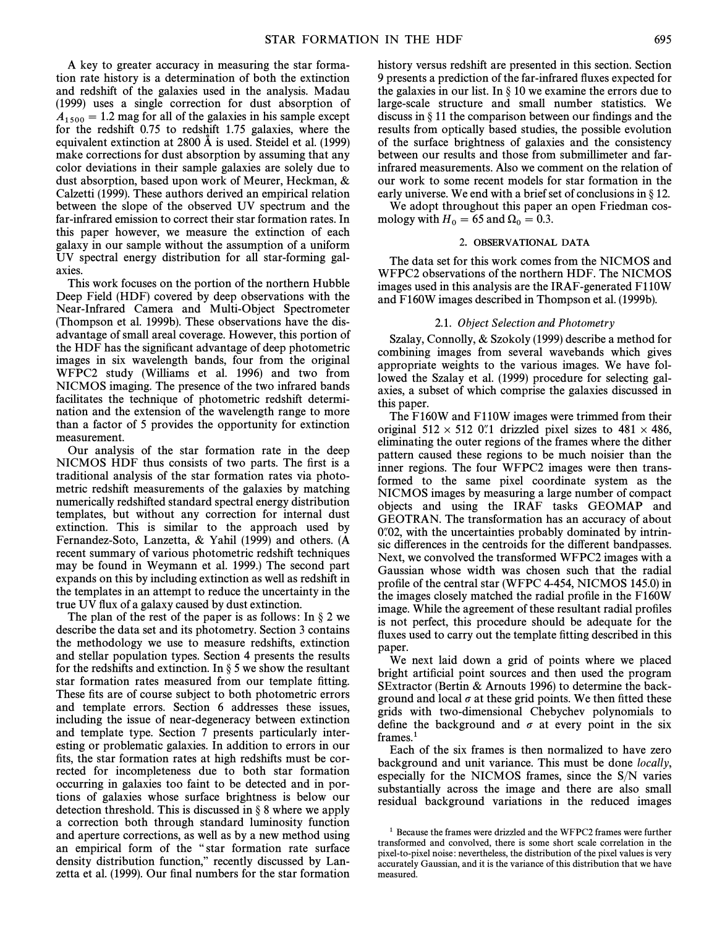A key to greater accuracy in measuring the star formation rate history is a determination of both the extinction and redshift of the galaxies used in the analysis. Madau (1999) uses a single correction for dust absorption of  $A_{1500} = 1.2$  mag for all of the galaxies in his sample except for the redshift 0.75 to redshift 1.75 galaxies, where the equivalent extinction at  $2800 \text{ Å}$  is used. Steidel et al. (1999) make corrections for dust absorption by assuming that any color deviations in their sample galaxies are solely due to dust absorption, based upon work of Meurer, Heckman, & Calzetti (1999). These authors derived an empirical relation between the slope of the observed UV spectrum and the far-infrared emission to correct their star formation rates. In this paper however, we measure the extinction of each galaxy in our sample without the assumption of a uniform UV spectral energy distribution for all star-forming galaxies.

This work focuses on the portion of the northern Hubble Deep Field (HDF) covered by deep observations with the Near-Infrared Camera and Multi-Object Spectrometer (Thompson et al. 1999b). These observations have the disadvantage of small areal coverage. However, this portion of the HDF has the significant advantage of deep photometric images in six wavelength bands, four from the original WFPC2 study (Williams et al. 1996) and two from NICMOS imaging. The presence of the two infrared bands facilitates the technique of photometric redshift determination and the extension of the wavelength range to more than a factor of 5 provides the opportunity for extinction measurement.

Our analysis of the star formation rate in the deep NICMOS HDF thus consists of two parts. The first is a traditional analysis of the star formation rates via photometric redshift measurements of the galaxies by matching numerically redshifted standard spectral energy distribution templates, but without any correction for internal dust extinction. This is similar to the approach used by Fernandez-Soto, Lanzetta, & Yahil (1999) and others. (A recent summary of various photometric redshift techniques may be found in Weymann et al. 1999.) The second part expands on this by including extinction as well as redshift in the templates in an attempt to reduce the uncertainty in the true UV Ñux of a galaxy caused by dust extinction.

The plan of the rest of the paper is as follows: In  $\S 2$  we describe the data set and its photometry. Section 3 contains the methodology we use to measure redshifts, extinction and stellar population types. Section 4 presents the results for the redshifts and extinction. In  $\S 5$  we show the resultant star formation rates measured from our template fitting. These fits are of course subject to both photometric errors and template errors. Section 6 addresses these issues, including the issue of near-degeneracy between extinction and template type. Section 7 presents particularly interesting or problematic galaxies. In addition to errors in our fits, the star formation rates at high redshifts must be corrected for incompleteness due to both star formation occurring in galaxies too faint to be detected and in portions of galaxies whose surface brightness is below our detection threshold. This is discussed in  $\S$  8 where we apply a correction both through standard luminosity function and aperture corrections, as well as by a new method using an empirical form of the "star formation rate surface density distribution function," recently discussed by Lanzetta et al. (1999). Our final numbers for the star formation history versus redshift are presented in this section. Section 9 presents a prediction of the far-infrared Ñuxes expected for the galaxies in our list. In  $\S$  10 we examine the errors due to large-scale structure and small number statistics. We discuss in  $\S 11$  the comparison between our findings and the results from optically based studies, the possible evolution of the surface brightness of galaxies and the consistency between our results and those from submillimeter and farinfrared measurements. Also we comment on the relation of our work to some recent models for star formation in the early universe. We end with a brief set of conclusions in  $\S 12$ .

We adopt throughout this paper an open Friedman cosmology with  $H_0 = 65$  and  $\Omega_0 = 0.3$ .

## 2. OBSERVATIONAL DATA

The data set for this work comes from the NICMOS and WFPC2 observations of the northern HDF. The NICMOS images used in this analysis are the IRAF-generated F110W and F160W images described in Thompson et al. (1999b).

#### 2.1. Object Selection and Photometry

Szalay, Connolly, & Szokoly (1999) describe a method for combining images from several wavebands which gives appropriate weights to the various images. We have followed the Szalay et al. (1999) procedure for selecting galaxies, a subset of which comprise the galaxies discussed in this paper.

The F160W and F110W images were trimmed from their original  $512 \times 512$  0.1 drizzled pixel sizes to  $481 \times 486$ , eliminating the outer regions of the frames where the dither pattern caused these regions to be much noisier than the inner regions. The four WFPC2 images were then transformed to the same pixel coordinate system as the NICMOS images by measuring a large number of compact objects and using the IRAF tasks GEOMAP and GEOTRAN. The transformation has an accuracy of about  $0\degree 02$ , with the uncertainties probably dominated by intrinsic differences in the centroids for the different bandpasses. Next, we convolved the transformed WFPC2 images with a Gaussian whose width was chosen such that the radial profile of the central star (WFPC 4-454, NICMOS 145.0) in the images closely matched the radial profile in the F160W image. While the agreement of these resultant radial profiles is not perfect, this procedure should be adequate for the fluxes used to carry out the template fitting described in this paper.

We next laid down a grid of points where we placed bright artificial point sources and then used the program SExtractor (Bertin & Arnouts 1996) to determine the background and local  $\sigma$  at these grid points. We then fitted these grids with two-dimensional Chebychev polynomials to define the background and  $\sigma$  at every point in the six  $frames.<sup>1</sup>$ 

Each of the six frames is then normalized to have zero background and unit variance. This must be done locally, especially for the NICMOS frames, since the S/N varies substantially across the image and there are also small residual background variations in the reduced images

<sup>&</sup>lt;sup>1</sup> Because the frames were drizzled and the WFPC2 frames were further transformed and convolved, there is some short scale correlation in the pixel-to-pixel noise : nevertheless, the distribution of the pixel values is very accurately Gaussian, and it is the variance of this distribution that we have measured.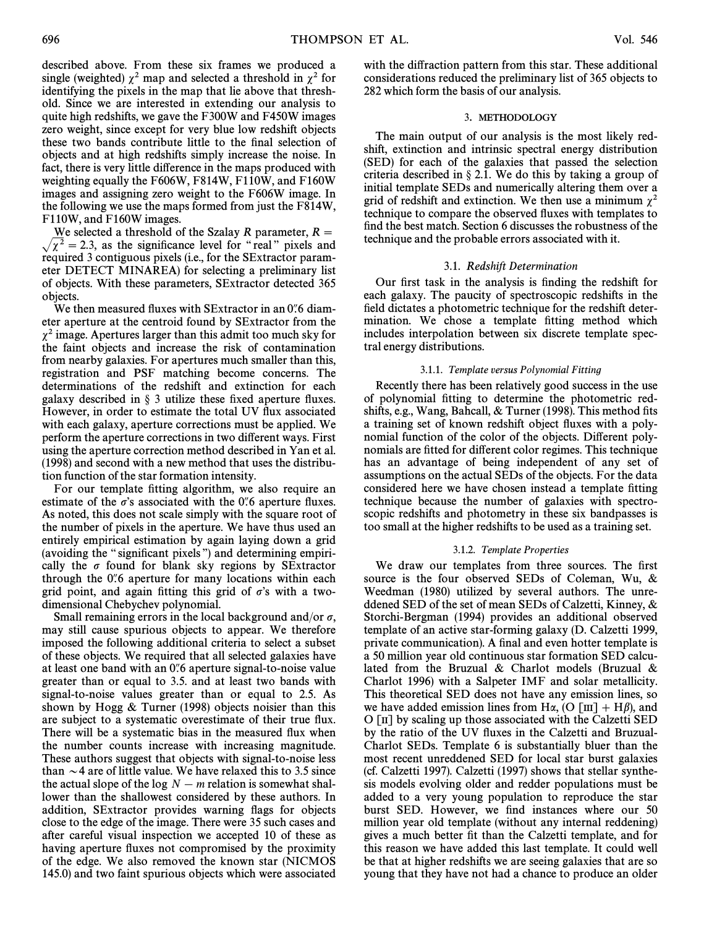described above. From these six frames we produced a single (weighted)  $\chi^2$  map and selected a threshold in  $\chi^2$  for identifying the pixels in the map that lie above that threshold. Since we are interested in extending our analysis to quite high redshifts, we gave the F300W and F450W images zero weight, since except for very blue low redshift objects these two bands contribute little to the final selection of objects and at high redshifts simply increase the noise. In fact, there is very little difference in the maps produced with weighting equally the F606W, F814W, F110W, and F160W images and assigning zero weight to the F606W image. In the following we use the maps formed from just the F814W, F110W, and F160W images.

We selected a threshold of the Szalay R parameter,  $R =$  $\sqrt{\chi^2}$  = 2.3, as the significance level for "real" pixels and required 3 contiguous pixels (i.e., for the SExtractor parameter DETECT MINAREA) for selecting a preliminary list of objects. With these parameters, SExtractor detected 365 objects.

We then measured fluxes with SExtractor in an 0.6 diameter aperture at the centroid found by SExtractor from the  $\chi^2$  image. Apertures larger than this admit too much sky for the faint objects and increase the risk of contamination from nearby galaxies. For apertures much smaller than this, registration and PSF matching become concerns. The determinations of the redshift and extinction for each galaxy described in  $\S$  3 utilize these fixed aperture fluxes. However, in order to estimate the total UV flux associated with each galaxy, aperture corrections must be applied. We perform the aperture corrections in two different ways. First using the aperture correction method described in Yan et al. (1998) and second with a new method that uses the distribution function of the star formation intensity.

For our template fitting algorithm, we also require an estimate of the  $\sigma$ 's associated with the 0.6 aperture fluxes. As noted, this does not scale simply with the square root of the number of pixels in the aperture. We have thus used an entirely empirical estimation by again laying down a grid (avoiding the "significant pixels") and determining empirically the  $\sigma$  found for blank sky regions by SExtractor through the  $0\rlap{.}^{\prime\prime}6$  aperture for many locations within each grid point, and again fitting this grid of  $\sigma$ 's with a twodimensional Chebychev polynomial.

Small remaining errors in the local background and/or  $\sigma$ , may still cause spurious objects to appear. We therefore imposed the following additional criteria to select a subset of these objects. We required that all selected galaxies have at least one band with an 0.6 aperture signal-to-noise value greater than or equal to 3.5. and at least two bands with signal-to-noise values greater than or equal to 2.5. As shown by Hogg & Turner (1998) objects noisier than this are subject to a systematic overestimate of their true flux. There will be a systematic bias in the measured flux when the number counts increase with increasing magnitude. These authors suggest that objects with signal-to-noise less than  $\sim$  4 are of little value. We have relaxed this to 3.5 since the actual slope of the log  $N - m$  relation is somewhat shallower than the shallowest considered by these authors. In addition, SExtractor provides warning Ñags for objects close to the edge of the image. There were 35 such cases and after careful visual inspection we accepted 10 of these as having aperture fluxes not compromised by the proximity of the edge. We also removed the known star (NICMOS 145.0) and two faint spurious objects which were associated

with the diffraction pattern from this star. These additional considerations reduced the preliminary list of 365 objects to 282 which form the basis of our analysis.

## 3. METHODOLOGY

The main output of our analysis is the most likely redshift, extinction and intrinsic spectral energy distribution (SED) for each of the galaxies that passed the selection criteria described in  $\S 2.1$ . We do this by taking a group of initial template SEDs and numerically altering them over a grid of redshift and extinction. We then use a minimum  $\chi^2$ technique to compare the observed Ñuxes with templates to find the best match. Section 6 discusses the robustness of the technique and the probable errors associated with it.

## 3.1. Redshift Determination

Our first task in the analysis is finding the redshift for each galaxy. The paucity of spectroscopic redshifts in the field dictates a photometric technique for the redshift determination. We chose a template fitting method which includes interpolation between six discrete template spectral energy distributions.

#### 3.1.1. Template versus Polynomial Fitting

Recently there has been relatively good success in the use of polynomial fitting to determine the photometric redshifts, e.g., Wang, Bahcall,  $&$  Turner (1998). This method fits a training set of known redshift object fluxes with a polynomial function of the color of the objects. Different polynomials are fitted for different color regimes. This technique has an advantage of being independent of any set of assumptions on the actual SEDs of the objects. For the data considered here we have chosen instead a template fitting technique because the number of galaxies with spectroscopic redshifts and photometry in these six bandpasses is too small at the higher redshifts to be used as a training set.

#### 3.1.2. Template Properties

We draw our templates from three sources. The first source is the four observed SEDs of Coleman, Wu, & Weedman (1980) utilized by several authors. The unreddened SED of the set of mean SEDs of Calzetti, Kinney, & Storchi-Bergman (1994) provides an additional observed template of an active star-forming galaxy (D. Calzetti 1999, private communication). A final and even hotter template is a 50 million year old continuous star formation SED calculated from the Bruzual & Charlot models (Bruzual & Charlot 1996) with a Salpeter IMF and solar metallicity. This theoretical SED does not have any emission lines, so we have added emission lines from H $\alpha$ , (O [III] + H $\beta$ ), and  $O \left[\pi\right]$  by scaling up those associated with the Calzetti SED by the ratio of the UV Ñuxes in the Calzetti and Bruzual-Charlot SEDs. Template 6 is substantially bluer than the most recent unreddened SED for local star burst galaxies (cf. Calzetti 1997). Calzetti (1997) shows that stellar synthesis models evolving older and redder populations must be added to a very young population to reproduce the star burst SED. However, we find instances where our 50 million year old template (without any internal reddening) gives a much better fit than the Calzetti template, and for this reason we have added this last template. It could well be that at higher redshifts we are seeing galaxies that are so young that they have not had a chance to produce an older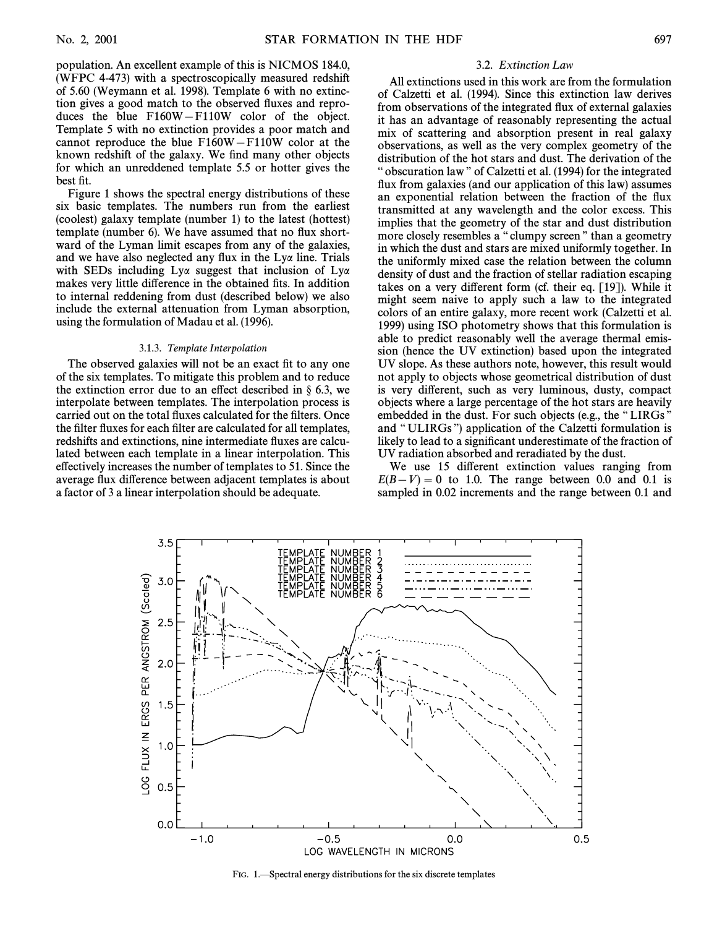population. An excellent example of this is NICMOS 184.0, (WFPC 4-473) with a spectroscopically measured redshift of 5.60 (Weymann et al. 1998). Template 6 with no extinction gives a good match to the observed Ñuxes and reproduces the blue  $F160W-F110W$  color of the object. Template 5 with no extinction provides a poor match and cannot reproduce the blue  $F160W-F110W$  color at the known redshift of the galaxy. We find many other objects for which an unreddened template 5.5 or hotter gives the best fit.

Figure 1 shows the spectral energy distributions of these six basic templates. The numbers run from the earliest (coolest) galaxy template (number 1) to the latest (hottest) template (number 6). We have assumed that no flux shortward of the Lyman limit escapes from any of the galaxies, and we have also neglected any flux in the  $Ly\alpha$  line. Trials with SEDs including  $Ly\alpha$  suggest that inclusion of  $Ly\alpha$ makes very little difference in the obtained fits. In addition to internal reddening from dust (described below) we also include the external attenuation from Lyman absorption, using the formulation of Madau et al. (1996).

#### 3.1.3. Template Interpolation

The observed galaxies will not be an exact fit to any one of the six templates. To mitigate this problem and to reduce the extinction error due to an effect described in  $\S$  6.3, we interpolate between templates. The interpolation process is carried out on the total fluxes calculated for the filters. Once the filter fluxes for each filter are calculated for all templates, redshifts and extinctions, nine intermediate fluxes are calculated between each template in a linear interpolation. This e†ectively increases the number of templates to 51. Since the average Ñux di†erence between adjacent templates is about a factor of 3 a linear interpolation should be adequate.

#### 3.2. Extinction Law

All extinctions used in this work are from the formulation of Calzetti et al. (1994). Since this extinction law derives from observations of the integrated Ñux of external galaxies it has an advantage of reasonably representing the actual mix of scattering and absorption present in real galaxy observations, as well as the very complex geometry of the distribution of the hot stars and dust. The derivation of the " obscuration law" of Calzetti et al. (1994) for the integrated flux from galaxies (and our application of this law) assumes an exponential relation between the fraction of the Ñux transmitted at any wavelength and the color excess. This implies that the geometry of the star and dust distribution more closely resembles a "clumpy screen" than a geometry in which the dust and stars are mixed uniformly together. In the uniformly mixed case the relation between the column density of dust and the fraction of stellar radiation escaping takes on a very different form (cf. their eq.  $[19]$ ). While it might seem naive to apply such a law to the integrated colors of an entire galaxy, more recent work (Calzetti et al. 1999) using ISO photometry shows that this formulation is able to predict reasonably well the average thermal emission (hence the UV extinction) based upon the integrated UV slope. As these authors note, however, this result would not apply to objects whose geometrical distribution of dust is very different, such as very luminous, dusty, compact objects where a large percentage of the hot stars are heavily embedded in the dust. For such objects (e.g., the "LIRGs" and "ULIRGs") application of the Calzetti formulation is likely to lead to a significant underestimate of the fraction of UV radiation absorbed and reradiated by the dust.

We use 15 different extinction values ranging from  $E(B-V) = 0$  to 1.0. The range between 0.0 and 0.1 is sampled in 0.02 increments and the range between 0.1 and



FIG. 1. Spectral energy distributions for the six discrete templates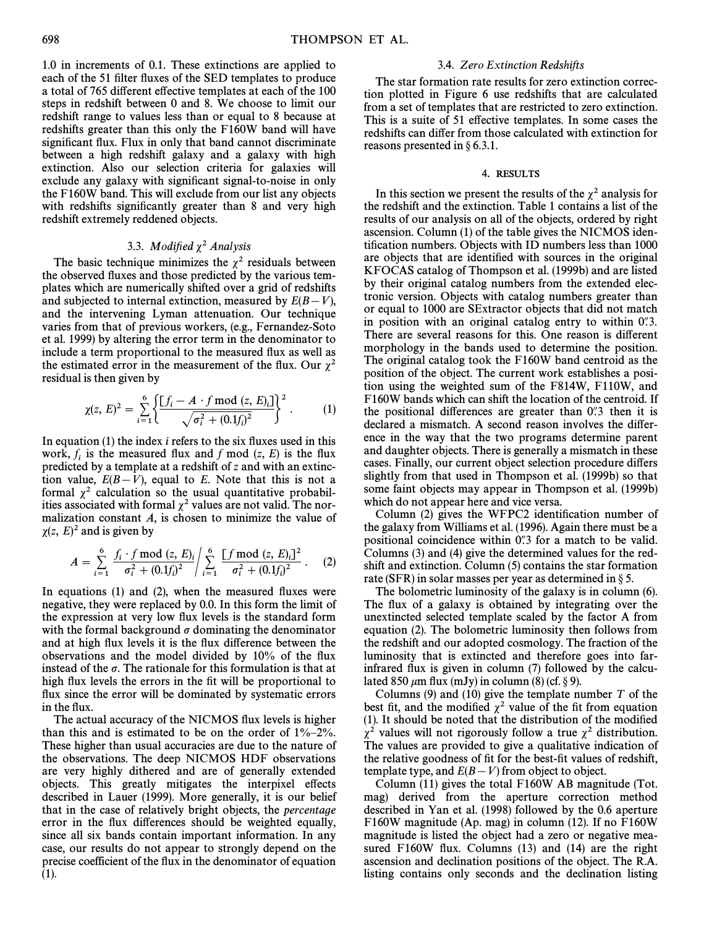1.0 in increments of 0.1. These extinctions are applied to each of the 51 filter fluxes of the SED templates to produce a total of 765 different effective templates at each of the 100 steps in redshift between 0 and 8. We choose to limit our redshift range to values less than or equal to 8 because at redshifts greater than this only the F160W band will have significant flux. Flux in only that band cannot discriminate between a high redshift galaxy and a galaxy with high extinction. Also our selection criteria for galaxies will exclude any galaxy with significant signal-to-noise in only the F160W band. This will exclude from our list any objects with redshifts significantly greater than 8 and very high redshift extremely reddened objects.

## 3.3. Modified  $\chi^2$  Analysis

The basic technique minimizes the  $\chi^2$  residuals between the observed fluxes and those predicted by the various templates which are numerically shifted over a grid of redshifts and subjected to internal extinction, measured by  $E(B-V)$ , and the intervening Lyman attenuation. Our technique varies from that of previous workers, (e.g., Fernandez-Soto et al. 1999) by altering the error term in the denominator to include a term proportional to the measured flux as well as the estimated error in the measurement of the flux. Our  $\chi^2$ residual is then given by

$$
\chi(z, E)^2 = \sum_{i=1}^6 \left\{ \frac{[f_i - A \cdot f \mod (z, E)_i]}{\sqrt{\sigma_i^2 + (0.1f_i)^2}} \right\}^2.
$$
 (1)

In equation  $(1)$  the index *i* refers to the six fluxes used in this work,  $f_i$  is the measured flux and f mod (z, E) is the flux predicted by a template at a redshift of z and with an extinction value,  $E(B-V)$ , equal to E. Note that this is not a formal  $\chi^2$  calculation so the usual quantitative probabilities associated with formal  $\chi^2$  values are not valid. The normalization constant  $A$ , is chosen to minimize the value of  $\chi(z, E)^2$  and is given by

$$
A = \sum_{i=1}^{6} \frac{f_i \cdot f \mod (z, E)_i}{\sigma_i^2 + (0.1f_i)^2} / \sum_{i=1}^{6} \frac{[f \mod (z, E)_i]^2}{\sigma_i^2 + (0.1f_i)^2} . \tag{2}
$$

In equations  $(1)$  and  $(2)$ , when the measured fluxes were negative, they were replaced by 0.0. In this form the limit of the expression at very low flux levels is the standard form with the formal background  $\sigma$  dominating the denominator and at high flux levels it is the flux difference between the observations and the model divided by 10% of the flux instead of the  $\sigma$ . The rationale for this formulation is that at high flux levels the errors in the fit will be proportional to flux since the error will be dominated by systematic errors in the flux.

The actual accuracy of the NICMOS flux levels is higher than this and is estimated to be on the order of  $1\% - 2\%$ . These higher than usual accuracies are due to the nature of the observations. The deep NICMOS HDF observations are very highly dithered and are of generally extended objects. This greatly mitigates the interpixel effects described in Lauer (1999). More generally, it is our belief that in the case of relatively bright objects, the percentage error in the flux differences should be weighted equally, since all six bands contain important information. In any case, our results do not appear to strongly depend on the precise coefficient of the flux in the denominator of equation (1).

## 3.4. Zero Extinction Redshifts

The star formation rate results for zero extinction correction plotted in Figure 6 use redshifts that are calculated from a set of templates that are restricted to zero extinction. This is a suite of 51 effective templates. In some cases the redshifts can differ from those calculated with extinction for reasons presented in  $\S$  6.3.1.

## 4. RESULTS

In this section we present the results of the  $\chi^2$  analysis for the redshift and the extinction. Table 1 contains a list of the results of our analysis on all of the objects, ordered by right ascension. Column (1) of the table gives the NICMOS identification numbers. Objects with ID numbers less than 1000 are objects that are identified with sources in the original KFOCAS catalog of Thompson et al. (1999b) and are listed by their original catalog numbers from the extended electronic version. Objects with catalog numbers greater than or equal to 1000 are SExtractor objects that did not match in position with an original catalog entry to within  $0\rlap{.}^{\prime\prime}3$ . There are several reasons for this. One reason is different morphology in the bands used to determine the position. The original catalog took the F160W band centroid as the position of the object. The current work establishes a position using the weighted sum of the F814W, F110W, and F160W bands which can shift the location of the centroid. If the positional differences are greater than  $0\rlap{.}^{\prime\prime}3$  then it is declared a mismatch. A second reason involves the difference in the way that the two programs determine parent and daughter objects. There is generally a mismatch in these cases. Finally, our current object selection procedure di†ers slightly from that used in Thompson et al. (1999b) so that some faint objects may appear in Thompson et al. (1999b) which do not appear here and vice versa.

Column (2) gives the WFPC2 identification number of the galaxy from Williams et al. (1996). Again there must be a positional coincidence within  $0\overset{''}{.}3$  for a match to be valid. Columns (3) and (4) give the determined values for the redshift and extinction. Column (5) contains the star formation rate (SFR) in solar masses per year as determined in  $\S$ 5.

The bolometric luminosity of the galaxy is in column (6). The flux of a galaxy is obtained by integrating over the unextincted selected template scaled by the factor A from equation (2). The bolometric luminosity then follows from the redshift and our adopted cosmology. The fraction of the luminosity that is extincted and therefore goes into farinfrared flux is given in column (7) followed by the calculated 850  $\mu$ m flux (mJy) in column (8) (cf. § 9).

Columns (9) and (10) give the template number  $T$  of the best fit, and the modified  $\chi^2$  value of the fit from equation  $(1)$ . It should be noted that the distribution of the modified  $\chi^2$  values will not rigorously follow a true  $\chi^2$  distribution. The values are provided to give a qualitative indication of the relative goodness of fit for the best-fit values of redshift, template type, and  $E(B-V)$  from object to object.

Column (11) gives the total F160W AB magnitude (Tot. mag) derived from the aperture correction method described in Yan et al. (1998) followed by the 0.6 aperture F160W magnitude (Ap. mag) in column (12). If no F160W magnitude is listed the object had a zero or negative measured F160W flux. Columns (13) and (14) are the right ascension and declination positions of the object. The R.A. listing contains only seconds and the declination listing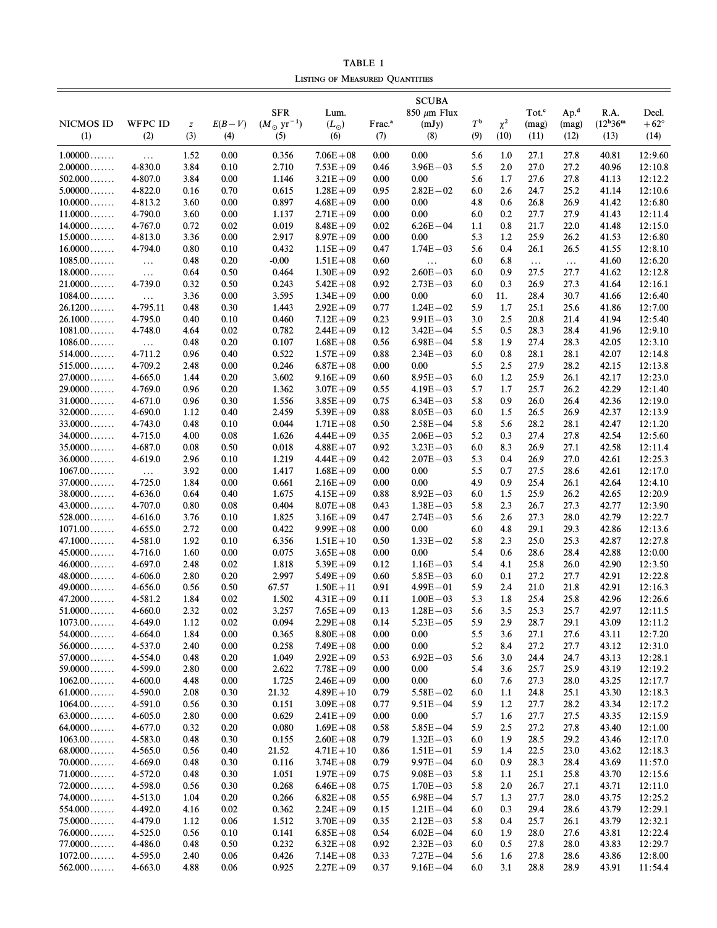TABLE 1 LISTING OF MEASURED QUANTITIES

|                        |                    |                  |              |                               |                              |                    | <b>SCUBA</b>       |                  |            |                   |                  |                         |                    |
|------------------------|--------------------|------------------|--------------|-------------------------------|------------------------------|--------------------|--------------------|------------------|------------|-------------------|------------------|-------------------------|--------------------|
|                        |                    |                  |              | <b>SFR</b>                    | Lum.                         |                    | $850 \ \mu m$ Flux |                  |            | Tot. <sup>c</sup> | Ap. <sup>d</sup> | R.A.                    | Decl.              |
| <b>NICMOS ID</b>       | <b>WFPC ID</b>     | $\boldsymbol{Z}$ | $E(B-V)$     | $(M_{\odot} \text{ yr}^{-1})$ | $(L_{\odot})$                | Frac. <sup>a</sup> | (mJy)              | $T^{\mathsf{b}}$ | $\chi^2$   | (mag)             | (mag)            | $(12^{\rm h}36^{\rm m}$ | $+62^{\circ}$      |
| (1)                    | (2)                | (3)              | (4)          | (5)                           | (6)                          | (7)                | (8)                | (9)              | (10)       | (11)              | (12)             | (13)                    | (14)               |
| $1.00000$              | $\ldots$           | 1.52             | 0.00         | 0.356                         | $7.06E + 08$                 | 0.00               | 0.00               | 5.6              | 1.0        | 27.1              | 27.8             | 40.81                   | 12:9.60            |
| $2.00000$              | 4-830.0            | 3.84             | 0.10         | 2.710                         | $7.53E + 09$                 | 0.46               | $3.96E - 03$       | 5.5              | 2.0        | 27.0              | 27.2             | 40.96                   | 12:10.8            |
| $502.000$              | 4-807.0            | 3.84             | 0.00         | 1.146                         | $3.21E + 09$                 | 0.00               | 0.00               | 5.6              | 1.7        | 27.6              | 27.8             | 41.13                   | 12:12.2            |
| $5.00000$              | 4-822.0            | 0.16             | 0.70         | 0.615                         | $1.28E + 09$                 | 0.95               | $2.82E - 02$       | 6.0              | 2.6        | 24.7              | 25.2             | 41.14                   | 12:10.6            |
| $10.0000$              | 4-813.2            | 3.60             | 0.00         | 0.897                         | $4.68E + 09$                 | 0.00               | 0.00               | 4.8              | 0.6        | 26.8              | 26.9             | 41.42                   | 12:6.80            |
| $11.0000$              | 4-790.0            | 3.60             | 0.00         | 1.137                         | $2.71E + 09$                 | 0.00               | 0.00               | 6.0              | 0.2        | 27.7              | 27.9             | 41.43                   | 12:11.4            |
| $14.0000 \ldots$       | 4-767.0            | 0.72             | 0.02         | 0.019                         | $8.48E + 09$                 | 0.02               | $6.26E - 04$       | 1.1              | 0.8        | 21.7              | 22.0             | 41.48                   | 12:15.0            |
| $15.0000$              | 4-813.0            | 3.36             | 0.00         | 2.917                         | $8.97E + 09$                 | 0.00               | 0.00               | 5.3              | 1.2        | 25.9              | 26.2             | 41.53                   | 12:6.80            |
| $16.0000$              | 4-794.0            | 0.80             | 0.10         | 0.432                         | $1.15E + 09$                 | 0.47               | $1.74E - 03$       | 5.6              | 0.4        | 26.1              | 26.5             | 41.55                   | 12:8.10            |
| $1085.00$              | $\cdots$           | 0.48             | 0.20         | $-0.00$                       | $1.51E + 08$                 | 0.60               | $\ldots$           | 6.0              | 6.8        | $\ldots$          | $\ldots$         | 41.60                   | 12:6.20            |
| $18.0000$              | $\ldots$           | 0.64             | 0.50         | 0.464                         | $1.30E + 09$                 | 0.92               | $2.60E - 03$       | 6.0              | 0.9        | 27.5              | 27.7             | 41.62                   | 12:12.8            |
| $21.0000$              | 4-739.0            | 0.32             | 0.50         | 0.243                         | $5.42E + 08$                 | 0.92               | $2.73E - 03$       | 6.0              | 0.3        | 26.9              | 27.3             | 41.64                   | 12:16.1            |
| $1084.00$              | $\ldots$           | 3.36             | 0.00         | 3.595                         | $1.34E + 09$                 | 0.00               | 0.00               | 6.0              | 11.        | 28.4              | 30.7             | 41.66                   | 12:6.40            |
| 26.1200                | 4-795.11           | 0.48             | 0.30         | 1.443                         | $2.92E + 09$                 | 0.77               | $1.24E - 02$       | 5.9              | 1.7        | 25.1              | 25.6             | 41.86                   | 12:7.00            |
| 26.1000                | 4-795.0            | 0.40             | 0.10         | 0.460                         | $7.12E + 09$                 | 0.23               | $9.91E - 03$       | 3.0              | 2.5        | 20.8              | 21.4             | 41.94                   | 12:5.40            |
| $1081.00 \ldots$       | 4-748.0            | 4.64             | 0.02         | 0.782                         | $2.44E + 09$                 | 0.12               | $3.42E - 04$       | 5.5              | 0.5        | 28.3              | 28.4             | 41.96                   | 12:9.10            |
| $1086.00$              | $\ldots$           | 0.48             | 0.20         | 0.107                         | $1.68E + 08$                 | 0.56               | $6.98E - 04$       | 5.8              | 1.9        | 27.4              | 28.3             | 42.05                   | 12:3.10            |
| $514.000$              | 4-711.2            | 0.96             | 0.40         | 0.522                         | $1.57E + 09$                 | 0.88               | $2.34E - 03$       | 6.0              | 0.8        | 28.1              | 28.1             | 42.07                   | 12:14.8            |
| $515.000$              | 4-709.2            | 2.48             | 0.00         | 0.246                         | $6.87E + 08$                 | 0.00               | 0.00               | 5.5              | 2.5        | 27.9              | 28.2             | 42.15                   | 12:13.8            |
| $27.0000$              | 4-665.0            | 1.44             | 0.20         | 3.602                         | $9.16E + 09$                 | 0.60               | $8.95E - 03$       | 6.0              | 1.2        | 25.9              | 26.1             | 42.17                   | 12:23.0            |
| $29.0000$              | 4-769.0            | 0.96             | 0.20         | 1.362                         | $3.07E + 09$                 | 0.55               | $4.19E - 03$       | 5.7              | 1.7        | 25.7              | 26.2             | 42.29                   | 12:1.40            |
| $31.0000$              | 4-671.0            | 0.96             | 0.30         | 1.556                         | $3.85E + 09$                 | 0.75               | $6.34E - 03$       | 5.8              | 0.9        | 26.0              | 26.4             | 42.36                   | 12:19.0            |
| $32.0000$              | 4-690.0            | 1.12             | 0.40         | 2.459                         | $5.39E + 09$                 | 0.88               | $8.05E - 03$       | 6.0              | 1.5        | 26.5              | 26.9             | 42.37                   | 12:13.9            |
| $33.0000$              | 4-743.0            | 0.48             | 0.10         | 0.044                         | $1.71E + 08$                 | 0.50               | $2.58E - 04$       | 5.8              | 5.6        | 28.2              | 28.1             | 42.47                   | 12:1.20            |
| $34.0000$              | 4-715.0            | 4.00             | 0.08         | 1.626                         | $4.44E + 09$                 | 0.35               | $2.06E - 03$       | 5.2              | 0.3        | 27.4              | 27.8             | 42.54                   | 12:5.60            |
| $35.0000$              | 4-687.0            | 0.08             | 0.50         | 0.018                         | $4.88E + 07$                 | 0.92               | $3.23E - 03$       | 6.0              | 8.3        | 26.9              | 27.1             | 42.58                   | 12:11.4            |
| $36.0000$              | 4-619.0            | 2.96             | 0.10         | 1.219                         | $4.44E + 09$                 | 0.42               | $2.07E - 03$       | 5.3              | 0.4        | 26.9              | 27.0             | 42.61                   | 12:25.3            |
| $1067.00$              | $\ldots$           | 3.92             | 0.00         | 1.417                         | $1.68E + 09$                 | 0.00               | 0.00               | 5.5              | 0.7        | 27.5              | 28.6             | 42.61                   | 12:17.0            |
| $37.0000$              | 4-725.0            | 1.84             | 0.00         | 0.661                         | $2.16E + 09$                 | 0.00               | 0.00               | 4.9              | 0.9        | 25.4              | 26.1             | 42.64                   | 12:4.10            |
| $38.0000$              | 4-636.0            | 0.64             | 0.40         | 1.675                         | $4.15E + 09$                 | 0.88               | $8.92E - 03$       | 6.0              | 1.5        | 25.9              | 26.2             | 42.65                   | 12:20.9            |
| $43.0000$              | 4-707.0            | 0.80             | 0.08         | 0.404                         | $8.07E + 08$                 | 0.43               | $1.38E - 03$       | 5.8              | 2.3        | 26.7              | 27.3             | 42.77                   | 12:3.90            |
| $528.000$              | 4-616.0            | 3.76             | 0.10         | 1.825                         | $3.16E + 09$                 | 0.47               | $2.74E - 03$       | 5.6              | 2.6        | 27.3              | 28.0             | 42.79                   | 12:22.7            |
| $1071.00$              | 4-655.0            | 2.72             | 0.00         | 0.422                         | $9.99E + 08$                 | 0.00               | 0.00               | 6.0              | 4.8        | 29.1              | 29.3             | 42.86                   | 12:13.6            |
| $47.1000$              | 4-581.0            | 1.92             | 0.10         | 6.356                         | $1.51E + 10$                 | 0.50               | $1.33E - 02$       | 5.8              | 2.3        | 25.0              | 25.3             | 42.87                   | 12:27.8            |
| $45.0000$              | 4-716.0            | 1.60             | 0.00         | 0.075                         | $3.65E + 08$                 | 0.00               | 0.00               | 5.4              | 0.6        | 28.6              | 28.4             | 42.88                   | 12:0.00            |
| $46.0000$              | 4-697.0            | 2.48             | 0.02         | 1.818                         | $5.39E + 09$                 | 0.12               | $1.16E - 03$       | 5.4              | 4.1        | 25.8              | 26.0             | 42.90                   | 12:3.50            |
| $48.0000$              | 4-606.0            | 2.80             | 0.20         | 2.997                         | $5.49E + 09$                 | 0.60               | $5.85E - 03$       | 6.0              | 0.1        | 27.2              | 27.7             | 42.91                   | 12:22.8            |
| $49.0000$              | 4-656.0            | 0.56             | 0.50         | 67.57                         | $1.50E + 11$                 | 0.91               | $4.99E - 01$       | 5.9              | 2.4        | 21.0              | 21.8             | 42.91                   | 12:16.3            |
| 47.2000                | 4-581.2            | 1.84             | 0.02         | 1.502                         | $4.31E + 09$                 | 0.11               | $1.00E - 03$       | 5.3              | 1.8        | 25.4              | 25.8             | 42.96                   | 12:26.6            |
| $51.0000$              | 4-660.0            | 2.32             | 0.02         | 3.257                         | $7.65E + 09$                 | 0.13               | $1.28E - 03$       | 5.6              | 3.5        | 25.3              | 25.7             | 42.97                   | 12:11.5            |
| $1073.00\dots\dots$    | 4-649.0            | 1.12             | 0.02         | 0.094                         | $2.29E + 08$                 | 0.14               | $5.23E - 05$       | 5.9              | 2.9        | 28.7              | 29.1             | 43.09                   | 12:11.2            |
| $54.0000$<br>$56.0000$ | 4-664.0<br>4-537.0 | 1.84<br>2.40     | 0.00<br>0.00 | 0.365<br>0.258                | $8.80E + 08$<br>$7.49E + 08$ | 0.00<br>0.00       | 0.00<br>0.00       | 5.5<br>5.2       | 3.6<br>8.4 | 27.1<br>27.2      | 27.6<br>27.7     | 43.11<br>43.12          | 12:7.20<br>12:31.0 |
| $57.0000$              | 4-554.0            | 0.48             | 0.20         | 1.049                         | $2.92E + 09$                 | 0.53               | $6.92E - 03$       | 5.6              | 3.0        | 24.4              | 24.7             | 43.13                   | 12:28.1            |
| $59.0000$              | 4-599.0            | 2.80             | 0.00         | 2.622                         | $7.78E + 09$                 | 0.00               | 0.00               | 5.4              | 3.6        | 25.7              | 25.9             | 43.19                   | 12:19.2            |
| $1062.00 \ldots$       | 4-600.0            | 4.48             | 0.00         | 1.725                         | $2.46E + 09$                 | 0.00               | 0.00               | 6.0              | 7.6        | 27.3              | 28.0             | 43.25                   | 12:17.7            |
| $61.0000$              | 4-590.0            | 2.08             | 0.30         | 21.32                         | $4.89E + 10$                 | 0.79               | $5.58E - 02$       | 6.0              | 1.1        | 24.8              | 25.1             | 43.30                   | 12:18.3            |
| $1064.00\dots$         | 4-591.0            | 0.56             | 0.30         | 0.151                         | $3.09E + 08$                 | 0.77               | $9.51E - 04$       | 5.9              | 1.2        | 27.7              | 28.2             | 43.34                   | 12:17.2            |
| $63.0000$              | 4-605.0            | 2.80             | 0.00         | 0.629                         | $2.41E + 09$                 | 0.00               | 0.00               | 5.7              | 1.6        | 27.7              | 27.5             | 43.35                   | 12:15.9            |
| $64.0000$              | 4-677.0            | 0.32             | 0.20         | 0.080                         | $1.69E + 08$                 | 0.58               | $5.85E - 04$       | 5.9              | 2.5        | 27.2              | 27.8             | 43.40                   | 12:1.00            |
| $1063.00\dots$         | 4-583.0            | 0.48             | 0.30         | 0.155                         | $2.60E + 08$                 | 0.79               | $1.32E - 03$       | 6.0              | 1.9        | 28.5              | 29.2             | 43.46                   | 12:17.0            |
| $68.0000$              | 4-565.0            | 0.56             | 0.40         | 21.52                         | $4.71E + 10$                 | 0.86               | $1.51E - 01$       | 5.9              | 1.4        | 22.5              | 23.0             | 43.62                   | 12:18.3            |
| $70.0000$              | 4-669.0            | 0.48             | 0.30         | 0.116                         | $3.74E + 08$                 | 0.79               | $9.97E - 04$       | 6.0              | 0.9        | 28.3              | 28.4             | 43.69                   | 11:57.0            |
| $71.0000$              | 4-572.0            | 0.48             | 0.30         | 1.051                         | $1.97E + 09$                 | 0.75               | $9.08E - 03$       | 5.8              | 1.1        | 25.1              | 25.8             | 43.70                   | 12:15.6            |
| $72.0000$              | 4-598.0            | 0.56             | 0.30         | 0.268                         | $6.46E + 08$                 | 0.75               | $1.70E - 03$       | 5.8              | 2.0        | 26.7              | 27.1             | 43.71                   | 12:11.0            |
| $74.0000$              | 4-513.0            | 1.04             | 0.20         | 0.266                         | $6.82E + 08$                 | 0.55               | $6.98E - 04$       | 5.7              | 1.3        | 27.7              | 28.0             | 43.75                   | 12:25.2            |
| $554.000 \ldots$       | 4-492.0            | 4.16             | 0.02         | 0.362                         | $2.24E + 09$                 | 0.15               | $1.21E - 04$       | 6.0              | 0.3        | 29.4              | 28.6             | 43.79                   | 12:29.1            |
| $75.0000$              | 4-479.0            | 1.12             | 0.06         | 1.512                         | $3.70E + 09$                 | 0.35               | $2.12E - 03$       | 5.8              | 0.4        | 25.7              | 26.1             | 43.79                   | 12:32.1            |
| $76.0000$              | 4-525.0            | 0.56             | 0.10         | 0.141                         | $6.85E + 08$                 | 0.54               | $6.02E - 04$       | 6.0              | 1.9        | 28.0              | 27.6             | 43.81                   | 12:22.4            |
| $77.0000$              | 4-486.0            | 0.48             | 0.50         | 0.232                         | $6.32E + 08$                 | 0.92               | $2.32E - 03$       | 6.0              | 0.5        | 27.8              | 28.0             | 43.83                   | 12:29.7            |
| $1072.00$              | 4-595.0            | 2.40             | 0.06         | 0.426                         | $7.14E + 08$                 | 0.33               | $7.27E - 04$       | 5.6              | 1.6        | 27.8              | 28.6             | 43.86                   | 12:8.00            |
| $562.000$              | 4-663.0            | 4.88             | 0.06         | 0.925                         | $2.27E + 09$                 | 0.37               | $9.16E - 04$       | 6.0              | 3.1        | 28.8              | 28.9             | 43.91                   | 11:54.4            |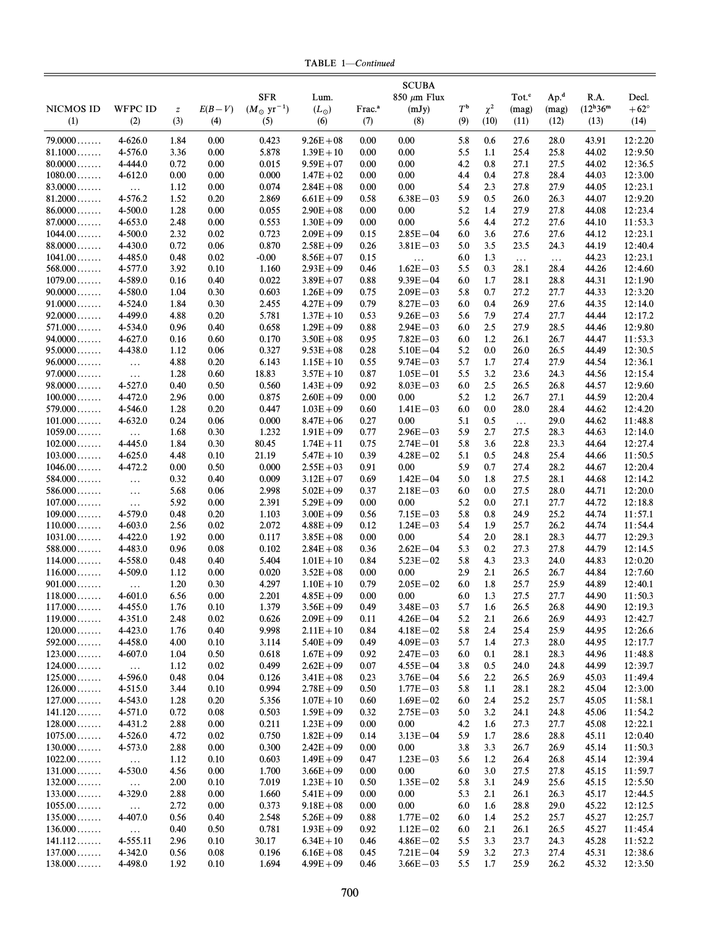TABLE 1-Continued

|                                    |                     |                  |              |                               |                              |                    | <b>SCUBA</b>                 |                  |            |                   |                  |                         |                    |
|------------------------------------|---------------------|------------------|--------------|-------------------------------|------------------------------|--------------------|------------------------------|------------------|------------|-------------------|------------------|-------------------------|--------------------|
|                                    |                     |                  |              | <b>SFR</b>                    | Lum.                         |                    | $850 \ \mu m$ Flux           |                  |            | Tot. <sup>c</sup> | Ap. <sup>d</sup> | R.A.                    | Decl.              |
| <b>NICMOS ID</b>                   | <b>WFPC ID</b>      | $\boldsymbol{Z}$ | $E(B-V)$     | $(M_{\odot} \text{ yr}^{-1})$ | $(L_{\odot})$                | Frac. <sup>a</sup> | (mJy)                        | $T^{\mathsf{b}}$ | $\chi^2$   | (mag)             | (mag)            | $(12^{\rm h}36^{\rm m}$ | $+62^{\circ}$      |
| (1)                                | (2)                 | (3)              | (4)          | (5)                           | (6)                          | (7)                | (8)                          | (9)              | (10)       | (11)              | (12)             | (13)                    | (14)               |
| $79.0000$                          | 4-626.0             | 1.84             | 0.00         | 0.423                         | $9.26E + 08$                 | 0.00               | 0.00                         | 5.8              | 0.6        | 27.6              | 28.0             | 43.91                   | 12:2.20            |
| 81.1000                            | 4-576.0             | 3.36             | 0.00         | 5.878                         | $1.39E + 10$                 | 0.00               | 0.00                         | 5.5              | 1.1        | 25.4              | 25.8             | 44.02                   | 12:9.50            |
| $80.0000$                          | 4-444.0             | 0.72             | 0.00         | 0.015                         | $9.59E + 07$                 | 0.00               | 0.00                         | 4.2              | 0.8        | 27.1              | 27.5             | 44.02                   | 12:36.5            |
| $1080.00 \ldots$                   | 4-612.0             | 0.00             | 0.00         | 0.000                         | $1.47E + 02$                 | 0.00               | 0.00                         | 4.4              | 0.4        | 27.8              | 28.4             | 44.03                   | 12:3.00            |
| $83.0000$                          | $\ldots$            | 1.12             | 0.00         | 0.074                         | $2.84E + 08$                 | 0.00               | 0.00                         | 5.4              | 2.3        | 27.8              | 27.9             | 44.05                   | 12:23.1            |
| $81.2000$                          | 4-576.2             | 1.52             | 0.20         | 2.869                         | $6.61E + 09$                 | 0.58               | $6.38E - 03$                 | 5.9              | 0.5        | 26.0              | 26.3             | 44.07                   | 12:9.20            |
| 86.0000                            | 4-500.0             | 1.28             | 0.00         | 0.055                         | $2.90E + 08$                 | 0.00               | 0.00                         | 5.2              | 1.4        | 27.9              | 27.8             | 44.08                   | 12:23.4            |
| $87.0000$                          | 4-653.0             | 2.48             | 0.00         | 0.553                         | $1.30E + 09$                 | 0.00               | 0.00                         | 5.6              | 4.4        | 27.2              | 27.6             | 44.10                   | 11:53.3            |
| $1044.00 \ldots$<br>88.0000        | 4-500.0<br>4-430.0  | 2.32<br>0.72     | 0.02<br>0.06 | 0.723<br>0.870                | $2.09E + 09$<br>$2.58E + 09$ | 0.15<br>0.26       | $2.85E - 04$<br>$3.81E - 03$ | 6.0<br>5.0       | 3.6<br>3.5 | 27.6<br>23.5      | 27.6<br>24.3     | 44.12<br>44.19          | 12:23.1<br>12:40.4 |
| $1041.00 \ldots$                   | 4-485.0             | 0.48             | 0.02         | $-0.00$                       | $8.56E + 07$                 | 0.15               |                              | 6.0              | 1.3        | $\ldots$          |                  | 44.23                   | 12:23.1            |
| $568.000$                          | 4-577.0             | 3.92             | 0.10         | 1.160                         | $2.93E + 09$                 | 0.46               | $\ldots$<br>$1.62E - 03$     | 5.5              | 0.3        | 28.1              | $\ldots$<br>28.4 | 44.26                   | 12:4.60            |
| $1079.00\dots\dots$                | 4-589.0             | 0.16             | 0.40         | 0.022                         | $3.89E + 07$                 | 0.88               | $9.39E - 04$                 | 6.0              | 1.7        | 28.1              | 28.8             | 44.31                   | 12:1.90            |
| $90.0000$                          | 4-580.0             | 1.04             | 0.30         | 0.603                         | $1.26E + 09$                 | 0.75               | $2.09E - 03$                 | 5.8              | 0.7        | 27.2              | 27.7             | 44.33                   | 12:3.20            |
| $91.0000$                          | 4-524.0             | 1.84             | 0.30         | 2.455                         | $4.27E + 09$                 | 0.79               | $8.27E - 03$                 | 6.0              | 0.4        | 26.9              | 27.6             | 44.35                   | 12:14.0            |
| $92.0000 \ldots$                   | 4-499.0             | 4.88             | 0.20         | 5.781                         | $1.37E + 10$                 | 0.53               | $9.26E - 03$                 | 5.6              | 7.9        | 27.4              | 27.7             | 44.44                   | 12:17.2            |
| $571.000$                          | 4-534.0             | 0.96             | 0.40         | 0.658                         | $1.29E + 09$                 | 0.88               | $2.94E - 03$                 | 6.0              | 2.5        | 27.9              | 28.5             | 44.46                   | 12:9.80            |
| $94.0000$                          | 4-627.0             | 0.16             | 0.60         | 0.170                         | $3.50E + 08$                 | 0.95               | $7.82E - 03$                 | 6.0              | 1.2        | 26.1              | 26.7             | 44.47                   | 11:53.3            |
| $95.0000$                          | 4-438.0             | 1.12             | 0.06         | 0.327                         | $9.53E + 08$                 | 0.28               | $5.10E - 04$                 | 5.2              | 0.0        | 26.0              | 26.5             | 44.49                   | 12:30.5            |
| $96.0000$<br>$97.0000$             | $\ldots$            | 4.88             | 0.20         | 6.143                         | $1.15E + 10$                 | 0.55               | $9.74E - 03$                 | 5.7<br>5.5       | 1.7        | 27.4              | 27.9             | 44.54                   | 12:36.1            |
| $98.0000$                          | $\ldots$<br>4-527.0 | 1.28<br>0.40     | 0.60<br>0.50 | 18.83<br>0.560                | $3.57E + 10$<br>$1.43E + 09$ | 0.87<br>0.92       | $1.05E - 01$<br>$8.03E - 03$ | 6.0              | 3.2<br>2.5 | 23.6<br>26.5      | 24.3<br>26.8     | 44.56<br>44.57          | 12:15.4<br>12:9.60 |
| $100.000 \ldots$                   | 4-472.0             | 2.96             | 0.00         | 0.875                         | $2.60E + 09$                 | 0.00               | 0.00                         | 5.2              | 1.2        | 26.7              | 27.1             | 44.59                   | 12:20.4            |
| $579.000$                          | 4-546.0             | 1.28             | 0.20         | 0.447                         | $1.03E + 09$                 | 0.60               | $1.41E - 03$                 | 6.0              | $0.0\,$    | 28.0              | 28.4             | 44.62                   | 12:4.20            |
| $101.000 \ldots$                   | 4-632.0             | 0.24             | 0.06         | 0.000                         | $8.47E + 06$                 | 0.27               | 0.00                         | 5.1              | 0.5        | $\ldots$          | 29.0             | 44.62                   | 11:48.8            |
| $1059.00$                          | $\ldots$            | 1.68             | 0.30         | 1.232                         | $1.91E + 09$                 | 0.77               | $2.96E - 03$                 | 5.9              | 2.7        | 27.5              | 28.3             | 44.63                   | 12:14.0            |
| $102.000 \ldots$                   | 4-445.0             | 1.84             | 0.30         | 80.45                         | $1.74E + 11$                 | 0.75               | $2.74E - 01$                 | 5.8              | 3.6        | 22.8              | 23.3             | 44.64                   | 12:27.4            |
| $103.000$                          | 4-625.0             | 4.48             | 0.10         | 21.19                         | $5.47E + 10$                 | 0.39               | $4.28E - 02$                 | 5.1              | 0.5        | 24.8              | 25.4             | 44.66                   | 11:50.5            |
| $1046.00\dots\dots$                | 4-472.2             | 0.00             | 0.50         | 0.000                         | $2.55E + 03$                 | 0.91               | 0.00                         | 5.9              | 0.7        | 27.4              | 28.2             | 44.67                   | 12:20.4            |
| $584.000$                          | $\ldots$            | 0.32             | 0.40         | 0.009                         | $3.12E + 07$                 | 0.69               | $1.42E - 04$                 | 5.0              | 1.8        | 27.5              | 28.1             | 44.68                   | 12:14.2            |
| $586.000\dots\dots$                | $\ldots$            | 5.68             | 0.06         | 2.998                         | $5.02E + 09$                 | 0.37               | $2.18E - 03$                 | 6.0              | 0.0        | 27.5              | 28.0             | 44.71                   | 12:20.0            |
| $107.000$                          | $\ldots$            | 5.92             | 0.00         | 2.391                         | $5.29E + 09$                 | 0.00               | 0.00                         | 5.2              | 0.0        | 27.1              | 27.7             | 44.72                   | 12:18.8            |
| $109.000$<br>$110.000$             | 4-579.0<br>4-603.0  | 0.48<br>2.56     | 0.20<br>0.02 | 1.103<br>2.072                | $3.00E + 09$<br>$4.88E + 09$ | 0.56<br>0.12       | $7.15E - 03$<br>$1.24E - 03$ | 5.8<br>5.4       | 0.8<br>1.9 | 24.9<br>25.7      | 25.2<br>26.2     | 44.74<br>44.74          | 11:57.1<br>11:54.4 |
| $1031.00\dots\dots$                | 4-422.0             | 1.92             | 0.00         | 0.117                         | $3.85E + 08$                 | 0.00               | 0.00                         | 5.4              | 2.0        | 28.1              | 28.3             | 44.77                   | 12:29.3            |
| $588.000$                          | 4-483.0             | 0.96             | 0.08         | 0.102                         | $2.84E + 08$                 | 0.36               | $2.62E - 04$                 | 5.3              | 0.2        | 27.3              | 27.8             | 44.79                   | 12:14.5            |
| $114.000$                          | 4-558.0             | 0.48             | 0.40         | 5.404                         | $1.01E + 10$                 | 0.84               | $5.23E - 02$                 | 5.8              | 4.3        | 23.3              | 24.0             | 44.83                   | 12:0.20            |
| $116.000 \ldots$                   | 4-509.0             | 1.12             | 0.00         | 0.020                         | $3.52E + 08$                 | 0.00               | 0.00                         | 2.9              | 2.1        | 26.5              | 26.7             | 44.84                   | 12:7.60            |
| $901.000$                          | $\ldots$            | 1.20             | 0.30         | 4.297                         | $1.10E + 10$                 | 0.79               | $2.05E - 02$                 | 6.0              | 1.8        | 25.7              | 25.9             | 44.89                   | 12:40.1            |
| $118.000$                          | 4-601.0             | 6.56             | 0.00         | 2.201                         | $4.85E + 09$                 | 0.00               | 0.00                         | 6.0              | 1.3        | 27.5              | 27.7             | 44.90                   | 11:50.3            |
| $117.000\dots$                     | 4-455.0             | 1.76             | 0.10         | 1.379                         | $3.56E + 09$                 | 0.49               | $3.48E - 03$                 | 5.7              | 1.6        | 26.5              | 26.8             | 44.90                   | 12:19.3            |
| $119.000$                          | 4-351.0             | 2.48             | 0.02         | 0.626                         | $2.09E + 09$                 | 0.11               | $4.26E - 04$                 | 5.2              | 2.1        | 26.6              | 26.9             | 44.93                   | 12:42.7            |
| $120.000\ldots\ldots$<br>$592.000$ | 4-423.0<br>4-458.0  | 1.76             | 0.40         | 9.998                         | $2.11E + 10$                 | 0.84               | $4.18E - 02$                 | 5.8              | 2.4        | 25.4              | 25.9             | 44.95                   | 12:26.6<br>12:17.7 |
| $123.000$                          | 4-607.0             | 4.00<br>1.04     | 0.10<br>0.50 | 3.114<br>0.618                | $5.40E + 09$<br>$1.67E + 09$ | 0.49<br>0.92       | $4.09E - 03$<br>$2.47E - 03$ | 5.7<br>6.0       | 1.4<br>0.1 | 27.3<br>28.1      | 28.0<br>28.3     | 44.95<br>44.96          | 11:48.8            |
| $124.000 \ldots$                   | $\ldots$            | 1.12             | 0.02         | 0.499                         | $2.62E + 09$                 | 0.07               | $4.55E - 04$                 | 3.8              | 0.5        | 24.0              | 24.8             | 44.99                   | 12:39.7            |
| $125.000$                          | 4-596.0             | 0.48             | 0.04         | 0.126                         | $3.41E + 08$                 | 0.23               | $3.76E - 04$                 | 5.6              | 2.2        | 26.5              | 26.9             | 45.03                   | 11:49.4            |
| $126.000$                          | 4-515.0             | 3.44             | 0.10         | 0.994                         | $2.78E + 09$                 | 0.50               | $1.77E - 03$                 | 5.8              | 1.1        | 28.1              | 28.2             | 45.04                   | 12:3.00            |
| $127.000\ldots\ldots$              | 4-543.0             | 1.28             | 0.20         | 5.356                         | $1.07E + 10$                 | 0.60               | $1.69E - 02$                 | 6.0              | 2.4        | 25.2              | 25.7             | 45.05                   | 11:58.1            |
| 141.120                            | 4-571.0             | 0.72             | 0.08         | 0.503                         | $1.59E + 09$                 | 0.32               | $2.75E - 03$                 | 5.0              | 3.2        | 24.1              | 24.8             | 45.06                   | 11:54.2            |
| $128.000$                          | 4-431.2             | 2.88             | 0.00         | 0.211                         | $1.23E + 09$                 | $0.00\,$           | 0.00                         | 4.2              | 1.6        | 27.3              | 27.7             | 45.08                   | 12:22.1            |
| $1075.00 \ldots$                   | 4-526.0             | 4.72             | 0.02         | 0.750                         | $1.82E + 09$                 | 0.14               | $3.13E - 04$                 | 5.9              | 1.7        | 28.6              | 28.8             | 45.11                   | 12:0.40            |
| $130.000$                          | 4-573.0             | 2.88             | 0.00         | 0.300                         | $2.42E + 09$                 | 0.00               | $0.00\,$                     | 3.8              | 3.3        | 26.7              | 26.9             | 45.14                   | 11:50.3            |
| $1022.00 \ldots$<br>$131.000$      | $\ldots$<br>4-530.0 | 1.12             | 0.10<br>0.00 | 0.603<br>1.700                | $1.49E + 09$                 | 0.47               | $1.23E - 03$<br>0.00         | 5.6<br>6.0       | 1.2<br>3.0 | 26.4              | 26.8             | 45.14<br>45.15          | 12:39.4            |
| $132.000$                          |                     | 4.56<br>2.00     | 0.10         | 7.019                         | $3.66E + 09$<br>$1.23E + 10$ | 0.00<br>0.50       | $1.35E - 02$                 | 5.8              | 3.1        | 27.5<br>24.9      | 27.8<br>25.6     | 45.15                   | 11:59.7<br>12:5.50 |
| $133.000$                          | $\ldots$<br>4-329.0 | 2.88             | 0.00         | 1.660                         | $5.41E + 09$                 | 0.00               | 0.00                         | 5.3              | 2.1        | 26.1              | 26.3             | 45.17                   | 12:44.5            |
| $1055.00$                          | $\ldots$            | 2.72             | 0.00         | 0.373                         | $9.18E + 08$                 | 0.00               | 0.00                         | 6.0              | 1.6        | 28.8              | 29.0             | 45.22                   | 12:12.5            |
| $135.000$                          | 4-407.0             | 0.56             | 0.40         | 2.548                         | $5.26E + 09$                 | 0.88               | $1.77E - 02$                 | 6.0              | 1.4        | 25.2              | 25.7             | 45.27                   | 12:25.7            |
| $136.000$                          | $\ldots$            | 0.40             | 0.50         | 0.781                         | $1.93E + 09$                 | 0.92               | $1.12E - 02$                 | 6.0              | 2.1        | 26.1              | 26.5             | 45.27                   | 11:45.4            |
| 141.112                            | 4-555.11            | 2.96             | 0.10         | 30.17                         | $6.34E + 10$                 | 0.46               | $4.86E - 02$                 | 5.5              | 3.3        | 23.7              | 24.3             | 45.28                   | 11:52.2            |
| $137.000$                          | 4-342.0             | 0.56             | 0.08         | 0.196                         | $6.16E + 08$                 | 0.45               | $7.21E - 04$                 | 5.9              | 3.2        | 27.3              | 27.4             | 45.31                   | 12:38.6            |
| $138.000\ldots\ldots$              | 4-498.0             | 1.92             | 0.10         | 1.694                         | $4.99E + 09$                 | 0.46               | $3.66E - 03$                 | 5.5              | 1.7        | 25.9              | 26.2             | 45.32                   | 12:3.50            |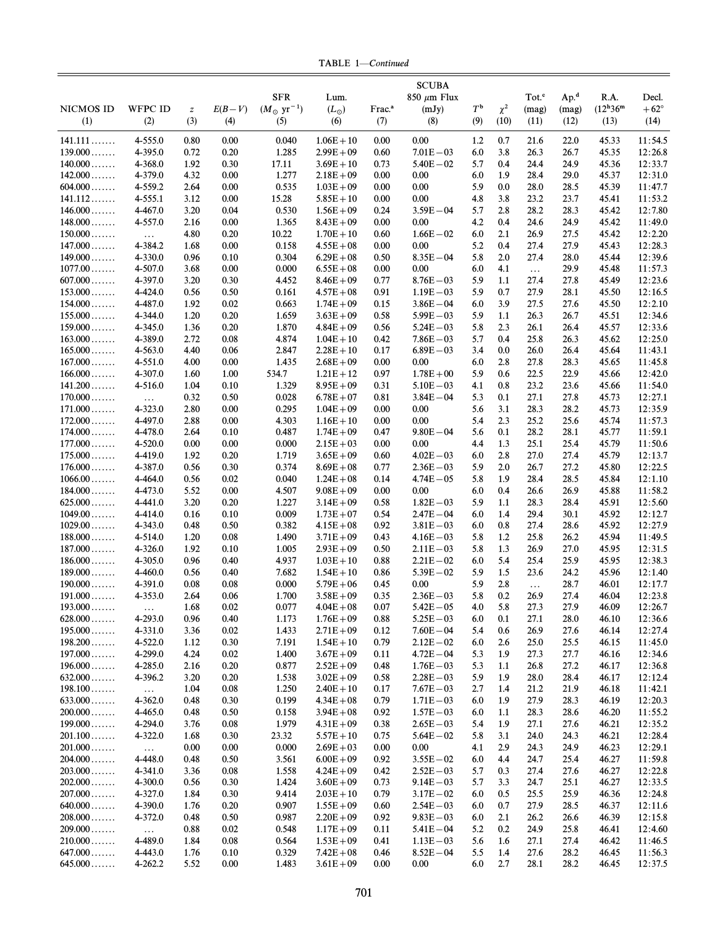TABLE 1-Continued

|                        |                     |                  |              |                               |                              |                    | <b>SCUBA</b>                 |                  |            |                   |                  |                         |                    |
|------------------------|---------------------|------------------|--------------|-------------------------------|------------------------------|--------------------|------------------------------|------------------|------------|-------------------|------------------|-------------------------|--------------------|
|                        |                     |                  |              | <b>SFR</b>                    | Lum.                         |                    | $850 \mu m$ Flux             |                  |            | Tot. <sup>c</sup> | Ap. <sup>d</sup> | R.A.                    | Decl.              |
| <b>NICMOS ID</b>       | <b>WFPC ID</b>      | $\boldsymbol{Z}$ | $E(B-V)$     | $(M_{\odot} \text{ yr}^{-1})$ | $(L_{\odot})$                | Frac. <sup>a</sup> | (mJy)                        | $T^{\mathsf{b}}$ | $\chi^2$   | (mag)             | (mag)            | $(12^{\rm h}36^{\rm m}$ | $+62^{\circ}$      |
| (1)                    | (2)                 | (3)              | (4)          | (5)                           | (6)                          | (7)                | (8)                          | (9)              | (10)       | (11)              | (12)             | (13)                    | (14)               |
| 141.111                | 4-555.0             | 0.80             | 0.00         | 0.040                         | $1.06E + 10$                 | 0.00               | 0.00                         | 1.2              | 0.7        | 21.6              | 22.0             | 45.33                   | 11:54.5            |
| $139.000 \ldots$       | 4-395.0             | 0.72             | 0.20         | 1.285                         | $2.99E + 09$                 | 0.60               | $7.01E - 03$                 | 6.0              | 3.8        | 26.3              | 26.7             | 45.35                   | 12:26.8            |
| $140.000$              | 4-368.0             | 1.92             | 0.30         | 17.11                         | $3.69E + 10$                 | 0.73               | $5.40E - 02$                 | 5.7              | 0.4        | 24.4              | 24.9             | 45.36                   | 12:33.7            |
| $142.000 \ldots$       | 4-379.0             | 4.32             | 0.00         | 1.277                         | $2.18E + 09$                 | 0.00               | 0.00                         | 6.0              | 1.9        | 28.4              | 29.0             | 45.37                   | 12:31.0            |
| $604.000$              | 4-559.2             | 2.64             | 0.00         | 0.535                         | $1.03E + 09$                 | 0.00               | 0.00                         | 5.9              | 0.0        | 28.0              | 28.5             | 45.39                   | 11:47.7            |
| 141.112                | 4-555.1             | 3.12             | 0.00         | 15.28                         | $5.85E + 10$                 | 0.00               | 0.00                         | 4.8              | 3.8        | 23.2              | 23.7             | 45.41                   | 11:53.2            |
| $146.000 \ldots$       | 4-467.0             | 3.20             | 0.04         | 0.530                         | $1.56E + 09$                 | 0.24               | $3.59E - 04$                 | 5.7              | 2.8        | 28.2              | 28.3             | 45.42                   | 12:7.80            |
| $148.000$              | 4-557.0             | 2.16             | 0.00         | 1.365                         | $8.43E + 09$                 | 0.00               | 0.00                         | 4.2              | 0.4        | 24.6              | 24.9             | 45.42                   | 11:49.0            |
| $150.000$              | $\ldots$            | 4.80             | 0.20         | 10.22                         | $1.70E + 10$                 | 0.60               | $1.66E - 02$                 | 6.0              | 2.1        | 26.9              | 27.5             | 45.42                   | 12:2.20            |
| $147.000$              | 4-384.2             | 1.68             | 0.00         | 0.158                         | $4.55E + 08$                 | 0.00               | 0.00                         | 5.2              | 0.4        | 27.4              | 27.9             | 45.43                   | 12:28.3            |
| $149.000$              | 4-330.0             | 0.96             | 0.10         | 0.304                         | $6.29E + 08$                 | 0.50               | $8.35E - 04$                 | 5.8              | 2.0        | 27.4              | 28.0             | 45.44                   | 12:39.6            |
| $1077.00$              | 4-507.0             | 3.68             | 0.00         | 0.000                         | $6.55E + 08$                 | 0.00               | 0.00                         | 6.0              | 4.1        | $\ldots$          | 29.9             | 45.48                   | 11:57.3            |
| $607.000$              | 4-397.0             | 3.20             | 0.30         | 4.452                         | $8.46E + 09$                 | 0.77               | $8.76E - 03$                 | 5.9              | 1.1        | 27.4              | 27.8             | 45.49                   | 12:23.6            |
| $153.000$              | 4-424.0             | 0.56             | 0.50         | 0.161                         | $4.57E + 08$                 | 0.91               | $1.19E - 03$                 | 5.9              | 0.7        | 27.9              | 28.1             | 45.50                   | 12:16.5            |
| $154.000$              | 4-487.0             | 1.92             | 0.02         | 0.663                         | $1.74E + 09$                 | 0.15               | $3.86E - 04$                 | 6.0              | 3.9        | 27.5              | 27.6             | 45.50                   | 12:2.10            |
| $155.000$              | 4-344.0             | 1.20             | 0.20         | 1.659                         | $3.63E + 09$                 | 0.58               | $5.99E - 03$                 | 5.9              | 1.1        | 26.3              | 26.7             | 45.51                   | 12:34.6            |
| $159.000$              | 4-345.0             | 1.36             | 0.20         | 1.870                         | $4.84E + 09$                 | 0.56               | $5.24E - 03$                 | 5.8              | 2.3        | 26.1              | 26.4             | 45.57                   | 12:33.6            |
| $163.000$              | 4-389.0             | 2.72             | 0.08         | 4.874                         | $1.04E + 10$<br>$2.28E + 10$ | 0.42               | $7.86E - 03$                 | 5.7              | 0.4        | 25.8              | 26.3             | 45.62                   | 12:25.0            |
| $165.000$<br>$167.000$ | 4-563.0             | 4.40             | 0.06         | 2.847                         |                              | 0.17               | $6.89E - 03$                 | 3.4              | 0.0        | 26.0              | 26.4             | 45.64                   | 11:43.1            |
| $166.000$              | 4-551.0<br>4-307.0  | 4.00<br>1.60     | 0.00<br>1.00 | 1.435<br>534.7                | $2.68E + 09$<br>$1.21E + 12$ | 0.00<br>0.97       | 0.00<br>$1.78E + 00$         | 6.0<br>5.9       | 2.8<br>0.6 | 27.8<br>22.5      | 28.3<br>22.9     | 45.65<br>45.66          | 11:45.8<br>12:42.0 |
| 141.200                | 4-516.0             | 1.04             | 0.10         | 1.329                         | $8.95E + 09$                 | 0.31               | $5.10E - 03$                 | 4.1              | 0.8        | 23.2              | 23.6             | 45.66                   | 11:54.0            |
| $170.000$              |                     | 0.32             | 0.50         | 0.028                         | $6.78E + 07$                 | 0.81               | $3.84E - 04$                 | 5.3              | 0.1        | 27.1              | 27.8             | 45.73                   | 12:27.1            |
| $171.000$              | $\ldots$<br>4-323.0 | 2.80             | 0.00         | 0.295                         | $1.04E + 09$                 | 0.00               | 0.00                         | 5.6              | 3.1        | 28.3              | 28.2             | 45.73                   | 12:35.9            |
| $172.000$              | 4-497.0             | 2.88             | 0.00         | 4.303                         | $1.16E + 10$                 | 0.00               | 0.00                         | 5.4              | 2.3        | 25.2              | 25.6             | 45.74                   | 11:57.3            |
| $174.000 \ldots$       | 4-478.0             | 2.64             | 0.10         | 0.487                         | $1.74E + 09$                 | 0.47               | $9.80E - 04$                 | 5.6              | 0.1        | 28.2              | 28.1             | 45.77                   | 11:59.1            |
| $177.000$              | 4-520.0             | 0.00             | 0.00         | 0.000                         | $2.15E + 03$                 | 0.00               | 0.00                         | 4.4              | 1.3        | 25.1              | 25.4             | 45.79                   | 11:50.6            |
| $175.000$              | 4-419.0             | 1.92             | 0.20         | 1.719                         | $3.65E + 09$                 | 0.60               | $4.02E - 03$                 | 6.0              | 2.8        | 27.0              | 27.4             | 45.79                   | 12:13.7            |
| $176.000\dots\dots$    | 4-387.0             | 0.56             | 0.30         | 0.374                         | $8.69E + 08$                 | 0.77               | $2.36E - 03$                 | 5.9              | 2.0        | 26.7              | 27.2             | 45.80                   | 12:22.5            |
| $1066.00$              | 4-464.0             | 0.56             | 0.02         | 0.040                         | $1.24E + 08$                 | 0.14               | $4.74E - 05$                 | 5.8              | 1.9        | 28.4              | 28.5             | 45.84                   | 12:1.10            |
| $184.000$              | 4-473.0             | 5.52             | 0.00         | 4.507                         | $9.08E + 09$                 | 0.00               | 0.00                         | 6.0              | 0.4        | 26.6              | 26.9             | 45.88                   | 11:58.2            |
| $625.000\dots\dots$    | 4-441.0             | 3.20             | 0.20         | 1.227                         | $3.14E + 09$                 | 0.58               | $1.82E - 03$                 | 5.9              | 1.1        | 28.3              | 28.4             | 45.91                   | 12:5.60            |
| $1049.00$              | 4-414.0             | 0.16             | 0.10         | 0.009                         | $1.73E + 07$                 | 0.54               | $2.47E - 04$                 | 6.0              | 1.4        | 29.4              | 30.1             | 45.92                   | 12:12.7            |
| $1029.00 \ldots$       | 4-343.0             | 0.48             | 0.50         | 0.382                         | $4.15E + 08$                 | 0.92               | $3.81E - 03$                 | 6.0              | 0.8        | 27.4              | 28.6             | 45.92                   | 12:27.9            |
| $188.000$              | 4-514.0             | 1.20             | 0.08         | 1.490                         | $3.71E + 09$                 | 0.43               | $4.16E - 03$                 | 5.8              | 1.2        | 25.8              | 26.2             | 45.94                   | 11:49.5            |
| $187.000$              | 4-326.0             | 1.92             | 0.10         | 1.005                         | $2.93E + 09$                 | 0.50               | $2.11E - 03$                 | 5.8              | 1.3        | 26.9              | 27.0             | 45.95                   | 12:31.5            |
| $186.000$<br>$189.000$ | 4-305.0             | 0.96             | 0.40<br>0.40 | 4.937<br>7.682                | $1.03E + 10$                 | 0.88               | $2.21E - 02$<br>$5.39E - 02$ | 6.0<br>5.9       | 5.4<br>1.5 | 25.4<br>23.6      | 25.9             | 45.95<br>45.96          | 12:38.3<br>12:1.40 |
| $190.000$              | 4-460.0<br>4-391.0  | 0.56<br>0.08     | 0.08         | 0.000                         | $1.54E + 10$<br>$5.79E + 06$ | 0.86<br>0.45       | 0.00                         | 5.9              | 2.8        |                   | 24.2<br>28.7     | 46.01                   | 12:17.7            |
| $191.000$              | 4-353.0             | 2.64             | 0.06         | 1.700                         | $3.58E + 09$                 | 0.35               | $2.36E - 03$                 | 5.8              | 0.2        | $\ldots$<br>26.9  | 27.4             | 46.04                   | 12:23.8            |
| $193.000\dots\dots$    | $\ldots$            | 1.68             | 0.02         | 0.077                         | $4.04E + 08$                 | 0.07               | $5.42E - 05$                 | 4.0              | 5.8        | 27.3              | 27.9             | 46.09                   | 12:26.7            |
| $628.000\dots\dots$    | 4-293.0             | 0.96             | 0.40         | 1.173                         | $1.76E + 09$                 | 0.88               | $5.25E - 03$                 | 6.0              | 0.1        | 27.1              | 28.0             | 46.10                   | 12:36.6            |
| $195.000$              | 4-331.0             | 3.36             | 0.02         | 1.433                         | $2.71E + 09$                 | 0.12               | $7.60E - 04$                 | 5.4              | 0.6        | 26.9              | 27.6             | 46.14                   | 12:27.4            |
| 198.200                | 4-522.0             | 1.12             | 0.30         | 7.191                         | $1.54E + 10$                 | 0.79               | $2.12E - 02$                 | 6.0              | 2.6        | 25.0              | 25.5             | 46.15                   | 11:45.0            |
| $197.000$              | 4-299.0             | 4.24             | 0.02         | 1.400                         | $3.67E + 09$                 | 0.11               | $4.72E - 04$                 | 5.3              | 1.9        | 27.3              | 27.7             | 46.16                   | 12:34.6            |
| $196.000$              | 4-285.0             | 2.16             | 0.20         | 0.877                         | $2.52E + 09$                 | 0.48               | $1.76E - 03$                 | 5.3              | 1.1        | 26.8              | 27.2             | 46.17                   | 12:36.8            |
| $632.000$              | 4-396.2             | 3.20             | 0.20         | 1.538                         | $3.02E + 09$                 | 0.58               | $2.28E - 03$                 | 5.9              | 1.9        | 28.0              | 28.4             | 46.17                   | 12:12.4            |
| 198.100                | $\ldots$            | 1.04             | 0.08         | 1.250                         | $2.40E + 10$                 | 0.17               | $7.67E - 03$                 | 2.7              | 1.4        | 21.2              | 21.9             | 46.18                   | 11:42.1            |
| $633.000$              | $4 - 362.0$         | 0.48             | 0.30         | 0.199                         | $4.34E + 08$                 | 0.79               | $1.71E - 03$                 | 6.0              | 1.9        | 27.9              | 28.3             | 46.19                   | 12:20.3            |
| $200.000$              | 4-465.0             | 0.48             | 0.50         | 0.158                         | $3.94E + 08$                 | 0.92               | $1.57E - 03$                 | 6.0              | 1.1        | 28.3              | 28.6             | 46.20                   | 11:55.2            |
| $199.000$              | 4-294.0             | 3.76             | 0.08         | 1.979                         | $4.31E + 09$                 | 0.38               | $2.65E - 03$                 | 5.4              | 1.9        | 27.1              | 27.6             | 46.21                   | 12:35.2            |
| $201.100$              | $4 - 322.0$         | 1.68             | 0.30         | 23.32                         | $5.57E + 10$                 | 0.75               | $5.64E - 02$                 | 5.8              | 3.1        | 24.0              | 24.3             | 46.21                   | 12:28.4            |
| $201.000$              | $\ldots$            | 0.00             | 0.00         | 0.000                         | $2.69E + 03$                 | 0.00               | 0.00                         | 4.1              | 2.9        | 24.3              | 24.9             | 46.23                   | 12:29.1            |
| $204.000$<br>$203.000$ | 4-448.0             | 0.48             | 0.50         | 3.561                         | $6.00E + 09$                 | 0.92               | $3.55E - 02$<br>$2.52E - 03$ | 6.0              | 4.4        | 24.7              | 25.4             | 46.27                   | 11:59.8            |
| $202.000$              | 4-341.0<br>4-300.0  | 3.36<br>0.56     | 0.08<br>0.30 | 1.558<br>1.424                | $4.24E + 09$<br>$3.60E + 09$ | 0.42<br>0.73       | $9.14E - 03$                 | 5.7<br>5.7       | 0.3<br>3.3 | 27.4<br>24.7      | 27.6<br>25.1     | 46.27<br>46.27          | 12:22.8<br>12:33.5 |
| $207.000$              | 4-327.0             | 1.84             | 0.30         | 9.414                         | $2.03E + 10$                 | 0.79               | $3.17E - 02$                 | 6.0              | 0.5        | 25.5              | 25.9             | 46.36                   | 12:24.8            |
| $640.000$              | 4-390.0             | 1.76             | 0.20         | 0.907                         | $1.55E + 09$                 | 0.60               | $2.54E - 03$                 | 6.0              | 0.7        | 27.9              | 28.5             | 46.37                   | 12:11.6            |
| $208.000$              | 4-372.0             | 0.48             | 0.50         | 0.987                         | $2.20E + 09$                 | 0.92               | $9.83E - 03$                 | 6.0              | 2.1        | 26.2              | 26.6             | 46.39                   | 12:15.8            |
| $209.000$              | $\cdots$            | 0.88             | 0.02         | 0.548                         | $1.17E + 09$                 | 0.11               | $5.41E - 04$                 | 5.2              | 0.2        | 24.9              | 25.8             | 46.41                   | 12:4.60            |
| $210.000$              | 4-489.0             | 1.84             | 0.08         | 0.564                         | $1.53E + 09$                 | 0.41               | $1.13E - 03$                 | 5.6              | 1.6        | 27.1              | 27.4             | 46.42                   | 11:46.5            |
| $647.000$              | 4-443.0             | 1.76             | 0.10         | 0.329                         | $7.42E + 08$                 | 0.46               | $8.52E - 04$                 | 5.5              | 1.4        | 27.6              | 28.2             | 46.45                   | 11:56.3            |
| $645.000$              | 4-262.2             | 5.52             | 0.00         | 1.483                         | $3.61E + 09$                 | 0.00               | 0.00                         | 6.0              | 2.7        | 28.1              | 28.2             | 46.45                   | 12:37.5            |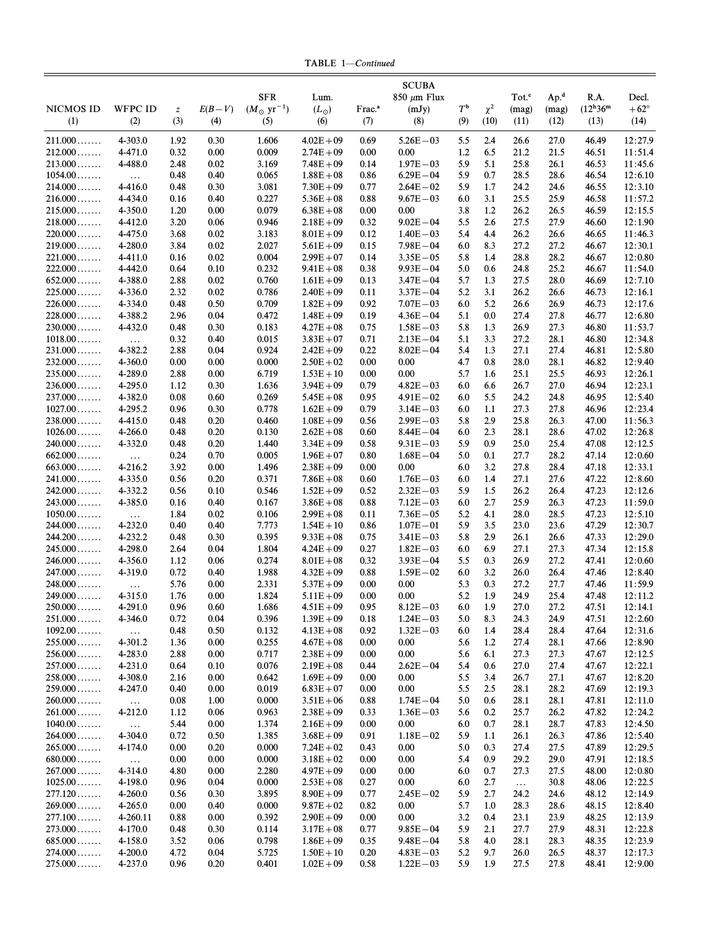TABLE 1-Continued

|                               |                     |                  |              |                                             |                              |                    | <b>SCUBA</b>                 |                  |            |                            |                           |                                 |                        |
|-------------------------------|---------------------|------------------|--------------|---------------------------------------------|------------------------------|--------------------|------------------------------|------------------|------------|----------------------------|---------------------------|---------------------------------|------------------------|
| <b>NICMOS ID</b>              | <b>WFPC ID</b>      | $\boldsymbol{Z}$ | $E(B-V)$     | <b>SFR</b><br>$(M_{\odot} \text{ yr}^{-1})$ | Lum.<br>$(L_{\odot})$        | Frac. <sup>a</sup> | 850 $\mu$ m Flux<br>(mJy)    | $T^{\mathsf{b}}$ | $\chi^2$   | Tot. <sup>c</sup><br>(mag) | Ap. <sup>d</sup><br>(mag) | R.A.<br>$(12^{\rm h}36^{\rm m}$ | Decl.<br>$+62^{\circ}$ |
| (1)                           | (2)                 | (3)              | (4)          | (5)                                         | (6)                          | (7)                | (8)                          | (9)              | (10)       | (11)                       | (12)                      | (13)                            | (14)                   |
|                               |                     |                  |              |                                             |                              |                    |                              |                  |            |                            |                           |                                 |                        |
| $211.000$<br>$212.000$        | 4-303.0             | 1.92             | 0.30         | 1.606                                       | $4.02E + 09$                 | 0.69               | $5.26E - 03$<br>0.00         | 5.5              | 2.4<br>6.5 | 26.6                       | 27.0                      | 46.49                           | 12:27.9                |
| $213.000$                     | 4-471.0<br>4-488.0  | 0.32<br>2.48     | 0.00<br>0.02 | 0.009<br>3.169                              | $2.74E + 09$<br>$7.48E + 09$ | 0.00<br>0.14       | $1.97E - 03$                 | 1.2<br>5.9       | 5.1        | 21.2<br>25.8               | 21.5<br>26.1              | 46.51<br>46.53                  | 11:51.4<br>11:45.6     |
| $1054.00\dots\dots$           | $\ldots$            | 0.48             | 0.40         | 0.065                                       | $1.88E + 08$                 | 0.86               | $6.29E - 04$                 | 5.9              | 0.7        | 28.5                       | 28.6                      | 46.54                           | 12:6.10                |
| $214.000$                     | 4-416.0             | 0.48             | 0.30         | 3.081                                       | $7.30E + 09$                 | 0.77               | $2.64E - 02$                 | 5.9              | 1.7        | 24.2                       | 24.6                      | 46.55                           | 12:3.10                |
| $216.000$                     | 4-434.0             | 0.16             | 0.40         | 0.227                                       | $5.36E + 08$                 | 0.88               | $9.67E - 03$                 | 6.0              | 3.1        | 25.5                       | 25.9                      | 46.58                           | 11:57.2                |
| $215.000$                     | 4-350.0             | 1.20             | 0.00         | 0.079                                       | $6.38E + 08$                 | 0.00               | 0.00                         | 3.8              | 1.2        | 26.2                       | 26.5                      | 46.59                           | 12:15.5                |
| $218.000$                     | 4-412.0             | 3.20             | 0.06         | 0.946                                       | $2.18E + 09$                 | 0.32               | $9.02E - 04$                 | 5.5              | 2.6        | 27.5                       | 27.9                      | 46.60                           | 12:1.90                |
| $220.000$                     | 4-475.0             | 3.68             | 0.02         | 3.183                                       | $8.01E + 09$                 | 0.12               | $1.40E - 03$                 | 5.4              | 4.4        | 26.2                       | 26.6                      | 46.65                           | 11:46.3                |
| $219.000$                     | 4-280.0             | 3.84             | 0.02         | 2.027                                       | $5.61E + 09$                 | 0.15               | $7.98E - 04$                 | 6.0              | 8.3        | 27.2                       | 27.2                      | 46.67                           | 12:30.1                |
| $221.000$                     | 4-411.0             | 0.16             | 0.02         | 0.004                                       | $2.99E + 07$                 | 0.14               | $3.35E - 05$                 | 5.8              | 1.4        | 28.8                       | 28.2                      | 46.67                           | 12:0.80                |
| $222.000$<br>$652.000$        | 4-442.0<br>4-388.0  | 0.64<br>2.88     | 0.10<br>0.02 | 0.232<br>0.760                              | $9.41E + 08$<br>$1.61E + 09$ | 0.38<br>0.13       | $9.93E - 04$<br>$3.47E - 04$ | 5.0<br>5.7       | 0.6<br>1.3 | 24.8<br>27.5               | 25.2<br>28.0              | 46.67<br>46.69                  | 11:54.0<br>12:7.10     |
| $225.000$                     | 4-336.0             | 2.32             | 0.02         | 0.786                                       | $2.40E + 09$                 | 0.11               | $3.37E - 04$                 | 5.2              | 3.1        | 26.2                       | 26.6                      | 46.73                           | 12:16.1                |
| $226.000$                     | 4-334.0             | 0.48             | 0.50         | 0.709                                       | $1.82E + 09$                 | 0.92               | $7.07E - 03$                 | 6.0              | 5.2        | 26.6                       | 26.9                      | 46.73                           | 12:17.6                |
| $228.000$                     | 4-388.2             | 2.96             | 0.04         | 0.472                                       | $1.48E + 09$                 | 0.19               | $4.36E - 04$                 | 5.1              | 0.0        | 27.4                       | 27.8                      | 46.77                           | 12:6.80                |
| $230.000$                     | 4-432.0             | 0.48             | 0.30         | 0.183                                       | $4.27E + 08$                 | 0.75               | $1.58E - 03$                 | 5.8              | 1.3        | 26.9                       | 27.3                      | 46.80                           | 11:53.7                |
| $1018.00\dots\dots$           | $\ldots$            | 0.32             | 0.40         | 0.015                                       | $3.83E + 07$                 | 0.71               | $2.13E - 04$                 | 5.1              | 3.3        | 27.2                       | 28.1                      | 46.80                           | 12:34.8                |
| $231.000$                     | 4-382.2             | 2.88             | 0.04         | 0.924                                       | $2.42E + 09$                 | 0.22               | $8.02E - 04$                 | 5.4              | 1.3        | 27.1                       | 27.4                      | 46.81                           | 12:5.80                |
| $232.000$                     | 4-360.0             | 0.00             | 0.00         | 0.000                                       | $2.50E + 02$                 | 0.00               | 0.00                         | 4.7              | 0.8        | 28.0                       | 28.1                      | 46.82                           | 12:9.40                |
| $235.000$                     | 4-289.0             | 2.88             | 0.00         | 6.719                                       | $1.53E + 10$                 | 0.00               | 0.00                         | 5.7              | 1.6        | 25.1                       | 25.5                      | 46.93                           | 12:26.1                |
| $236.000$                     | 4-295.0             | 1.12             | 0.30         | 1.636                                       | $3.94E + 09$                 | 0.79               | $4.82E - 03$                 | 6.0              | 6.6        | 26.7                       | 27.0                      | 46.94                           | 12:23.1                |
| $237.000$<br>$1027.00 \ldots$ | 4-382.0<br>4-295.2  | 0.08<br>0.96     | 0.60<br>0.30 | 0.269<br>0.778                              | $5.45E + 08$<br>$1.62E + 09$ | 0.95<br>0.79       | $4.91E - 02$<br>$3.14E - 03$ | 6.0<br>6.0       | 5.5<br>1.1 | 24.2<br>27.3               | 24.8<br>27.8              | 46.95<br>46.96                  | 12:5.40<br>12:23.4     |
| $238.000$                     | 4-415.0             | 0.48             | 0.20         | 0.460                                       | $1.08E + 09$                 | 0.56               | $2.99E - 03$                 | 5.8              | 2.9        | 25.8                       | 26.3                      | 47.00                           | 11:56.3                |
| $1026.00\dots\dots$           | 4-266.0             | 0.48             | 0.20         | 0.130                                       | $2.62E + 08$                 | 0.60               | $8.44E - 04$                 | 6.0              | 2.3        | 28.1                       | 28.6                      | 47.02                           | 12:26.8                |
| $240.000$                     | 4-332.0             | 0.48             | 0.20         | 1.440                                       | $3.34E + 09$                 | 0.58               | $9.31E - 03$                 | 5.9              | 0.9        | 25.0                       | 25.4                      | 47.08                           | 12:12.5                |
| $662.000$                     | $\ldots$            | 0.24             | 0.70         | 0.005                                       | $1.96E + 07$                 | 0.80               | $1.68E - 04$                 | 5.0              | 0.1        | 27.7                       | 28.2                      | 47.14                           | 12:0.60                |
| $663.000$                     | $4 - 216.2$         | 3.92             | 0.00         | 1.496                                       | $2.38E + 09$                 | 0.00               | 0.00                         | 6.0              | 3.2        | 27.8                       | 28.4                      | 47.18                           | 12:33.1                |
| $241.000$                     | 4-335.0             | 0.56             | 0.20         | 0.371                                       | $7.86E + 08$                 | 0.60               | $1.76E - 03$                 | 6.0              | 1.4        | 27.1                       | 27.6                      | 47.22                           | 12:8.60                |
| $242.000\dots\dots$           | 4-332.2             | 0.56             | 0.10         | 0.546                                       | $1.52E + 09$                 | 0.52               | $2.32E - 03$                 | 5.9              | 1.5        | 26.2                       | 26.4                      | 47.23                           | 12:12.6                |
| $243.000$                     | 4-385.0             | 0.16             | 0.40         | 0.167                                       | $3.86E + 08$                 | 0.88               | $7.12E - 03$                 | 6.0              | 2.7        | 25.9                       | 26.3                      | 47.23                           | 11:59.0                |
| $1050.00$                     | $\ldots$            | 1.84             | 0.02         | 0.106                                       | $2.99E + 08$                 | 0.11               | $7.36E - 05$                 | 5.2              | 4.1        | 28.0                       | 28.5                      | 47.23                           | 12:5.10                |
| $244.000 \ldots$<br>244.200   | 4-232.0<br>4-232.2  | 0.40<br>0.48     | 0.40<br>0.30 | 7.773<br>0.395                              | $1.54E + 10$<br>$9.33E + 08$ | 0.86<br>0.75       | $1.07E - 01$<br>$3.41E - 03$ | 5.9<br>5.8       | 3.5<br>2.9 | 23.0<br>26.1               | 23.6<br>26.6              | 47.29<br>47.33                  | 12:30.7<br>12:29.0     |
| $245.000$                     | 4-298.0             | 2.64             | 0.04         | 1.804                                       | $4.24E + 09$                 | 0.27               | $1.82E - 03$                 | 6.0              | 6.9        | 27.1                       | 27.3                      | 47.34                           | 12:15.8                |
| $246.000\dots$                | 4-356.0             | 1.12             | 0.06         | 0.274                                       | $8.01E + 08$                 | 0.32               | $3.93E - 04$                 | 5.5              | 0.3        | 26.9                       | 27.2                      | 47.41                           | 12:0.60                |
| $247.000$                     | 4-319.0             | 0.72             | 0.40         | 1.988                                       | $4.32E + 09$                 | 0.88               | $1.59E - 02$                 | 6.0              | 3.2        | 26.0                       | 26.4                      | 47.46                           | 12:8.40                |
| $248.000$                     | $\ldots$            | 5.76             | 0.00         | 2.331                                       | $5.37E + 09$                 | 0.00               | 0.00                         | 5.3              | 0.3        | 27.2                       | 27.7                      | 47.46                           | 11:59.9                |
| $249.000\dots$                | 4-315.0             | 1.76             | 0.00         | 1.824                                       | $5.11E + 09$                 | 0.00               | 0.00                         | 5.2              | 1.9        | 24.9                       | 25.4                      | 47.48                           | 12:11.2                |
| $250.000$                     | 4-291.0             | 0.96             | 0.60         | 1.686                                       | $4.51E + 09$                 | 0.95               | $8.12E - 03$                 | 6.0              | 1.9        | 27.0                       | 27.2                      | 47.51                           | 12:14.1                |
| $251.000$                     | 4-346.0             | 0.72             | 0.04         | 0.396                                       | $1.39E + 09$                 | 0.18               | $1.24E - 03$                 | 5.0              | 8.3        | 24.3                       | 24.9                      | 47.51                           | 12:2.60                |
| $1092.00 \ldots$<br>$255.000$ | $\cdots$<br>4-301.2 | 0.48             | 0.50<br>0.00 | 0.132                                       | $4.13E + 08$<br>$4.67E + 08$ | 0.92               | $1.32E - 03$<br>0.00         | 6.0              | 1.4        | 28.4                       | 28.4<br>28.1              | 47.64                           | 12:31.6                |
| $256.000$                     | 4-283.0             | 1.36<br>2.88     | 0.00         | 0.255<br>0.717                              | $2.38E + 09$                 | 0.00<br>0.00       | 0.00                         | 5.6<br>5.6       | 1.2<br>6.1 | 27.4<br>27.3               | 27.3                      | 47.66<br>47.67                  | 12:8.90<br>12:12.5     |
| $257.000$                     | 4-231.0             | 0.64             | 0.10         | 0.076                                       | $2.19E + 08$                 | 0.44               | $2.62E - 04$                 | 5.4              | 0.6        | 27.0                       | 27.4                      | 47.67                           | 12:22.1                |
| $258.000$                     | 4-308.0             | 2.16             | 0.00         | 0.642                                       | $1.69E + 09$                 | 0.00               | 0.00                         | 5.5              | 3.4        | 26.7                       | 27.1                      | 47.67                           | 12:8.20                |
| $259.000$                     | 4-247.0             | 0.40             | 0.00         | 0.019                                       | $6.83E + 07$                 | 0.00               | 0.00                         | 5.5              | 2.5        | 28.1                       | 28.2                      | 47.69                           | 12:19.3                |
| $260.000$                     | $\ldots$            | 0.08             | 1.00         | 0.000                                       | $3.51E + 06$                 | 0.88               | $1.74E - 04$                 | 5.0              | 0.6        | 28.1                       | 28.1                      | 47.81                           | 12:11.0                |
| $261.000$                     | 4-212.0             | 1.12             | 0.06         | 0.963                                       | $2.38E + 09$                 | 0.33               | $1.36E - 03$                 | 5.6              | 0.2        | 25.7                       | 26.2                      | 47.82                           | 12:24.2                |
| $1040.00 \ldots$              | $\ldots$            | 5.44             | 0.00         | 1.374                                       | $2.16E + 09$                 | 0.00               | 0.00                         | 6.0              | 0.7        | 28.1                       | 28.7                      | 47.83                           | 12:4.50                |
| $264.000$                     | 4-304.0             | 0.72             | 0.50         | 1.385                                       | $3.68E + 09$                 | 0.91               | $1.18E - 02$                 | 5.9              | 1.1        | 26.1                       | 26.3                      | 47.86                           | 12:5.40                |
| $265.000$                     | 4-174.0             | 0.00             | 0.20         | 0.000                                       | $7.24E + 02$                 | 0.43               | 0.00                         | 5.0              | 0.3        | 27.4                       | 27.5                      | 47.89                           | 12:29.5                |
| $680.000$<br>$267.000$        | $\dots$<br>4-314.0  | 0.00<br>4.80     | 0.00<br>0.00 | 0.000<br>2.280                              | $3.18E + 02$<br>$4.97E + 09$ | 0.00<br>0.00       | 0.00<br>0.00                 | 5.4<br>6.0       | 0.9<br>0.7 | 29.2<br>27.3               | 29.0<br>27.5              | 47.91<br>48.00                  | 12:18.5<br>12:0.80     |
| $1025.00\dots\dots$           | 4-198.0             | 0.96             | 0.04         | 0.000                                       | $2.53E + 08$                 | 0.27               | 0.00                         | 6.0              | 2.7        | $\ddots$                   | 30.8                      | 48.06                           | 12:22.5                |
| 277.120                       | 4-260.0             | 0.56             | 0.30         | 3.895                                       | $8.90E + 09$                 | 0.77               | $2.45E - 02$                 | 5.9              | 2.7        | 24.2                       | 24.6                      | 48.12                           | 12:14.9                |
| $269.000$                     | 4-265.0             | 0.00             | 0.40         | 0.000                                       | $9.87E + 02$                 | 0.82               | 0.00                         | 5.7              | 1.0        | 28.3                       | 28.6                      | 48.15                           | 12:8.40                |
| 277.100                       | 4-260.11            | 0.88             | 0.00         | 0.392                                       | $2.90E + 09$                 | 0.00               | 0.00                         | 3.2              | 0.4        | 23.1                       | 23.9                      | 48.25                           | 12:13.9                |
| $273.000$                     | 4-170.0             | 0.48             | 0.30         | 0.114                                       | $3.17E + 08$                 | 0.77               | $9.85E - 04$                 | 5.9              | 2.1        | 27.7                       | 27.9                      | 48.31                           | 12:22.8                |
| $685.000$                     | 4-158.0             | 3.52             | 0.06         | 0.798                                       | $1.86E + 09$                 | 0.35               | $9.48E - 04$                 | 5.8              | 4.0        | 28.1                       | 28.3                      | 48.35                           | 12:23.9                |
| $274.000\dots$                | $4 - 200.0$         | 4.72             | 0.04         | 5.725                                       | $1.50E + 10$                 | 0.20               | $4.83E - 03$                 | 5.2              | 9.7        | 26.0                       | 26.5                      | 48.37                           | 12:17.3                |
| $275.000$                     | 4-237.0             | 0.96             | 0.20         | 0.401                                       | $1.02E + 09$                 | 0.58               | $1.22E - 03$                 | 5.9              | 1.9        | 27.5                       | 27.8                      | 48.41                           | 12:9.00                |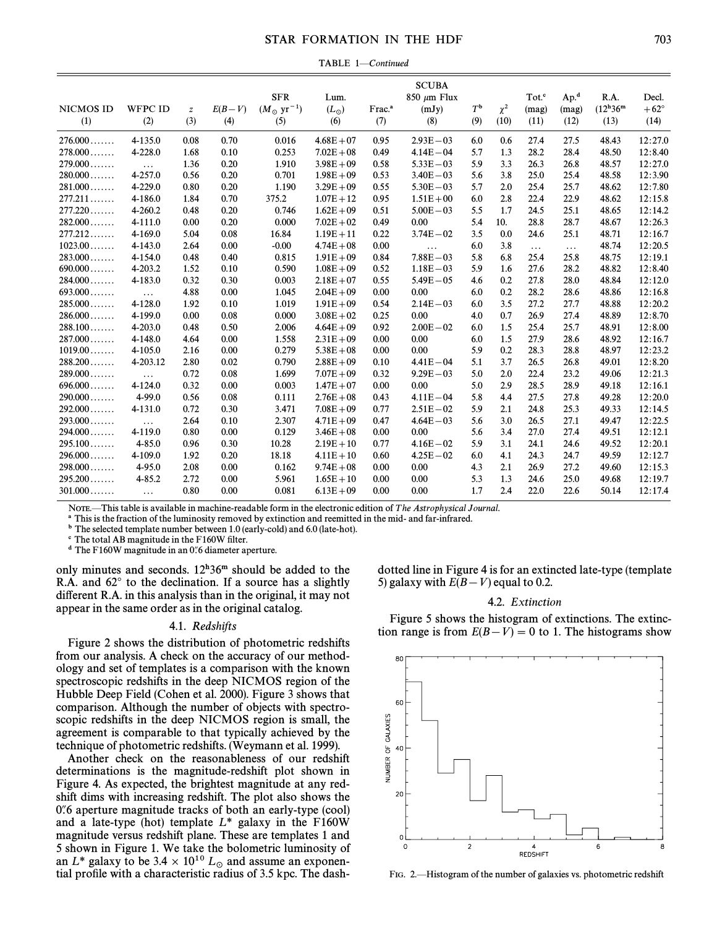## STAR FORMATION IN THE HDF 703

TABLE 1-Continued

| <b>NICMOS ID</b><br>(1) | <b>WFPC ID</b><br>(2) | $\boldsymbol{z}$<br>(3) | $E(B-V)$<br>(4) | <b>SFR</b><br>$(M_{\odot} \text{ yr}^{-1})$<br>(5) | Lum.<br>$(L_{\odot})$<br>(6) | Frac. <sup>a</sup><br>(7) | <b>SCUBA</b><br>850 $\mu$ m Flux<br>(mJy)<br>(8) | $T^{\mathsf{b}}$<br>(9) | $\chi^2$<br>(10) | Tot. <sup>c</sup><br>(mag)<br>(11) | Ap. <sup>d</sup><br>(mag)<br>(12) | R.A.<br>$(12^{\rm h}36^{\rm m}$<br>(13) | Decl.<br>$+62^{\circ}$<br>(14) |
|-------------------------|-----------------------|-------------------------|-----------------|----------------------------------------------------|------------------------------|---------------------------|--------------------------------------------------|-------------------------|------------------|------------------------------------|-----------------------------------|-----------------------------------------|--------------------------------|
| $276.000$               | 4-135.0               | 0.08                    | 0.70            | 0.016                                              | $4.68E + 07$                 | 0.95                      | $2.93E - 03$                                     | 6.0                     | 0.6              | 27.4                               | 27.5                              | 48.43                                   | 12:27.0                        |
| $278.000$               | 4-228.0               | 1.68                    | 0.10            | 0.253                                              | $7.02E + 08$                 | 0.49                      | $4.14E - 04$                                     | 5.7                     | 1.3              | 28.2                               | 28.4                              | 48.50                                   | 12:8.40                        |
| $279.000$               | $\cdots$              | 1.36                    | 0.20            | 1.910                                              | $3.98E + 09$                 | 0.58                      | $5.33E - 03$                                     | 5.9                     | 3.3              | 26.3                               | 26.8                              | 48.57                                   | 12:27.0                        |
| $280.000$               | 4-257.0               | 0.56                    | 0.20            | 0.701                                              | $1.98E + 09$                 | 0.53                      | $3.40E - 03$                                     | 5.6                     | 3.8              | 25.0                               | 25.4                              | 48.58                                   | 12:3.90                        |
| 281.000                 | 4-229.0               | 0.80                    | 0.20            | 1.190                                              | $3.29E + 09$                 | 0.55                      | $5.30E - 03$                                     | 5.7                     | 2.0              | 25.4                               | 25.7                              | 48.62                                   | 12:7.80                        |
| 277.211                 | 4-186.0               | 1.84                    | 0.70            | 375.2                                              | $1.07E + 12$                 | 0.95                      | $1.51E + 00$                                     | 6.0                     | 2.8              | 22.4                               | 22.9                              | 48.62                                   | 12:15.8                        |
| 277.220                 | 4-260.2               | 0.48                    | 0.20            | 0.746                                              | $1.62E + 09$                 | 0.51                      | $5.00E - 03$                                     | 5.5                     | 1.7              | 24.5                               | 25.1                              | 48.65                                   | 12:14.2                        |
| 282.000                 | 4-111.0               | 0.00                    | 0.20            | 0.000                                              | $7.02E + 02$                 | 0.49                      | 0.00                                             | 5.4                     | 10.              | 28.8                               | 28.7                              | 48.67                                   | 12:26.3                        |
| 277.212                 | 4-169.0               | 5.04                    | 0.08            | 16.84                                              | $1.19E + 11$                 | 0.22                      | $3.74E - 02$                                     | 3.5                     | 0.0              | 24.6                               | 25.1                              | 48.71                                   | 12:16.7                        |
| $1023.00\dots\dots$     | 4-143.0               | 2.64                    | 0.00            | $-0.00$                                            | $4.74E + 08$                 | 0.00                      | $\cdots$                                         | 6.0                     | 3.8              | $\cdots$                           | $\ldots$                          | 48.74                                   | 12:20.5                        |
| $283.000$               | 4-154.0               | 0.48                    | 0.40            | 0.815                                              | $1.91E + 09$                 | 0.84                      | $7.88E - 03$                                     | 5.8                     | 6.8              | 25.4                               | 25.8                              | 48.75                                   | 12:19.1                        |
| $690.000$               | 4-203.2               | 1.52                    | 0.10            | 0.590                                              | $1.08E + 09$                 | 0.52                      | $1.18E - 03$                                     | 5.9                     | 1.6              | 27.6                               | 28.2                              | 48.82                                   | 12:8.40                        |
| 284.000                 | 4-183.0               | 0.32                    | 0.30            | 0.003                                              | $2.18E + 07$                 | 0.55                      | $5.49E - 05$                                     | 4.6                     | 0.2              | 27.8                               | 28.0                              | 48.84                                   | 12:12.0                        |
| $693.000$               | $\cdots$              | 4.88                    | 0.00            | 1.045                                              | $2.04E + 09$                 | 0.00                      | 0.00                                             | 6.0                     | 0.2              | 28.2                               | 28.6                              | 48.86                                   | 12:16.8                        |
| $285.000$               | 4-128.0               | 1.92                    | 0.10            | 1.019                                              | $1.91E + 09$                 | 0.54                      | $2.14E - 03$                                     | 6.0                     | 3.5              | 27.2                               | 27.7                              | 48.88                                   | 12:20.2                        |
| $286.000$               | 4-199.0               | 0.00                    | 0.08            | 0.000                                              | $3.08E + 02$                 | 0.25                      | 0.00                                             | 4.0                     | 0.7              | 26.9                               | 27.4                              | 48.89                                   | 12:8.70                        |
| 288.100                 | 4-203.0               | 0.48                    | 0.50            | 2.006                                              | $4.64E + 09$                 | 0.92                      | $2.00E - 02$                                     | 6.0                     | 1.5              | 25.4                               | 25.7                              | 48.91                                   | 12:8.00                        |
| $287.000$               | 4-148.0               | 4.64                    | 0.00            | 1.558                                              | $2.31E + 09$                 | 0.00                      | 0.00                                             | 6.0                     | 1.5              | 27.9                               | 28.6                              | 48.92                                   | 12:16.7                        |
| $1019.00 \ldots$        | 4-105.0               | 2.16                    | 0.00            | 0.279                                              | $5.38E + 08$                 | 0.00                      | 0.00                                             | 5.9                     | 0.2              | 28.3                               | 28.8                              | 48.97                                   | 12:23.2                        |
| 288.200                 | 4-203.12              | 2.80                    | 0.02            | 0.790                                              | $2.88E + 09$                 | 0.10                      | $4.41E - 04$                                     | 5.1                     | 3.7              | 26.5                               | 26.8                              | 49.01                                   | 12:8.20                        |
| $289.000$               | $\ldots$              | 0.72                    | 0.08            | 1.699                                              | $7.07E + 09$                 | 0.32                      | $9.29E - 03$                                     | 5.0                     | 2.0              | 22.4                               | 23.2                              | 49.06                                   | 12:21.3                        |
| 696.000                 | 4-124.0               | 0.32                    | 0.00            | 0.003                                              | $1.47E + 07$                 | 0.00                      | 0.00                                             | 5.0                     | 2.9              | 28.5                               | 28.9                              | 49.18                                   | 12:16.1                        |
| $290.000$               | 4-99.0                | 0.56                    | 0.08            | 0.111                                              | $2.76E + 08$                 | 0.43                      | $4.11E - 04$                                     | 5.8                     | 4.4              | 27.5                               | 27.8                              | 49.28                                   | 12:20.0                        |
| 292.000                 | 4-131.0               | 0.72                    | 0.30            | 3.471                                              | $7.08E + 09$                 | 0.77                      | $2.51E - 02$                                     | 5.9                     | 2.1              | 24.8                               | 25.3                              | 49.33                                   | 12:14.5                        |
| $293.000$               | $\ldots$              | 2.64                    | 0.10            | 2.307                                              | $4.71E + 09$                 | 0.47                      | $4.64E - 03$                                     | 5.6                     | 3.0              | 26.5                               | 27.1                              | 49.47                                   | 12:22.5                        |
| $294.000$               | 4-119.0               | 0.80                    | 0.00            | 0.129                                              | $3.46E + 08$                 | 0.00                      | 0.00                                             | 5.6                     | 3.4              | 27.0                               | 27.4                              | 49.51                                   | 12:12.1                        |
| 295.100                 | 4-85.0                | 0.96                    | 0.30            | 10.28                                              | $2.19E + 10$                 | 0.77                      | $4.16E - 02$                                     | 5.9                     | 3.1              | 24.1                               | 24.6                              | 49.52                                   | 12:20.1                        |
| $296.000$               | 4-109.0               | 1.92                    | 0.20            | 18.18                                              | $4.11E + 10$                 | 0.60                      | $4.25E - 02$                                     | 6.0                     | 4.1              | 24.3                               | 24.7                              | 49.59                                   | 12:12.7                        |
| $298.000$               | 4-95.0                | 2.08                    | 0.00            | 0.162                                              | $9.74E + 08$                 | 0.00                      | 0.00                                             | 4.3                     | 2.1              | 26.9                               | 27.2                              | 49.60                                   | 12:15.3                        |
| 295.200                 | $4 - 85.2$            | 2.72                    | 0.00            | 5.961                                              | $1.65E + 10$                 | 0.00                      | 0.00                                             | 5.3                     | 1.3              | 24.6                               | 25.0                              | 49.68                                   | 12:19.7                        |
| $301.000$               | $\cdots$              | 0.80                    | 0.00            | 0.081                                              | $6.13E + 09$                 | 0.00                      | 0.00                                             | 1.7                     | 2.4              | 22.0                               | 22.6                              | 50.14                                   | 12:17.4                        |

NOTE.—This table is available in machine-readable form in the electronic edition of The Astrophysical Journal.

a This is the fraction of the luminosity removed by extinction and reemitted in the mid- and far-infrared.

<sup>b</sup> The selected template number between 1.0 (early-cold) and 6.0 (late-hot).

 $c$  The total AB magnitude in the F160W filter.

 $d$  The F160W magnitude in an 0.6 diameter aperture.

only minutes and seconds.  $12^{h}36^{m}$  should be added to the R.A. and  $62^{\circ}$  to the declination. If a source has a slightly different R.A. in this analysis than in the original, it may not appear in the same order as in the original catalog.

#### 4.1. Redshifts

Figure 2 shows the distribution of photometric redshifts from our analysis. A check on the accuracy of our methodology and set of templates is a comparison with the known spectroscopic redshifts in the deep NICMOS region of the Hubble Deep Field (Cohen et al. 2000). Figure 3 shows that comparison. Although the number of objects with spectroscopic redshifts in the deep NICMOS region is small, the agreement is comparable to that typically achieved by the technique of photometric redshifts. (Weymann et al. 1999).

Another check on the reasonableness of our redshift determinations is the magnitude-redshift plot shown in Figure 4. As expected, the brightest magnitude at any redshift dims with increasing redshift. The plot also shows the  $0\%$  aperture magnitude tracks of both an early-type (cool) and a late-type (hot) template  $L^*$  galaxy in the F160W magnitude versus redshift plane. These are templates 1 and 5 shown in Figure 1. We take the bolometric luminosity of an  $L^*$  galaxy to be  $3.4 \times 10^{10} L_{\odot}$  and assume an exponential profile with a characteristic radius of 3.5 kpc. The dash tial profile with a characteristic radius of 3.5 kpc. The dashdotted line in Figure 4 is for an extincted late-type (template 5) galaxy with  $E(B-V)$  equal to 0.2.

#### 4.2. Extinction

Figure 5 shows the histogram of extinctions. The extinction range is from  $E(B-V) = 0$  to 1. The histograms show



FIG. 2. Histogram of the number of galaxies vs. photometric redshift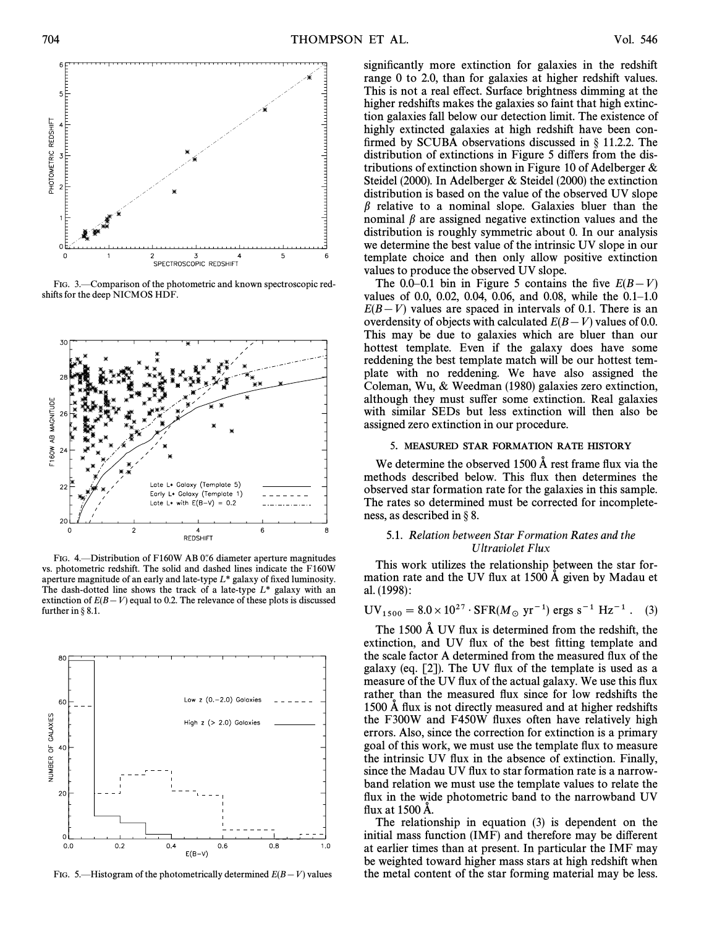

FIG. 3.—Comparison of the photometric and known spectroscopic redshifts for the deep NICMOS HDF.



FIG. 4. 
Distribution of F160W AB 0.6 diameter aperture magnitudes vs. photometric redshift. The solid and dashed lines indicate the F160W aperture magnitude of an early and late-type  $L^*$  galaxy of fixed luminosity. The dash-dotted line shows the track of a late-type  $L^*$  galaxy with an extinction of  $E(B-V)$  equal to 0.2. The relevance of these plots is discussed further in  $\S 8.1$ .



FIG. 5.—Histogram of the photometrically determined  $E(B-V)$  values

significantly more extinction for galaxies in the redshift range 0 to 2.0, than for galaxies at higher redshift values. This is not a real effect. Surface brightness dimming at the higher redshifts makes the galaxies so faint that high extinction galaxies fall below our detection limit. The existence of highly extincted galaxies at high redshift have been confirmed by SCUBA observations discussed in  $\S$  11.2.2. The distribution of extinctions in Figure 5 differs from the distributions of extinction shown in Figure 10 of Adelberger & Steidel (2000). In Adelberger & Steidel (2000) the extinction distribution is based on the value of the observed UV slope  $\beta$  relative to a nominal slope. Galaxies bluer than the nominal  $\beta$  are assigned negative extinction values and the distribution is roughly symmetric about 0. In our analysis we determine the best value of the intrinsic UV slope in our template choice and then only allow positive extinction values to produce the observed UV slope.

The 0.0–0.1 bin in Figure 5 contains the five  $E(B-V)$ values of 0.0, 0.02, 0.04, 0.06, and 0.08, while the  $0.1–1.0$  $E(B-V)$  values are spaced in intervals of 0.1. There is an overdensity of objects with calculated  $E(B-V)$  values of 0.0. This may be due to galaxies which are bluer than our hottest template. Even if the galaxy does have some reddening the best template match will be our hottest template with no reddening. We have also assigned the Coleman, Wu, & Weedman (1980) galaxies zero extinction, although they must suffer some extinction. Real galaxies with similar SEDs but less extinction will then also be assigned zero extinction in our procedure.

## 5. MEASURED STAR FORMATION RATE HISTORY

We determine the observed 1500  $\AA$  rest frame flux via the methods described below. This flux then determines the observed star formation rate for the galaxies in this sample. The rates so determined must be corrected for incompleteness, as described in  $\S$ 8.

## 5.1. Relation between Star Formation Rates and the Ultraviolet Flux

This work utilizes the relationship between the star formation rate and the UV flux at  $1500 \text{ Å}$  given by Madau et al. (1998) :

## $UV_{1500} = 8.0 \times 10^{27} \cdot SFR(M_{\odot} \text{ yr}^{-1}) \text{ ergs s}^{-1} \text{ Hz}^{-1}$  . (3)

The 1500 Å UV flux is determined from the redshift, the extinction, and UV flux of the best fitting template and the scale factor A determined from the measured flux of the galaxy (eq.  $[2]$ ). The UV flux of the template is used as a measure of the UV flux of the actual galaxy. We use this flux rather than the measured flux since for low redshifts the 1500 Å flux is not directly measured and at higher redshifts the F300W and F450W Ñuxes often have relatively high errors. Also, since the correction for extinction is a primary goal of this work, we must use the template Ñux to measure the intrinsic UV Ñux in the absence of extinction. Finally, since the Madau UV flux to star formation rate is a narrowband relation we must use the template values to relate the flux in the wide photometric band to the narrowband UV flux at 1500 Å.

The relationship in equation (3) is dependent on the initial mass function  $(IMF)$  and therefore may be different at earlier times than at present. In particular the IMF may be weighted toward higher mass stars at high redshift when the metal content of the star forming material may be less.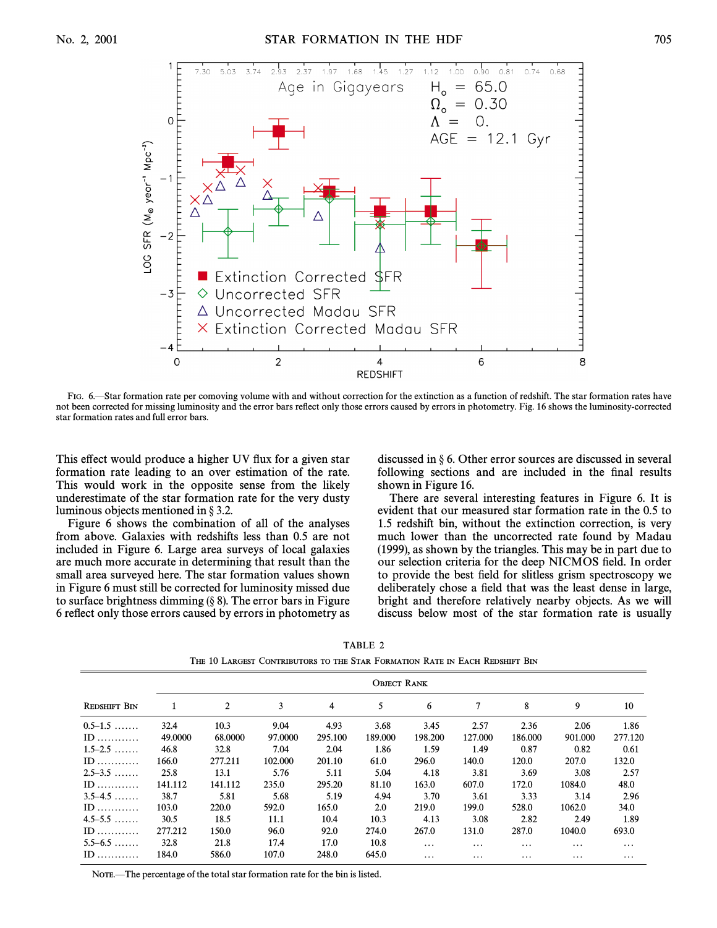

FIG. 6.—Star formation rate per comoving volume with and without correction for the extinction as a function of redshift. The star formation rates have not been corrected for missing luminosity and the error bars reflect only those errors caused by errors in photometry. Fig. 16 shows the luminosity-corrected star formation rates and full error bars.

This effect would produce a higher UV flux for a given star formation rate leading to an over estimation of the rate. This would work in the opposite sense from the likely underestimate of the star formation rate for the very dusty luminous objects mentioned in  $\S 3.2$ .

Figure 6 shows the combination of all of the analyses from above. Galaxies with redshifts less than 0.5 are not included in Figure 6. Large area surveys of local galaxies are much more accurate in determining that result than the small area surveyed here. The star formation values shown in Figure 6 must still be corrected for luminosity missed due to surface brightness dimming  $(\S$  8). The error bars in Figure 6 reflect only those errors caused by errors in photometry as discussed in  $\S 6$ . Other error sources are discussed in several following sections and are included in the final results shown in Figure 16.

There are several interesting features in Figure 6. It is evident that our measured star formation rate in the 0.5 to 1.5 redshift bin, without the extinction correction, is very much lower than the uncorrected rate found by Madau (1999), as shown by the triangles. This may be in part due to our selection criteria for the deep NICMOS field. In order to provide the best field for slitless grism spectroscopy we deliberately chose a field that was the least dense in large, bright and therefore relatively nearby objects. As we will discuss below most of the star formation rate is usually

|                     |         |         | The 10 Largest Contributors to the Star Formation Rate in Each Redshift Bin |         |                    |          |          |          |          |          |
|---------------------|---------|---------|-----------------------------------------------------------------------------|---------|--------------------|----------|----------|----------|----------|----------|
|                     |         |         |                                                                             |         | <b>OBJECT RANK</b> |          |          |          |          |          |
| <b>REDSHIFT BIN</b> | 1       | 2       | 3                                                                           | 4       | 5                  | 6        | 7        | 8        | 9        | 10       |
| $0.5-1.5$           | 32.4    | 10.3    | 9.04                                                                        | 4.93    | 3.68               | 3.45     | 2.57     | 2.36     | 2.06     | 1.86     |
| $ID$                | 49.0000 | 68.0000 | 97.0000                                                                     | 295.100 | 189.000            | 198.200  | 127.000  | 186.000  | 901.000  | 277.120  |
| $1.5 - 2.5$         | 46.8    | 32.8    | 7.04                                                                        | 2.04    | 1.86               | 1.59     | 1.49     | 0.87     | 0.82     | 0.61     |
| $ID$                | 166.0   | 277.211 | 102.000                                                                     | 201.10  | 61.0               | 296.0    | 140.0    | 120.0    | 207.0    | 132.0    |
| $2.5 - 3.5$         | 25.8    | 13.1    | 5.76                                                                        | 5.11    | 5.04               | 4.18     | 3.81     | 3.69     | 3.08     | 2.57     |
| $ID$                | 141.112 | 141.112 | 235.0                                                                       | 295.20  | 81.10              | 163.0    | 607.0    | 172.0    | 1084.0   | 48.0     |
| $3.5 - 4.5$         | 38.7    | 5.81    | 5.68                                                                        | 5.19    | 4.94               | 3.70     | 3.61     | 3.33     | 3.14     | 2.96     |
| $ID$                | 103.0   | 220.0   | 592.0                                                                       | 165.0   | 2.0                | 219.0    | 199.0    | 528.0    | 1062.0   | 34.0     |
| $4.5 - 5.5$         | 30.5    | 18.5    | 11.1                                                                        | 10.4    | 10.3               | 4.13     | 3.08     | 2.82     | 2.49     | 1.89     |
| $ID$                | 277.212 | 150.0   | 96.0                                                                        | 92.0    | 274.0              | 267.0    | 131.0    | 287.0    | 1040.0   | 693.0    |
| $5.5 - 6.5$         | 32.8    | 21.8    | 17.4                                                                        | 17.0    | 10.8               | $\cdots$ | $\cdots$ | $\cdots$ | $\cdots$ | $\cdots$ |
| $ID$                | 184.0   | 586.0   | 107.0                                                                       | 248.0   | 645.0              | $\cdots$ | $\cdots$ | $\cdots$ | $\cdots$ | $\cdots$ |

TABLE 2 THE 10 LARGEST CONTRIBUTORS TO THE STAR FORMATION RATE IN EACH REDSHIFT BIN

NOTE.—The percentage of the total star formation rate for the bin is listed.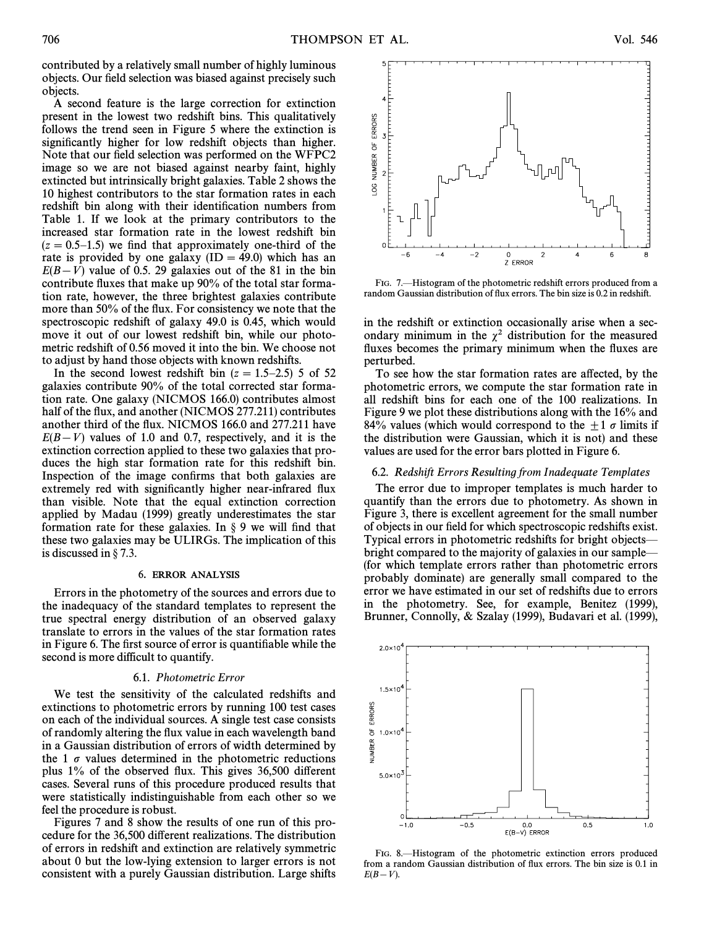contributed by a relatively small number of highly luminous objects. Our field selection was biased against precisely such objects.

A second feature is the large correction for extinction present in the lowest two redshift bins. This qualitatively follows the trend seen in Figure 5 where the extinction is significantly higher for low redshift objects than higher. Note that our field selection was performed on the WFPC2 image so we are not biased against nearby faint, highly extincted but intrinsically bright galaxies. Table 2 shows the 10 highest contributors to the star formation rates in each redshift bin along with their identification numbers from Table 1. If we look at the primary contributors to the increased star formation rate in the lowest redshift bin  $(z = 0.5-1.5)$  we find that approximately one-third of the rate is provided by one galaxy  $(ID = 49.0)$  which has an  $E(B-V)$  value of 0.5. 29 galaxies out of the 81 in the bin contribute fluxes that make up 90% of the total star formation rate, however, the three brightest galaxies contribute more than 50% of the flux. For consistency we note that the spectroscopic redshift of galaxy 49.0 is 0.45, which would move it out of our lowest redshift bin, while our photometric redshift of 0.56 moved it into the bin. We choose not to adjust by hand those objects with known redshifts.

In the second lowest redshift bin  $(z = 1.5-2.5)$  5 of 52 galaxies contribute 90% of the total corrected star formation rate. One galaxy (NICMOS 166.0) contributes almost half of the flux, and another (NICMOS 277.211) contributes another third of the flux. NICMOS 166.0 and 277.211 have  $E(B-V)$  values of 1.0 and 0.7, respectively, and it is the extinction correction applied to these two galaxies that produces the high star formation rate for this redshift bin. Inspection of the image confirms that both galaxies are extremely red with significantly higher near-infrared flux than visible. Note that the equal extinction correction applied by Madau (1999) greatly underestimates the star formation rate for these galaxies. In  $\S$  9 we will find that these two galaxies may be ULIRGs. The implication of this is discussed in  $\S$  7.3.

#### 6. ERROR ANALYSIS

Errors in the photometry of the sources and errors due to the inadequacy of the standard templates to represent the true spectral energy distribution of an observed galaxy translate to errors in the values of the star formation rates in Figure 6. The first source of error is quantifiable while the second is more difficult to quantify.

#### 6.1. Photometric Error

We test the sensitivity of the calculated redshifts and extinctions to photometric errors by running 100 test cases on each of the individual sources. A single test case consists of randomly altering the flux value in each wavelength band in a Gaussian distribution of errors of width determined by the 1  $\sigma$  values determined in the photometric reductions plus  $1\%$  of the observed flux. This gives  $36,500$  different cases. Several runs of this procedure produced results that were statistically indistinguishable from each other so we feel the procedure is robust.

Figures 7 and 8 show the results of one run of this procedure for the 36,500 di†erent realizations. The distribution of errors in redshift and extinction are relatively symmetric about 0 but the low-lying extension to larger errors is not consistent with a purely Gaussian distribution. Large shifts

FIG. 7.—Histogram of the photometric redshift errors produced from a random Gaussian distribution of flux errors. The bin size is 0.2 in redshift.

in the redshift or extinction occasionally arise when a secondary minimum in the  $\chi^2$  distribution for the measured fluxes becomes the primary minimum when the fluxes are perturbed.

To see how the star formation rates are a†ected, by the photometric errors, we compute the star formation rate in all redshift bins for each one of the 100 realizations. In Figure 9 we plot these distributions along with the 16% and 84% values (which would correspond to the  $\pm 1 \sigma$  limits if the distribution were Gaussian, which it is not) and these values are used for the error bars plotted in Figure 6.

## 6.2. Redshift Errors Resulting from Inadequate Templates

The error due to improper templates is much harder to quantify than the errors due to photometry. As shown in Figure 3, there is excellent agreement for the small number of objects in our field for which spectroscopic redshifts exist. Typical errors in photometric redshifts for bright objects bright compared to the majority of galaxies in our sample— (for which template errors rather than photometric errors probably dominate) are generally small compared to the error we have estimated in our set of redshifts due to errors in the photometry. See, for example, Benitez (1999), Brunner, Connolly, & Szalay (1999), Budavari et al. (1999),





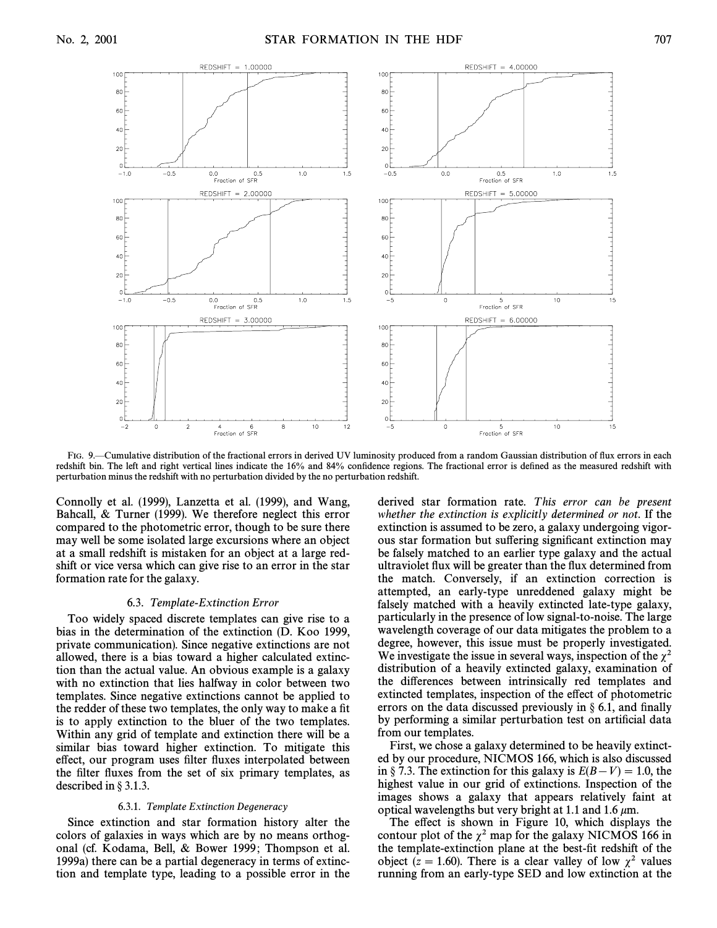

FIG. 9. Cumulative distribution of the fractional errors in derived UV luminosity produced from a random Gaussian distribution of flux errors in each redshift bin. The left and right vertical lines indicate the 16% and 84% confidence regions. The fractional error is defined as the measured redshift with perturbation minus the redshift with no perturbation divided by the no perturbation redshift.

Connolly et al. (1999), Lanzetta et al. (1999), and Wang, Bahcall, & Turner (1999). We therefore neglect this error compared to the photometric error, though to be sure there may well be some isolated large excursions where an object at a small redshift is mistaken for an object at a large redshift or vice versa which can give rise to an error in the star formation rate for the galaxy.

#### 6.3. Template-Extinction Error

Too widely spaced discrete templates can give rise to a bias in the determination of the extinction (D. Koo 1999, private communication). Since negative extinctions are not allowed, there is a bias toward a higher calculated extinction than the actual value. An obvious example is a galaxy with no extinction that lies halfway in color between two templates. Since negative extinctions cannot be applied to the redder of these two templates, the only way to make a fit is to apply extinction to the bluer of the two templates. Within any grid of template and extinction there will be a similar bias toward higher extinction. To mitigate this effect, our program uses filter fluxes interpolated between the filter fluxes from the set of six primary templates, as described in  $\S 3.1.3$ .

#### 6.3.1. Template Extinction Degeneracy

Since extinction and star formation history alter the colors of galaxies in ways which are by no means orthogonal (cf. Kodama, Bell, & Bower 1999; Thompson et al. 1999a) there can be a partial degeneracy in terms of extinction and template type, leading to a possible error in the derived star formation rate. This error can be present whether the extinction is explicitly determined or not. If the extinction is assumed to be zero, a galaxy undergoing vigorous star formation but suffering significant extinction may be falsely matched to an earlier type galaxy and the actual ultraviolet flux will be greater than the flux determined from the match. Conversely, if an extinction correction is attempted, an early-type unreddened galaxy might be falsely matched with a heavily extincted late-type galaxy, particularly in the presence of low signal-to-noise. The large wavelength coverage of our data mitigates the problem to a degree, however, this issue must be properly investigated. We investigate the issue in several ways, inspection of the  $\chi^2$ distribution of a heavily extincted galaxy, examination of the differences between intrinsically red templates and extincted templates, inspection of the effect of photometric errors on the data discussed previously in  $\S$  6.1, and finally by performing a similar perturbation test on artificial data from our templates.

First, we chose a galaxy determined to be heavily extincted by our procedure, NICMOS 166, which is also discussed in § 7.3. The extinction for this galaxy is  $E(B-V) = 1.0$ , the highest value in our grid of extinctions. Inspection of the images shows a galaxy that appears relatively faint at optical wavelengths but very bright at 1.1 and 1.6  $\mu$ m.

The effect is shown in Figure 10, which displays the contour plot of the  $\chi^2$  map for the galaxy NICMOS 166 in the template-extinction plane at the best-fit redshift of the object (z = 1.60). There is a clear valley of low  $\chi^2$  values running from an early-type SED and low extinction at the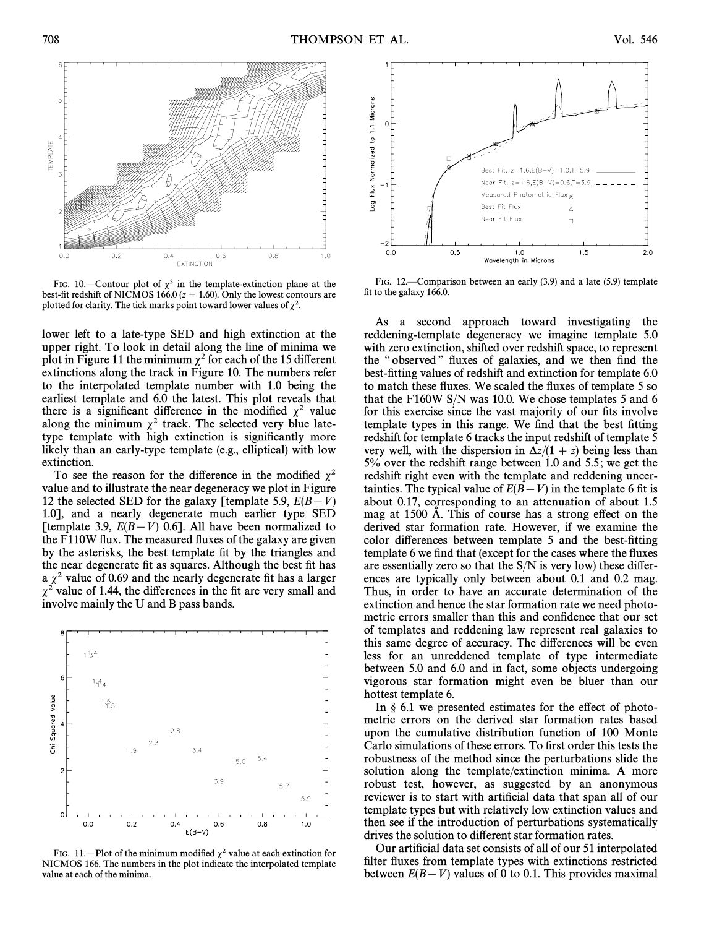

FIG. 10.—Contour plot of  $\chi^2$  in the template-extinction plane at the best-fit redshift of NICMOS 166.0 ( $z = 1.60$ ). Only the lowest contours are plotted for clarity. The tick marks point toward lower values of  $\chi^2$ .

lower left to a late-type SED and high extinction at the upper right. To look in detail along the line of minima we plot in Figure 11 the minimum  $\chi^2$  for each of the 15 different extinctions along the track in Figure 10. The numbers refer to the interpolated template number with 1.0 being the earliest template and 6.0 the latest. This plot reveals that there is a significant difference in the modified  $\chi^2$  value along the minimum  $\chi^2$  track. The selected very blue latetype template with high extinction is significantly more likely than an early-type template (e.g., elliptical) with low extinction.

To see the reason for the difference in the modified  $\chi^2$ value and to illustrate the near degeneracy we plot in Figure 12 the selected SED for the galaxy [template 5.9,  $E(B-V)$ 1.0], and a nearly degenerate much earlier type SED [template 3.9,  $E(B-V)$  0.6]. All have been normalized to the F110W flux. The measured fluxes of the galaxy are given by the asterisks, the best template fit by the triangles and the near degenerate fit as squares. Although the best fit has a  $\chi^2$  value of 0.69 and the nearly degenerate fit has a larger  $\chi^2$  value of 1.44, the differences in the fit are very small and involve mainly the U and B pass bands.



FIG. 11.—Plot of the minimum modified  $\chi^2$  value at each extinction for NICMOS 166. The numbers in the plot indicate the interpolated template value at each of the minima.



FIG. 12.—Comparison between an early  $(3.9)$  and a late  $(5.9)$  template fit to the galaxy 166.0.

As a second approach toward investigating the reddening-template degeneracy we imagine template 5.0 with zero extinction, shifted over redshift space, to represent the "observed" fluxes of galaxies, and we then find the best-fitting values of redshift and extinction for template 6.0 to match these fluxes. We scaled the fluxes of template 5 so that the F160W S/N was 10.0. We chose templates 5 and 6 for this exercise since the vast majority of our fits involve template types in this range. We find that the best fitting redshift for template 6 tracks the input redshift of template 5 very well, with the dispersion in  $\Delta z/(1 + z)$  being less than 5% over the redshift range between 1.0 and 5.5 ; we get the redshift right even with the template and reddening uncertainties. The typical value of  $E(B-V)$  in the template 6 fit is about 0.17, corresponding to an attenuation of about 1.5 mag at 1500 Å. This of course has a strong effect on the derived star formation rate. However, if we examine the color differences between template 5 and the best-fitting template 6 we find that (except for the cases where the fluxes are essentially zero so that the  $S/N$  is very low) these differences are typically only between about 0.1 and 0.2 mag. Thus, in order to have an accurate determination of the extinction and hence the star formation rate we need photometric errors smaller than this and confidence that our set of templates and reddening law represent real galaxies to this same degree of accuracy. The differences will be even less for an unreddened template of type intermediate between 5.0 and 6.0 and in fact, some objects undergoing vigorous star formation might even be bluer than our hottest template 6.

In  $\S$  6.1 we presented estimates for the effect of photometric errors on the derived star formation rates based upon the cumulative distribution function of 100 Monte Carlo simulations of these errors. To first order this tests the robustness of the method since the perturbations slide the solution along the template/extinction minima. A more robust test, however, as suggested by an anonymous reviewer is to start with artificial data that span all of our template types but with relatively low extinction values and then see if the introduction of perturbations systematically drives the solution to different star formation rates.

Our artificial data set consists of all of our 51 interpolated filter fluxes from template types with extinctions restricted between  $E(B-V)$  values of 0 to 0.1. This provides maximal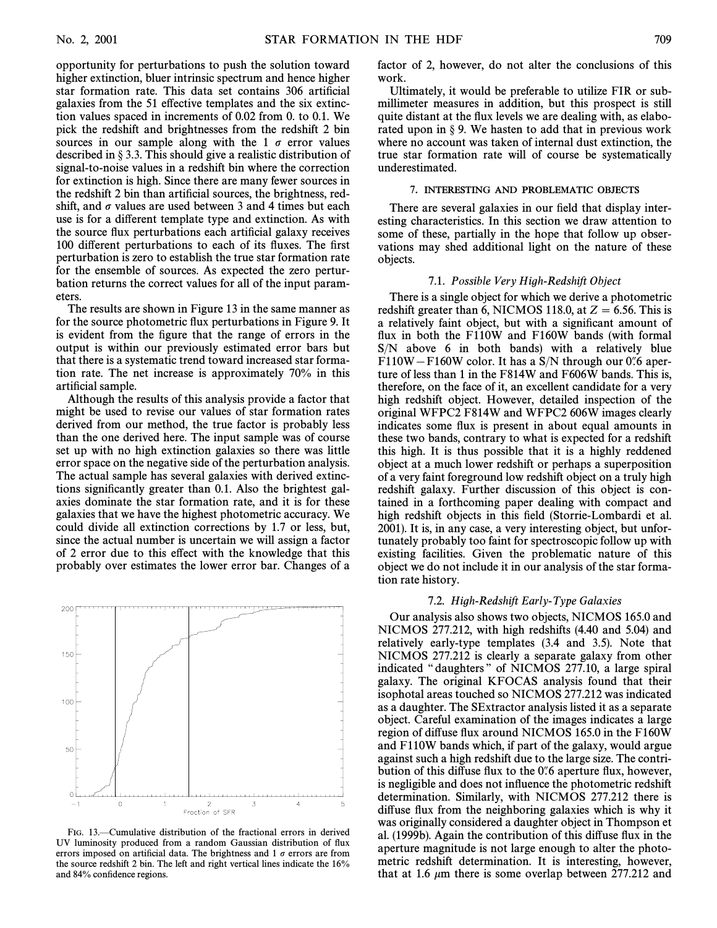opportunity for perturbations to push the solution toward higher extinction, bluer intrinsic spectrum and hence higher star formation rate. This data set contains 306 artificial galaxies from the 51 effective templates and the six extinction values spaced in increments of 0.02 from 0. to 0.1. We pick the redshift and brightnesses from the redshift 2 bin sources in our sample along with the 1  $\sigma$  error values described in  $\S 3.3$ . This should give a realistic distribution of signal-to-noise values in a redshift bin where the correction for extinction is high. Since there are many fewer sources in the redshift 2 bin than artificial sources, the brightness, redshift, and  $\sigma$  values are used between 3 and 4 times but each use is for a different template type and extinction. As with the source flux perturbations each artificial galaxy receives 100 different perturbations to each of its fluxes. The first perturbation is zero to establish the true star formation rate for the ensemble of sources. As expected the zero perturbation returns the correct values for all of the input parameters.

The results are shown in Figure 13 in the same manner as for the source photometric Ñux perturbations in Figure 9. It is evident from the figure that the range of errors in the output is within our previously estimated error bars but that there is a systematic trend toward increased star formation rate. The net increase is approximately 70% in this artificial sample.

Although the results of this analysis provide a factor that might be used to revise our values of star formation rates derived from our method, the true factor is probably less than the one derived here. The input sample was of course set up with no high extinction galaxies so there was little error space on the negative side of the perturbation analysis. The actual sample has several galaxies with derived extinctions significantly greater than 0.1. Also the brightest galaxies dominate the star formation rate, and it is for these galaxies that we have the highest photometric accuracy. We could divide all extinction corrections by 1.7 or less, but, since the actual number is uncertain we will assign a factor of 2 error due to this effect with the knowledge that this probably over estimates the lower error bar. Changes of a



FIG. 13.—Cumulative distribution of the fractional errors in derived UV luminosity produced from a random Gaussian distribution of Ñux errors imposed on artificial data. The brightness and 1  $\sigma$  errors are from the source redshift 2 bin. The left and right vertical lines indicate the 16% and 84% confidence regions.

factor of 2, however, do not alter the conclusions of this work.

Ultimately, it would be preferable to utilize FIR or submillimeter measures in addition, but this prospect is still quite distant at the flux levels we are dealing with, as elaborated upon in  $\S$  9. We hasten to add that in previous work where no account was taken of internal dust extinction, the true star formation rate will of course be systematically underestimated.

## 7. INTERESTING AND PROBLEMATIC OBJECTS

There are several galaxies in our field that display interesting characteristics. In this section we draw attention to some of these, partially in the hope that follow up observations may shed additional light on the nature of these objects.

#### 7.1. Possible Very High-Redshift Object

There is a single object for which we derive a photometric redshift greater than 6, NICMOS 118.0, at  $Z = 6.56$ . This is a relatively faint object, but with a significant amount of flux in both the F110W and F160W bands (with formal S/N above 6 in both bands) with a relatively blue  $F110W - F160W$  color. It has a S/N through our 0.6 aperture of less than 1 in the F814W and F606W bands. This is, therefore, on the face of it, an excellent candidate for a very high redshift object. However, detailed inspection of the original WFPC2 F814W and WFPC2 606W images clearly indicates some flux is present in about equal amounts in these two bands, contrary to what is expected for a redshift this high. It is thus possible that it is a highly reddened object at a much lower redshift or perhaps a superposition of a very faint foreground low redshift object on a truly high redshift galaxy. Further discussion of this object is contained in a forthcoming paper dealing with compact and high redshift objects in this field (Storrie-Lombardi et al. 2001). It is, in any case, a very interesting object, but unfortunately probably too faint for spectroscopic follow up with existing facilities. Given the problematic nature of this object we do not include it in our analysis of the star formation rate history.

## 7.2. High-Redshift Early-Type Galaxies

Our analysis also shows two objects, NICMOS 165.0 and NICMOS 277.212, with high redshifts (4.40 and 5.04) and relatively early-type templates (3.4 and 3.5). Note that NICMOS 277.212 is clearly a separate galaxy from other indicated "daughters" of NICMOS 277.10, a large spiral galaxy. The original KFOCAS analysis found that their isophotal areas touched so NICMOS 277.212 was indicated as a daughter. The SExtractor analysis listed it as a separate object. Careful examination of the images indicates a large region of diffuse flux around NICMOS 165.0 in the F160W and F110W bands which, if part of the galaxy, would argue against such a high redshift due to the large size. The contribution of this diffuse flux to the 0.6 aperture flux, however, is negligible and does not influence the photometric redshift determination. Similarly, with NICMOS 277.212 there is diffuse flux from the neighboring galaxies which is why it was originally considered a daughter object in Thompson et al. (1999b). Again the contribution of this diffuse flux in the aperture magnitude is not large enough to alter the photometric redshift determination. It is interesting, however, that at 1.6  $\mu$ m there is some overlap between 277.212 and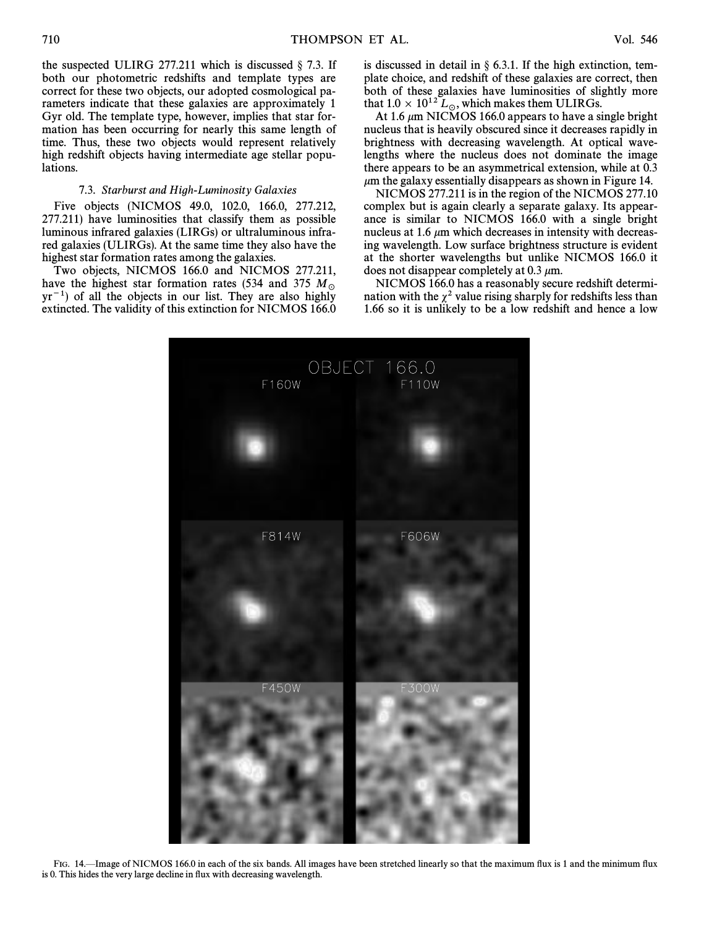the suspected ULIRG 277.211 which is discussed  $\S$  7.3. If both our photometric redshifts and template types are correct for these two objects, our adopted cosmological parameters indicate that these galaxies are approximately 1 Gyr old. The template type, however, implies that star formation has been occurring for nearly this same length of time. Thus, these two objects would represent relatively high redshift objects having intermediate age stellar populations.

## 7.3. Starburst and High-Luminosity Galaxies

Five objects (NICMOS 49.0, 102.0, 166.0, 277.212, 277.211) have luminosities that classify them as possible luminous infrared galaxies (LIRGs) or ultraluminous infrared galaxies (ULIRGs). At the same time they also have the highest star formation rates among the galaxies.

Two objects, NICMOS 166.0 and NICMOS 277.211, have the highest star formation rates (534 and 375  $M_{\odot}$ )  $yr^{-1}$ ) of all the objects in our list. They are also highly extincted. The validity of this extinction for NICMOS 166.0

is discussed in detail in  $\S$  6.3.1. If the high extinction, template choice, and redshift of these galaxies are correct, then both of these galaxies have luminosities of slightly more that  $1.0 \times 10^{12} L_{\odot}$ , which makes them ULIRGs.

At 1.6  $\mu$ m NICMOS 166.0 appears to have a single bright nucleus that is heavily obscured since it decreases rapidly in brightness with decreasing wavelength. At optical wavelengths where the nucleus does not dominate the image there appears to be an asymmetrical extension, while at 0.3  $\mu$ m the galaxy essentially disappears as shown in Figure 14.

NICMOS 277.211 is in the region of the NICMOS 277.10 complex but is again clearly a separate galaxy. Its appearance is similar to NICMOS 166.0 with a single bright nucleus at 1.6  $\mu$ m which decreases in intensity with decreasing wavelength. Low surface brightness structure is evident at the shorter wavelengths but unlike NICMOS 166.0 it does not disappear completely at 0.3  $\mu$ m.

NICMOS 166.0 has a reasonably secure redshift determination with the  $\chi^2$  value rising sharply for redshifts less than 1.66 so it is unlikely to be a low redshift and hence a low



FIG. 14. Image of NICMOS 166.0 in each of the six bands. All images have been stretched linearly so that the maximum flux is 1 and the minimum flux is 0. This hides the very large decline in flux with decreasing wavelength.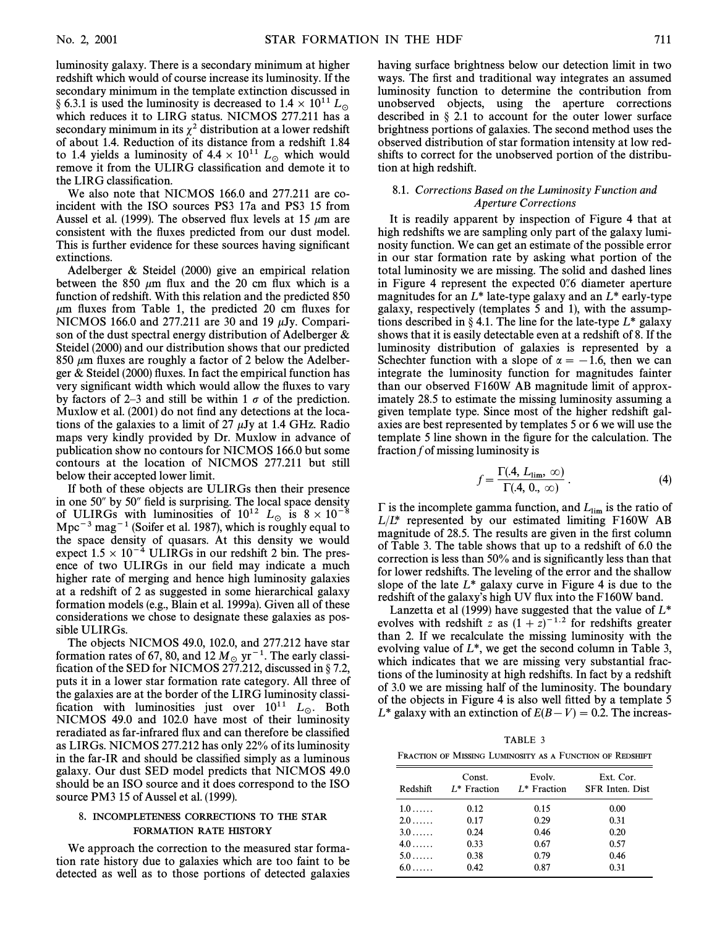luminosity galaxy. There is a secondary minimum at higher redshift which would of course increase its luminosity. If the secondary minimum in the template extinction discussed in § 6.3.1 is used the luminosity is decreased to  $1.4 \times 10^{11}$  L<sub>o</sub> which reduces it to LIRG status. NICMOS 277.211 has a secondary minimum in its  $\chi^2$  distribution at a lower redshift of about 1.4. Reduction of its distance from a redshift 1.84 to 1.4 yields a luminosity of  $4.4 \times 10^{11}$  L<sub>o</sub> which would remove it from the ULIRG classification and demote it to the LIRG classification.

We also note that NICMOS 166.0 and 277.211 are coincident with the ISO sources PS3 17a and PS3 15 from Aussel et al. (1999). The observed flux levels at 15  $\mu$ m are consistent with the fluxes predicted from our dust model. This is further evidence for these sources having significant extinctions.

Adelberger & Steidel (2000) give an empirical relation between the 850  $\mu$ m flux and the 20 cm flux which is a function of redshift. With this relation and the predicted 850  $\mu$ m fluxes from Table 1, the predicted 20 cm fluxes for NICMOS 166.0 and 277.211 are 30 and 19  $\mu$ Jy. Comparison of the dust spectral energy distribution of Adelberger & Steidel (2000) and our distribution shows that our predicted 850  $\mu$ m fluxes are roughly a factor of 2 below the Adelberger  $\&$  Steidel (2000) fluxes. In fact the empirical function has very significant width which would allow the fluxes to vary by factors of 2–3 and still be within 1  $\sigma$  of the prediction. Muxlow et al. (2001) do not find any detections at the locations of the galaxies to a limit of 27  $\mu$ Jy at 1.4 GHz. Radio maps very kindly provided by Dr. Muxlow in advance of publication show no contours for NICMOS 166.0 but some contours at the location of NICMOS 277.211 but still below their accepted lower limit.

If both of these objects are ULIRGs then their presence in one 50" by 50" field is surprising. The local space density of ULIRGs with luminosities of  $10^{12}$  L<sub>o</sub> is  $8 \times 10^{-8}$ Mpc<sup>-3</sup> mag<sup>-1</sup> (Soifer et al. 1987), which is roughly equal to the space density of quasars. At this density we would expect  $1.5 \times 10^{-4}$  ULIRGs in our redshift 2 bin. The presence of two ULIRGs in our field may indicate a much higher rate of merging and hence high luminosity galaxies at a redshift of 2 as suggested in some hierarchical galaxy formation models (e.g., Blain et al. 1999a). Given all of these considerations we chose to designate these galaxies as possible ULIRGs.

The objects NICMOS 49.0, 102.0, and 277.212 have star formation rates of 67, 80, and 12  $M_{\odot}$  yr<sup>-1</sup>. The early classification of the SED for NICMOS 277.212, discussed in § 7.2, puts it in a lower star formation rate category. All three of the galaxies are at the border of the LIRG luminosity classification with luminosities just over  $10^{11}$  L<sub>o</sub>. Both NICMOS 49.0 and 102.0 have most of their luminosity reradiated as far-infrared flux and can therefore be classified as LIRGs. NICMOS 277.212 has only 22% of its luminosity in the far-IR and should be classified simply as a luminous galaxy. Our dust SED model predicts that NICMOS 49.0 should be an ISO source and it does correspond to the ISO source PM3 15 of Aussel et al. (1999).

## 8. INCOMPLETENESS CORRECTIONS TO THE STAR FORMATION RATE HISTORY

We approach the correction to the measured star formation rate history due to galaxies which are too faint to be detected as well as to those portions of detected galaxies

having surface brightness below our detection limit in two ways. The first and traditional way integrates an assumed luminosity function to determine the contribution from unobserved objects, using the aperture corrections described in  $\S$  2.1 to account for the outer lower surface brightness portions of galaxies. The second method uses the observed distribution of star formation intensity at low redshifts to correct for the unobserved portion of the distribution at high redshift.

## 8.1. Corrections Based on the Luminosity Function and Aperture Corrections

It is readily apparent by inspection of Figure 4 that at high redshifts we are sampling only part of the galaxy luminosity function. We can get an estimate of the possible error in our star formation rate by asking what portion of the total luminosity we are missing. The solid and dashed lines in Figure 4 represent the expected  $0\degree$  diameter aperture magnitudes for an  $L^*$  late-type galaxy and an  $L^*$  early-type galaxy, respectively (templates 5 and 1), with the assumptions described in § 4.1. The line for the late-type  $L^*$  galaxy shows that it is easily detectable even at a redshift of 8. If the luminosity distribution of galaxies is represented by a Schechter function with a slope of  $\alpha = -1.6$ , then we can integrate the luminosity function for magnitudes fainter than our observed F160W AB magnitude limit of approximately 28.5 to estimate the missing luminosity assuming a given template type. Since most of the higher redshift galaxies are best represented by templates 5 or 6 we will use the template 5 line shown in the figure for the calculation. The fraction  $f$  of missing luminosity is

$$
f = \frac{\Gamma(A, L_{\text{lim}}, \infty)}{\Gamma(A, 0, \infty)}.
$$
 (4)

 $\Gamma$  is the incomplete gamma function, and  $L_{\text{lim}}$  is the ratio of  $L/L^*$  represented by our estimated limiting F160W AB magnitude of 28.5. The results are given in the first column of Table 3. The table shows that up to a redshift of 6.0 the correction is less than 50% and is significantly less than that for lower redshifts. The leveling of the error and the shallow slope of the late  $L^*$  galaxy curve in Figure 4 is due to the redshift of the galaxy's high UV flux into the F160W band.

Lanzetta et al (1999) have suggested that the value of  $L^*$ evolves with redshift z as  $(1 + z)^{-1.2}$  for redshifts greater than 2. If we recalculate the missing luminosity with the evolving value of  $L^*$ , we get the second column in Table 3, which indicates that we are missing very substantial fractions of the luminosity at high redshifts. In fact by a redshift of 3.0 we are missing half of the luminosity. The boundary of the objects in Figure 4 is also well fitted by a template 5  $L^*$  galaxy with an extinction of  $E(B-V) = 0.2$ . The increas-

| TABLE 3                                                  |  |
|----------------------------------------------------------|--|
| FRACTION OF MISSING LUMINOSITY AS A FUNCTION OF REDSHIFT |  |

| Redshift     | Const.<br>$L^*$ Fraction | Evolv.<br>$L^*$ Fraction | Ext. Cor.<br><b>SFR</b> Inten. Dist. |
|--------------|--------------------------|--------------------------|--------------------------------------|
| $1.0\ldots$  | 0.12                     | 0.15                     | 0.00                                 |
| $2.0\dots$   | 0.17                     | 0.29                     | 0.31                                 |
| $3.0 \ldots$ | 0.24                     | 0.46                     | 0.20                                 |
| $4.0\dots$   | 0.33                     | 0.67                     | 0.57                                 |
| $5.0 \ldots$ | 0.38                     | 0.79                     | 0.46                                 |
| $6.0\ldots$  | 0.42                     | 0.87                     | 0.31                                 |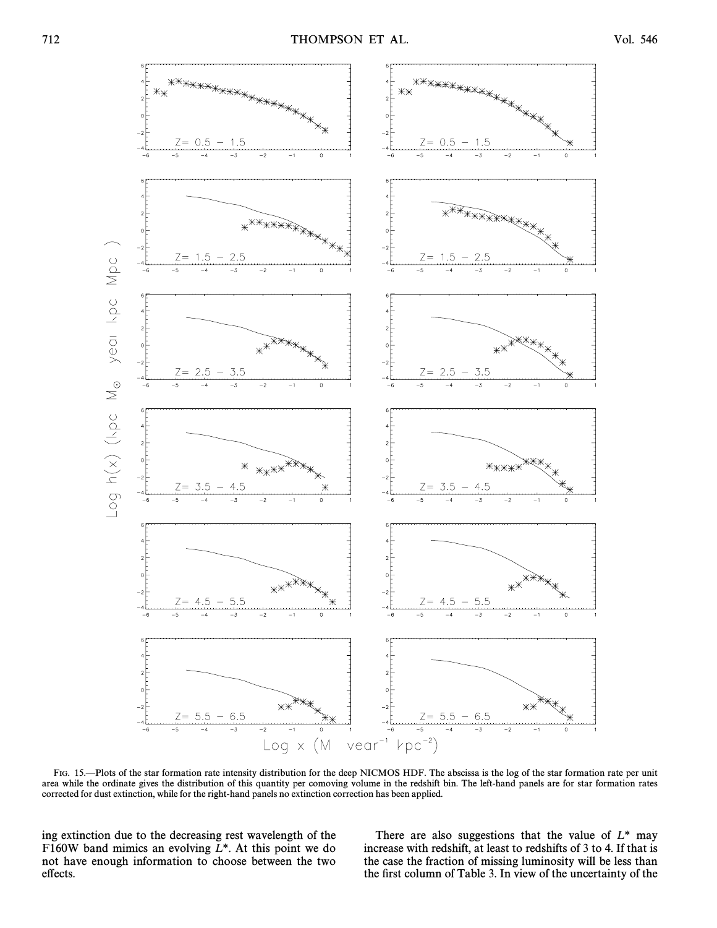

FIG. 15.—Plots of the star formation rate intensity distribution for the deep NICMOS HDF. The abscissa is the log of the star formation rate per unit area while the ordinate gives the distribution of this quantity per comoving volume in the redshift bin. The left-hand panels are for star formation rates corrected for dust extinction, while for the right-hand panels no extinction correction has been applied.

ing extinction due to the decreasing rest wavelength of the F160W band mimics an evolving  $L^*$ . At this point we do not have enough information to choose between the two effects.

There are also suggestions that the value of  $L^*$  may increase with redshift, at least to redshifts of 3 to 4. If that is the case the fraction of missing luminosity will be less than the first column of Table 3. In view of the uncertainty of the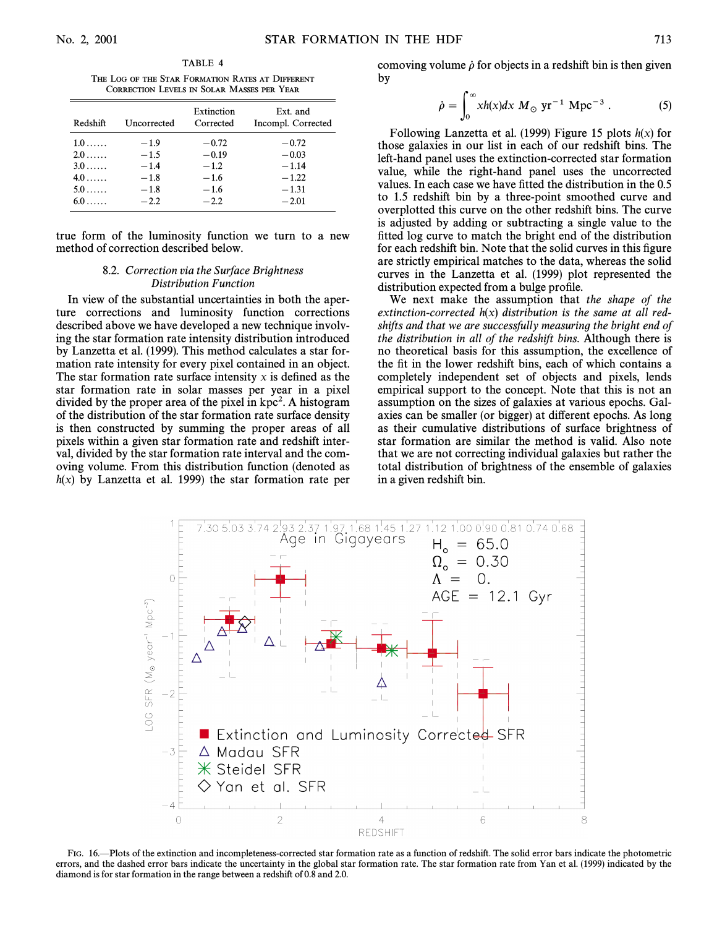TABLE 4 THE LOG OF THE STAR FORMATION RATES AT DIFFERENT CORRECTION LEVELS IN SOLAR MASSES PER YEAR

| Redshift     | Uncorrected | Extinction<br>Corrected | Ext. and<br>Incompl. Corrected |
|--------------|-------------|-------------------------|--------------------------------|
| $1.0\ldots$  | $-1.9$      | $-0.72$                 | $-0.72$                        |
| $2.0 \ldots$ | $-1.5$      | $-0.19$                 | $-0.03$                        |
| $3.0\dots$   | $-1.4$      | $-1.2$                  | $-1.14$                        |
| $4.0 \ldots$ | $-1.8$      | $-1.6$                  | $-1.22$                        |
| $5.0\dots$   | $-1.8$      | $-1.6$                  | $-1.31$                        |
| $6.0\ldots$  | $-2.2$      | $-2.2$                  | $-2.01$                        |

true form of the luminosity function we turn to a new method of correction described below.

## 8.2. Correction via the Surface Brightness Distribution Function

In view of the substantial uncertainties in both the aperture corrections and luminosity function corrections described above we have developed a new technique involving the star formation rate intensity distribution introduced by Lanzetta et al. (1999). This method calculates a star formation rate intensity for every pixel contained in an object. The star formation rate surface intensity x is defined as the star formation rate in solar masses per year in a pixel divided by the proper area of the pixel in kpc<sup>2</sup>. A histogram of the distribution of the star formation rate surface density is then constructed by summing the proper areas of all pixels within a given star formation rate and redshift interval, divided by the star formation rate interval and the comoving volume. From this distribution function (denoted as  $h(x)$  by Lanzetta et al. 1999) the star formation rate per comoving volume  $\dot{\rho}$  for objects in a redshift bin is then given by

$$
\dot{\rho} = \int_0^\infty x h(x) dx M_{\odot} \text{ yr}^{-1} \text{ Mpc}^{-3} . \tag{5}
$$

Following Lanzetta et al. (1999) Figure 15 plots  $h(x)$  for those galaxies in our list in each of our redshift bins. The left-hand panel uses the extinction-corrected star formation value, while the right-hand panel uses the uncorrected values. In each case we have fitted the distribution in the  $0.5$ to 1.5 redshift bin by a three-point smoothed curve and overplotted this curve on the other redshift bins. The curve is adjusted by adding or subtracting a single value to the fitted log curve to match the bright end of the distribution for each redshift bin. Note that the solid curves in this figure are strictly empirical matches to the data, whereas the solid curves in the Lanzetta et al. (1999) plot represented the distribution expected from a bulge profile.

We next make the assumption that the shape of the extinction-corrected  $h(x)$  distribution is the same at all redshifts and that we are successfully measuring the bright end of the distribution in all of the redshift bins. Although there is no theoretical basis for this assumption, the excellence of the fit in the lower redshift bins, each of which contains a completely independent set of objects and pixels, lends empirical support to the concept. Note that this is not an assumption on the sizes of galaxies at various epochs. Galaxies can be smaller (or bigger) at different epochs. As long as their cumulative distributions of surface brightness of star formation are similar the method is valid. Also note that we are not correcting individual galaxies but rather the total distribution of brightness of the ensemble of galaxies in a given redshift bin.



FIG. 16.—Plots of the extinction and incompleteness-corrected star formation rate as a function of redshift. The solid error bars indicate the photometric errors, and the dashed error bars indicate the uncertainty in the global star formation rate. The star formation rate from Yan et al. (1999) indicated by the diamond is for star formation in the range between a redshift of 0.8 and 2.0.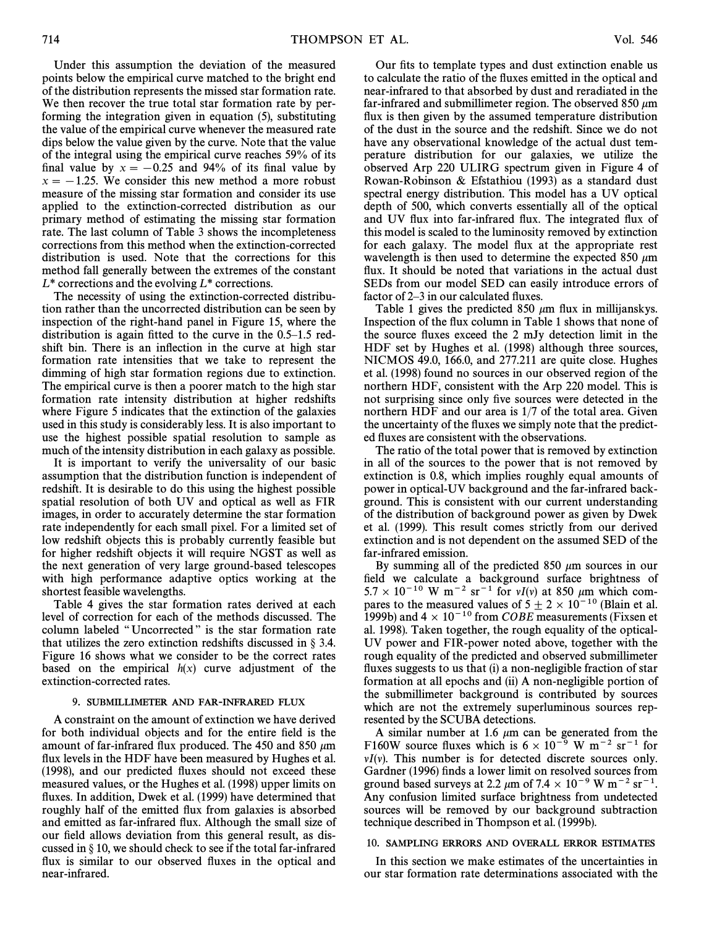Under this assumption the deviation of the measured points below the empirical curve matched to the bright end of the distribution represents the missed star formation rate. We then recover the true total star formation rate by performing the integration given in equation (5), substituting the value of the empirical curve whenever the measured rate dips below the value given by the curve. Note that the value of the integral using the empirical curve reaches 59% of its final value by  $x = -0.25$  and 94% of its final value by  $x = -1.25$ . We consider this new method a more robust measure of the missing star formation and consider its use applied to the extinction-corrected distribution as our primary method of estimating the missing star formation rate. The last column of Table 3 shows the incompleteness corrections from this method when the extinction-corrected distribution is used. Note that the corrections for this method fall generally between the extremes of the constant  $L^*$  corrections and the evolving  $L^*$  corrections.

The necessity of using the extinction-corrected distribution rather than the uncorrected distribution can be seen by inspection of the right-hand panel in Figure 15, where the distribution is again fitted to the curve in the  $0.5-1.5$  redshift bin. There is an inflection in the curve at high star formation rate intensities that we take to represent the dimming of high star formation regions due to extinction. The empirical curve is then a poorer match to the high star formation rate intensity distribution at higher redshifts where Figure 5 indicates that the extinction of the galaxies used in this study is considerably less. It is also important to use the highest possible spatial resolution to sample as much of the intensity distribution in each galaxy as possible.

It is important to verify the universality of our basic assumption that the distribution function is independent of redshift. It is desirable to do this using the highest possible spatial resolution of both UV and optical as well as FIR images, in order to accurately determine the star formation rate independently for each small pixel. For a limited set of low redshift objects this is probably currently feasible but for higher redshift objects it will require NGST as well as the next generation of very large ground-based telescopes with high performance adaptive optics working at the shortest feasible wavelengths.

Table 4 gives the star formation rates derived at each level of correction for each of the methods discussed. The column labeled "Uncorrected" is the star formation rate that utilizes the zero extinction redshifts discussed in  $\S$  3.4. Figure 16 shows what we consider to be the correct rates based on the empirical  $h(x)$  curve adjustment of the extinction-corrected rates.

## 9. SUBMILLIMETER AND FAR-INFRARED FLUX

A constraint on the amount of extinction we have derived for both individual objects and for the entire field is the amount of far-infrared flux produced. The 450 and 850  $\mu$ m flux levels in the HDF have been measured by Hughes et al. (1998), and our predicted Ñuxes should not exceed these measured values, or the Hughes et al. (1998) upper limits on fluxes. In addition, Dwek et al. (1999) have determined that roughly half of the emitted flux from galaxies is absorbed and emitted as far-infrared flux. Although the small size of our field allows deviation from this general result, as discussed in  $\S 10$ , we should check to see if the total far-infrared flux is similar to our observed fluxes in the optical and near-infrared.

Our fits to template types and dust extinction enable us to calculate the ratio of the fluxes emitted in the optical and near-infrared to that absorbed by dust and reradiated in the far-infrared and submillimeter region. The observed 850  $\mu$ m flux is then given by the assumed temperature distribution of the dust in the source and the redshift. Since we do not have any observational knowledge of the actual dust temperature distribution for our galaxies, we utilize the observed Arp 220 ULIRG spectrum given in Figure 4 of Rowan-Robinson & Efstathiou (1993) as a standard dust spectral energy distribution. This model has a UV optical depth of 500, which converts essentially all of the optical and UV Ñux into far-infrared Ñux. The integrated Ñux of this model is scaled to the luminosity removed by extinction for each galaxy. The model flux at the appropriate rest wavelength is then used to determine the expected 850  $\mu$ m flux. It should be noted that variations in the actual dust SEDs from our model SED can easily introduce errors of factor of  $2-3$  in our calculated fluxes.

Table 1 gives the predicted 850  $\mu$ m flux in millijanskys. Inspection of the flux column in Table 1 shows that none of the source fluxes exceed the 2 mJy detection limit in the HDF set by Hughes et al. (1998) although three sources, NICMOS 49.0, 166.0, and 277.211 are quite close. Hughes et al. (1998) found no sources in our observed region of the northern HDF, consistent with the Arp 220 model. This is not surprising since only five sources were detected in the northern HDF and our area is 1/7 of the total area. Given the uncertainty of the fluxes we simply note that the predicted fluxes are consistent with the observations.

The ratio of the total power that is removed by extinction in all of the sources to the power that is not removed by extinction is 0.8, which implies roughly equal amounts of power in optical-UV background and the far-infrared background. This is consistent with our current understanding of the distribution of background power as given by Dwek et al. (1999). This result comes strictly from our derived extinction and is not dependent on the assumed SED of the far-infrared emission.

By summing all of the predicted 850  $\mu$ m sources in our field we calculate a background surface brightness of  $5.7 \times 10^{-10}$  W m<sup>-2</sup> sr<sup>-1</sup> for vI(v) at 850  $\mu$ m which compares to the measured values of  $5 \pm 2 \times 10^{-10}$  (Blain et al. 1999b) and  $4 \times 10^{-10}$  from COBE measurements (Fixsen et al. 1998). Taken together, the rough equality of the optical-UV power and FIR-power noted above, together with the rough equality of the predicted and observed submillimeter fluxes suggests to us that (i) a non-negligible fraction of star formation at all epochs and (ii) A non-negligible portion of the submillimeter background is contributed by sources which are not the extremely superluminous sources represented by the SCUBA detections.

A similar number at 1.6  $\mu$ m can be generated from the F160W source fluxes which is  $6 \times 10^{-9}$  W m<sup>-2</sup> sr<sup>-1</sup> for  $\nu I(\nu)$ . This number is for detected discrete sources only. Gardner (1996) finds a lower limit on resolved sources from ground based surveys at 2.2  $\mu$ m of 7.4  $\times$  10<sup>-9</sup> W m<sup>-2</sup> sr<sup>-1</sup>. Any confusion limited surface brightness from undetected sources will be removed by our background subtraction technique described in Thompson et al. (1999b).

#### 10. SAMPLING ERRORS AND OVERALL ERROR ESTIMATES

In this section we make estimates of the uncertainties in our star formation rate determinations associated with the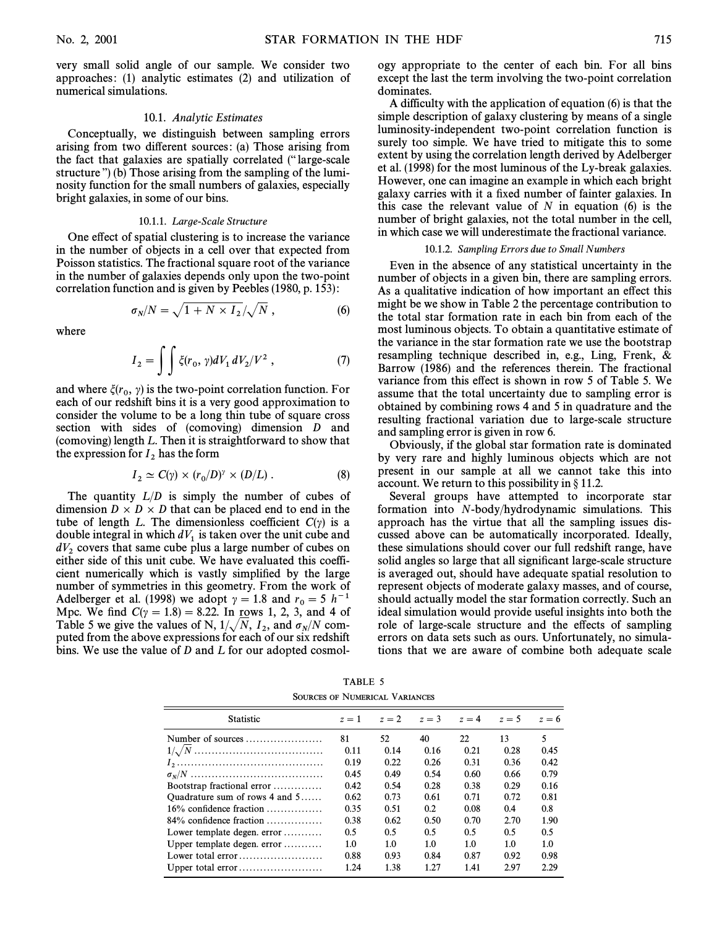very small solid angle of our sample. We consider two approaches : (1) analytic estimates (2) and utilization of numerical simulations.

#### 10.1. Analytic Estimates

Conceptually, we distinguish between sampling errors arising from two different sources: (a) Those arising from the fact that galaxies are spatially correlated ("" large-scale structure") (b) Those arising from the sampling of the luminosity function for the small numbers of galaxies, especially bright galaxies, in some of our bins.

#### 10.1.1. Large-Scale Structure

One effect of spatial clustering is to increase the variance in the number of objects in a cell over that expected from Poisson statistics. The fractional square root of the variance in the number of galaxies depends only upon the two-point correlation function and is given by Peebles (1980, p. 153) :

$$
\sigma_N/N = \sqrt{1 + N \times I_2}/\sqrt{N} \,, \tag{6}
$$

where

$$
I_2 = \iint \xi(r_0, \gamma) dV_1 dV_2 / V^2 , \qquad (7)
$$

and where  $\xi(r_0, \gamma)$  is the two-point correlation function. For each of our redshift bins it is a very good approximation to consider the volume to be a long thin tube of square cross section with sides of (comoving) dimension D and (comoving) length  $L$ . Then it is straightforward to show that the expression for  $I_2$  has the form

$$
I_2 \simeq C(\gamma) \times (r_0/D)^\gamma \times (D/L) . \tag{8}
$$

The quantity  $L/D$  is simply the number of cubes of dimension  $D \times D \times D$  that can be placed end to end in the tube of length L. The dimensionless coefficient  $C(\gamma)$  is a double integral in which  $dV_1$  is taken over the unit cube and  $dV_2$  covers that same cube plus a large number of cubes on either side of this unit cube. We have evaluated this coefficient numerically which is vastly simplified by the large number of symmetries in this geometry. From the work of Adelberger et al. (1998) we adopt  $\gamma = 1.8$  and  $r_0 = 5 \; h^{-1}$ Mpc. We find  $C(\gamma = 1.8) = 8.22$ . In rows 1, 2, 3, and 4 of Table 5 we give the values of N,  $1/\sqrt{N}$ ,  $I_2$ , and  $\sigma_N/N$  com-There is we give the values of 1st,  $1/\sqrt{11}$ ,  $1_2$ , and  $0/\sqrt{11}$  computed from the above expressions for each of our six redshift bins. We use the value of D and L for our adopted cosmology appropriate to the center of each bin. For all bins except the last the term involving the two-point correlation dominates.

A difficulty with the application of equation (6) is that the simple description of galaxy clustering by means of a single luminosity-independent two-point correlation function is surely too simple. We have tried to mitigate this to some extent by using the correlation length derived by Adelberger et al. (1998) for the most luminous of the Ly-break galaxies. However, one can imagine an example in which each bright galaxy carries with it a fixed number of fainter galaxies. In this case the relevant value of  $N$  in equation (6) is the number of bright galaxies, not the total number in the cell, in which case we will underestimate the fractional variance.

#### 10.1.2. Sampling Errors due to Small Numbers

Even in the absence of any statistical uncertainty in the number of objects in a given bin, there are sampling errors. As a qualitative indication of how important an effect this might be we show in Table 2 the percentage contribution to the total star formation rate in each bin from each of the most luminous objects. To obtain a quantitative estimate of the variance in the star formation rate we use the bootstrap resampling technique described in, e.g., Ling, Frenk, & Barrow (1986) and the references therein. The fractional variance from this effect is shown in row 5 of Table 5. We assume that the total uncertainty due to sampling error is obtained by combining rows 4 and 5 in quadrature and the resulting fractional variation due to large-scale structure and sampling error is given in row 6.

Obviously, if the global star formation rate is dominated by very rare and highly luminous objects which are not present in our sample at all we cannot take this into account. We return to this possibility in  $\S 11.2$ .

Several groups have attempted to incorporate star formation into N-body/hydrodynamic simulations. This approach has the virtue that all the sampling issues discussed above can be automatically incorporated. Ideally, these simulations should cover our full redshift range, have solid angles so large that all significant large-scale structure is averaged out, should have adequate spatial resolution to represent objects of moderate galaxy masses, and of course, should actually model the star formation correctly. Such an ideal simulation would provide useful insights into both the role of large-scale structure and the effects of sampling errors on data sets such as ours. Unfortunately, no simulations that we are aware of combine both adequate scale

TABLE 5 SOURCES OF NUMERICAL VARIANCES

| $z = 1$ | $z = 2$ | $z=3$ | $z = 4$ | $z=5$ | $z=6$ |
|---------|---------|-------|---------|-------|-------|
| 81      | 52      | 40    | 22      | 13    | 5     |
| 0.11    | 0.14    | 0.16  | 0.21    | 0.28  | 0.45  |
| 0.19    | 0.22    | 0.26  | 0.31    | 0.36  | 0.42  |
| 0.45    | 0.49    | 0.54  | 0.60    | 0.66  | 0.79  |
| 0.42    | 0.54    | 0.28  | 0.38    | 0.29  | 0.16  |
| 0.62    | 0.73    | 0.61  | 0.71    | 0.72  | 0.81  |
| 0.35    | 0.51    | 0.2   | 0.08    | 0.4   | 0.8   |
| 0.38    | 0.62    | 0.50  | 0.70    | 2.70  | 1.90  |
| 0.5     | 0.5     | 0.5   | 0.5     | 0.5   | 0.5   |
| 1.0     | 1.0     | 1.0   | 1.0     | 1.0   | 1.0   |
| 0.88    | 0.93    | 0.84  | 0.87    | 0.92  | 0.98  |
| 1.24    | 1.38    | 1.27  | 1.41    | 2.97  | 2.29  |
|         |         |       |         |       |       |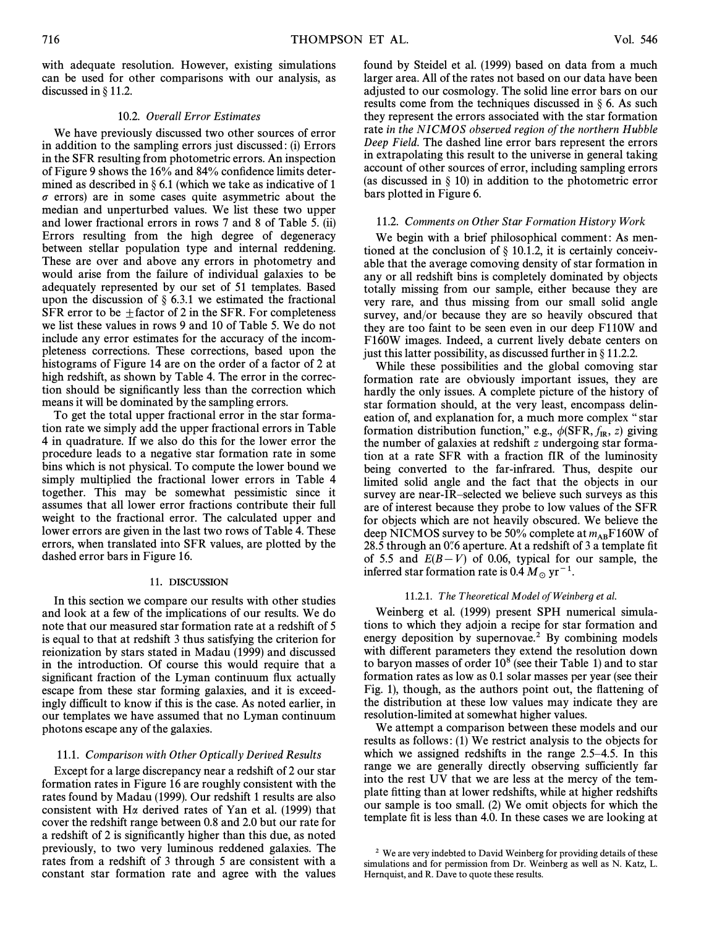with adequate resolution. However, existing simulations can be used for other comparisons with our analysis, as discussed in  $\S$  11.2.

## 10.2. Overall Error Estimates

We have previously discussed two other sources of error in addition to the sampling errors just discussed : (i) Errors in the SFR resulting from photometric errors. An inspection of Figure 9 shows the  $16\%$  and  $84\%$  confidence limits determined as described in  $\S 6.1$  (which we take as indicative of 1  $\sigma$  errors) are in some cases quite asymmetric about the median and unperturbed values. We list these two upper and lower fractional errors in rows 7 and 8 of Table 5. (ii) Errors resulting from the high degree of degeneracy between stellar population type and internal reddening. These are over and above any errors in photometry and would arise from the failure of individual galaxies to be adequately represented by our set of 51 templates. Based upon the discussion of  $\S$  6.3.1 we estimated the fractional SFR error to be  $\pm$  factor of 2 in the SFR. For completeness we list these values in rows 9 and 10 of Table 5. We do not include any error estimates for the accuracy of the incompleteness corrections. These corrections, based upon the histograms of Figure 14 are on the order of a factor of 2 at high redshift, as shown by Table 4. The error in the correction should be significantly less than the correction which means it will be dominated by the sampling errors.

To get the total upper fractional error in the star formation rate we simply add the upper fractional errors in Table 4 in quadrature. If we also do this for the lower error the procedure leads to a negative star formation rate in some bins which is not physical. To compute the lower bound we simply multiplied the fractional lower errors in Table 4 together. This may be somewhat pessimistic since it assumes that all lower error fractions contribute their full weight to the fractional error. The calculated upper and lower errors are given in the last two rows of Table 4. These errors, when translated into SFR values, are plotted by the dashed error bars in Figure 16.

## 11. DISCUSSION

In this section we compare our results with other studies and look at a few of the implications of our results. We do note that our measured star formation rate at a redshift of 5 is equal to that at redshift 3 thus satisfying the criterion for reionization by stars stated in Madau (1999) and discussed in the introduction. Of course this would require that a significant fraction of the Lyman continuum flux actually escape from these star forming galaxies, and it is exceedingly difficult to know if this is the case. As noted earlier, in our templates we have assumed that no Lyman continuum photons escape any of the galaxies.

## 11.1. Comparison with Other Optically Derived Results

Except for a large discrepancy near a redshift of 2 our star formation rates in Figure 16 are roughly consistent with the rates found by Madau (1999). Our redshift 1 results are also consistent with H $\alpha$  derived rates of Yan et al. (1999) that cover the redshift range between 0.8 and 2.0 but our rate for a redshift of 2 is significantly higher than this due, as noted previously, to two very luminous reddened galaxies. The rates from a redshift of 3 through 5 are consistent with a constant star formation rate and agree with the values

found by Steidel et al. (1999) based on data from a much larger area. All of the rates not based on our data have been adjusted to our cosmology. The solid line error bars on our results come from the techniques discussed in  $\S$  6. As such they represent the errors associated with the star formation rate in the NICMOS observed region of the northern Hubble Deep Field. The dashed line error bars represent the errors in extrapolating this result to the universe in general taking account of other sources of error, including sampling errors (as discussed in  $\S$  10) in addition to the photometric error bars plotted in Figure 6.

#### 11.2. Comments on Other Star Formation History Work

We begin with a brief philosophical comment: As mentioned at the conclusion of  $\S$  10.1.2, it is certainly conceivable that the average comoving density of star formation in any or all redshift bins is completely dominated by objects totally missing from our sample, either because they are very rare, and thus missing from our small solid angle survey, and/or because they are so heavily obscured that they are too faint to be seen even in our deep F110W and F160W images. Indeed, a current lively debate centers on just this latter possibility, as discussed further in  $\S 11.2.2$ .

While these possibilities and the global comoving star formation rate are obviously important issues, they are hardly the only issues. A complete picture of the history of star formation should, at the very least, encompass delineation of, and explanation for, a much more complex "star formation distribution function," e.g.,  $\phi(SFR, f_{IR}, z)$  giving the number of galaxies at redshift z undergoing star formathe number of galaxies at redshift z undergoing star formation at a rate SFR with a fraction fIR of the luminosity being converted to the far-infrared. Thus, despite our limited solid angle and the fact that the objects in our survey are near-IR-selected we believe such surveys as this are of interest because they probe to low values of the SFR for objects which are not heavily obscured. We believe the deep NICMOS survey to be 50% complete at  $m_{AB}F160W$  of 28.5 through an 0.6 aperture. At a redshift of 3 a template fit of 5.5 and  $E(B-V)$  of 0.06, typical for our sample, the inferred star formation rate is 0.4  $M_{\odot}$  yr<sup>-1</sup>.

#### 11.2.1. The Theoretical Model of Weinberg et al.

Weinberg et al. (1999) present SPH numerical simulations to which they adjoin a recipe for star formation and energy deposition by supernovae.<sup>2</sup> By combining models with different parameters they extend the resolution down to baryon masses of order  $10^8$  (see their Table 1) and to star formation rates as low as 0.1 solar masses per year (see their Fig. 1), though, as the authors point out, the flattening of the distribution at these low values may indicate they are resolution-limited at somewhat higher values.

We attempt a comparison between these models and our results as follows : (1) We restrict analysis to the objects for which we assigned redshifts in the range  $2.5-4.5$ . In this range we are generally directly observing sufficiently far into the rest UV that we are less at the mercy of the template fitting than at lower redshifts, while at higher redshifts our sample is too small. (2) We omit objects for which the template fit is less than 4.0. In these cases we are looking at

<sup>&</sup>lt;sup>2</sup> We are very indebted to David Weinberg for providing details of these simulations and for permission from Dr. Weinberg as well as N. Katz, L. Hernquist, and R. Dave to quote these results.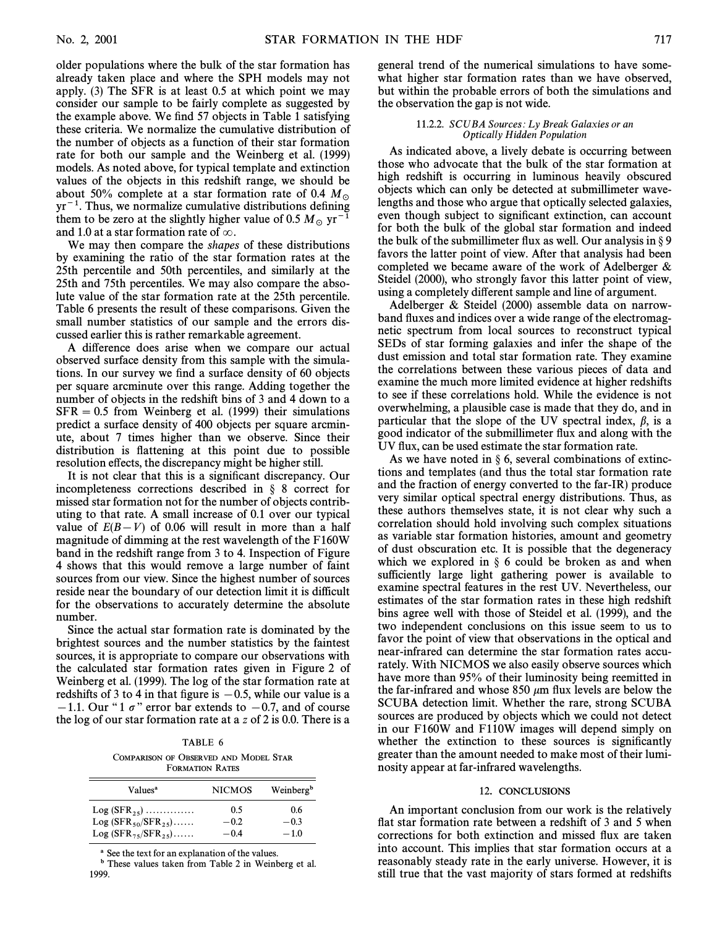older populations where the bulk of the star formation has already taken place and where the SPH models may not apply. (3) The SFR is at least 0.5 at which point we may consider our sample to be fairly complete as suggested by the example above. We find 57 objects in Table 1 satisfying these criteria. We normalize the cumulative distribution of the number of objects as a function of their star formation rate for both our sample and the Weinberg et al. (1999) models. As noted above, for typical template and extinction values of the objects in this redshift range, we should be about 50% complete at a star formation rate of 0.4  $M_{\odot}$  $yr^{-1}$ . Thus, we normalize cumulative distributions defining them to be zero at the slightly higher value of 0.5  $M_{\odot}$  yr<sup>-1</sup> and 1.0 at a star formation rate of  $\infty$ .

We may then compare the shapes of these distributions by examining the ratio of the star formation rates at the 25th percentile and 50th percentiles, and similarly at the 25th and 75th percentiles. We may also compare the absolute value of the star formation rate at the 25th percentile. Table 6 presents the result of these comparisons. Given the small number statistics of our sample and the errors discussed earlier this is rather remarkable agreement.

A difference does arise when we compare our actual observed surface density from this sample with the simulations. In our survey we find a surface density of 60 objects per square arcminute over this range. Adding together the number of objects in the redshift bins of 3 and 4 down to a  $SFR = 0.5$  from Weinberg et al. (1999) their simulations predict a surface density of 400 objects per square arcminute, about 7 times higher than we observe. Since their distribution is flattening at this point due to possible resolution effects, the discrepancy might be higher still.

It is not clear that this is a significant discrepancy. Our incompleteness corrections described in  $\S$  8 correct for missed star formation not for the number of objects contributing to that rate. A small increase of 0.1 over our typical value of  $E(B-V)$  of 0.06 will result in more than a half magnitude of dimming at the rest wavelength of the F160W band in the redshift range from 3 to 4. Inspection of Figure 4 shows that this would remove a large number of faint sources from our view. Since the highest number of sources reside near the boundary of our detection limit it is difficult for the observations to accurately determine the absolute number.

Since the actual star formation rate is dominated by the brightest sources and the number statistics by the faintest sources, it is appropriate to compare our observations with the calculated star formation rates given in Figure 2 of Weinberg et al. (1999). The log of the star formation rate at redshifts of 3 to 4 in that figure is  $-0.5$ , while our value is a  $-1.1$ . Our "1  $\sigma$ " error bar extends to  $-0.7$ , and of course the log of our star formation rate at a z of 2 is 0.0. There is a

# TABLE 6

COMPARISON OF OBSERVED AND MODEL STAR FORMATION RATES

| Values <sup>a</sup>       | <b>NICMOS</b> | Weinberg <sup>b</sup> |
|---------------------------|---------------|-----------------------|
| $Log (SFR_{25})$          | 0.5           | 0.6                   |
| Log $(SFR_{50}/SFR_{25})$ | $-0.2$        | $-0.3$                |
| $Log (SFR_{75}/SFR_{25})$ | $-0.4$        | $-1.0$                |

See the text for an explanation of the values.

b These values taken from Table 2 in Weinberg et al. 1999.

general trend of the numerical simulations to have somewhat higher star formation rates than we have observed, but within the probable errors of both the simulations and the observation the gap is not wide.

#### 11.2.2. SCUBA Sources: Ly Break Galaxies or an Optically Hidden Population

As indicated above, a lively debate is occurring between those who advocate that the bulk of the star formation at high redshift is occurring in luminous heavily obscured objects which can only be detected at submillimeter wavelengths and those who argue that optically selected galaxies, even though subject to significant extinction, can account for both the bulk of the global star formation and indeed the bulk of the submillimeter flux as well. Our analysis in  $\S 9$ favors the latter point of view. After that analysis had been completed we became aware of the work of Adelberger & Steidel (2000), who strongly favor this latter point of view, using a completely di†erent sample and line of argument.

Adelberger & Steidel (2000) assemble data on narrowband fluxes and indices over a wide range of the electromagnetic spectrum from local sources to reconstruct typical SEDs of star forming galaxies and infer the shape of the dust emission and total star formation rate. They examine the correlations between these various pieces of data and examine the much more limited evidence at higher redshifts to see if these correlations hold. While the evidence is not overwhelming, a plausible case is made that they do, and in particular that the slope of the UV spectral index,  $\beta$ , is a good indicator of the submillimeter Ñux and along with the UV flux, can be used estimate the star formation rate.

As we have noted in  $\S 6$ , several combinations of extinctions and templates (and thus the total star formation rate and the fraction of energy converted to the far-IR) produce very similar optical spectral energy distributions. Thus, as these authors themselves state, it is not clear why such a correlation should hold involving such complex situations as variable star formation histories, amount and geometry of dust obscuration etc. It is possible that the degeneracy which we explored in  $\S$  6 could be broken as and when sufficiently large light gathering power is available to examine spectral features in the rest UV. Nevertheless, our estimates of the star formation rates in these high redshift bins agree well with those of Steidel et al. (1999), and the two independent conclusions on this issue seem to us to favor the point of view that observations in the optical and near-infrared can determine the star formation rates accurately. With NICMOS we also easily observe sources which have more than 95% of their luminosity being reemitted in the far-infrared and whose  $850 \mu m$  flux levels are below the SCUBA detection limit. Whether the rare, strong SCUBA sources are produced by objects which we could not detect in our F160W and F110W images will depend simply on whether the extinction to these sources is significantly greater than the amount needed to make most of their luminosity appear at far-infrared wavelengths.

## 12. CONCLUSIONS

An important conclusion from our work is the relatively flat star formation rate between a redshift of 3 and 5 when corrections for both extinction and missed Ñux are taken into account. This implies that star formation occurs at a reasonably steady rate in the early universe. However, it is still true that the vast majority of stars formed at redshifts